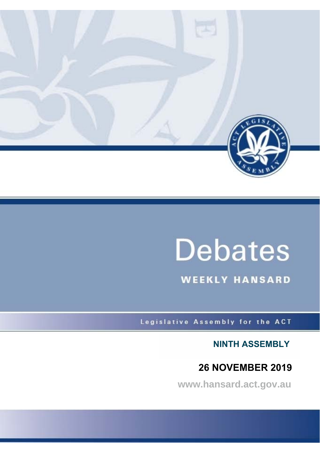

# **Debates**

**WEEKLY HANSARD** 

Legislative Assembly for the ACT

**NINTH ASSEMBLY**

## **26 NOVEMBER 2019**

**www.hansard.act.gov.au**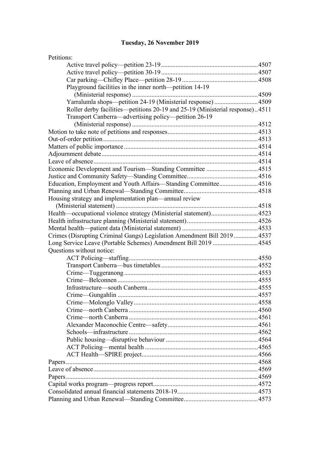## **[Tuesday, 26 November 2019](#page-3-0)**

| Petitions:                                                                   |  |
|------------------------------------------------------------------------------|--|
|                                                                              |  |
|                                                                              |  |
|                                                                              |  |
| Playground facilities in the inner north—petition 14-19                      |  |
|                                                                              |  |
| Yarralumla shops—petition 24-19 (Ministerial response) 4509                  |  |
| Roller derby facilities—petitions 20-19 and 25-19 (Ministerial response)4511 |  |
| Transport Canberra—advertising policy—petition 26-19                         |  |
|                                                                              |  |
|                                                                              |  |
|                                                                              |  |
|                                                                              |  |
|                                                                              |  |
|                                                                              |  |
|                                                                              |  |
|                                                                              |  |
| Education, Employment and Youth Affairs-Standing Committee4516               |  |
|                                                                              |  |
| Housing strategy and implementation plan—annual review                       |  |
|                                                                              |  |
| Health—occupational violence strategy (Ministerial statement)4523            |  |
|                                                                              |  |
|                                                                              |  |
| Crimes (Disrupting Criminal Gangs) Legislation Amendment Bill 20194537       |  |
| Long Service Leave (Portable Schemes) Amendment Bill 2019 4545               |  |
| Questions without notice:                                                    |  |
|                                                                              |  |
|                                                                              |  |
|                                                                              |  |
|                                                                              |  |
|                                                                              |  |
| Crime—Gungahlin.                                                             |  |
|                                                                              |  |
|                                                                              |  |
|                                                                              |  |
|                                                                              |  |
|                                                                              |  |
|                                                                              |  |
|                                                                              |  |
|                                                                              |  |
|                                                                              |  |
|                                                                              |  |
|                                                                              |  |
|                                                                              |  |
|                                                                              |  |
|                                                                              |  |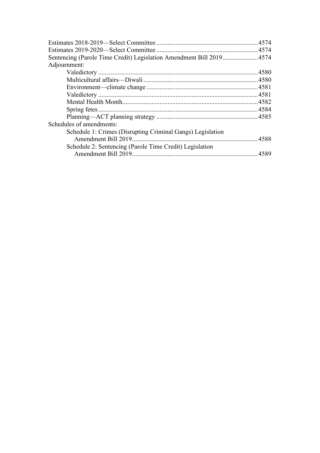| Sentencing (Parole Time Credit) Legislation Amendment Bill 20194574 |  |
|---------------------------------------------------------------------|--|
| Adjournment:                                                        |  |
|                                                                     |  |
|                                                                     |  |
|                                                                     |  |
|                                                                     |  |
|                                                                     |  |
|                                                                     |  |
|                                                                     |  |
| Schedules of amendments:                                            |  |
| Schedule 1: Crimes (Disrupting Criminal Gangs) Legislation          |  |
|                                                                     |  |
| Schedule 2: Sentencing (Parole Time Credit) Legislation             |  |
|                                                                     |  |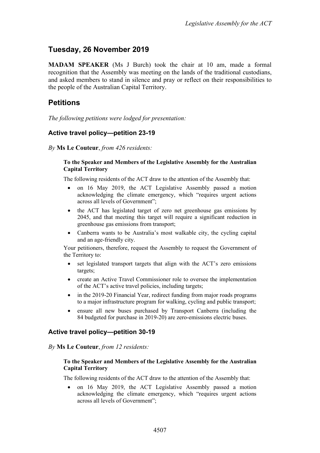## <span id="page-3-0"></span>**Tuesday, 26 November 2019**

**MADAM SPEAKER** (Ms J Burch) took the chair at 10 am, made a formal recognition that the Assembly was meeting on the lands of the traditional custodians, and asked members to stand in silence and pray or reflect on their responsibilities to the people of the Australian Capital Territory.

## <span id="page-3-1"></span>**Petitions**

*The following petitions were lodged for presentation:*

#### <span id="page-3-2"></span>**Active travel policy—petition 23-19**

*By* **Ms Le Couteur**, *from 426 residents:*

#### **To the Speaker and Members of the Legislative Assembly for the Australian Capital Territory**

The following residents of the ACT draw to the attention of the Assembly that:

- on 16 May 2019, the ACT Legislative Assembly passed a motion acknowledging the climate emergency, which "requires urgent actions across all levels of Government";
- the ACT has legislated target of zero net greenhouse gas emissions by 2045, and that meeting this target will require a significant reduction in greenhouse gas emissions from transport;
- Canberra wants to be Australia's most walkable city, the cycling capital and an age-friendly city.

Your petitioners, therefore, request the Assembly to request the Government of the Territory to:

- set legislated transport targets that align with the ACT's zero emissions targets;
- create an Active Travel Commissioner role to oversee the implementation of the ACT's active travel policies, including targets;
- in the 2019-20 Financial Year, redirect funding from major roads programs to a major infrastructure program for walking, cycling and public transport;
- ensure all new buses purchased by Transport Canberra (including the 84 budgeted for purchase in 2019-20) are zero-emissions electric buses.

#### <span id="page-3-3"></span>**Active travel policy—petition 30-19**

*By* **Ms Le Couteur**, *from 12 residents:*

#### **To the Speaker and Members of the Legislative Assembly for the Australian Capital Territory**

The following residents of the ACT draw to the attention of the Assembly that:

• on 16 May 2019, the ACT Legislative Assembly passed a motion acknowledging the climate emergency, which "requires urgent actions across all levels of Government";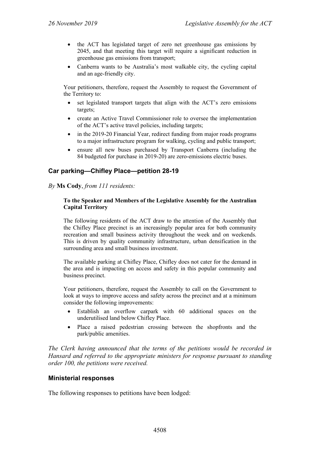- the ACT has legislated target of zero net greenhouse gas emissions by 2045, and that meeting this target will require a significant reduction in greenhouse gas emissions from transport;
- Canberra wants to be Australia's most walkable city, the cycling capital and an age-friendly city.

Your petitioners, therefore, request the Assembly to request the Government of the Territory to:

- set legislated transport targets that align with the ACT's zero emissions targets;
- create an Active Travel Commissioner role to oversee the implementation of the ACT's active travel policies, including targets;
- in the 2019-20 Financial Year, redirect funding from major roads programs to a major infrastructure program for walking, cycling and public transport;
- ensure all new buses purchased by Transport Canberra (including the 84 budgeted for purchase in 2019-20) are zero-emissions electric buses.

#### <span id="page-4-0"></span>**Car parking—Chifley Place—petition 28-19**

#### *By* **Ms Cody**, *from 111 residents:*

#### **To the Speaker and Members of the Legislative Assembly for the Australian Capital Territory**

The following residents of the ACT draw to the attention of the Assembly that the Chifley Place precinct is an increasingly popular area for both community recreation and small business activity throughout the week and on weekends. This is driven by quality community infrastructure, urban densification in the surrounding area and small business investment.

The available parking at Chifley Place, Chifley does not cater for the demand in the area and is impacting on access and safety in this popular community and business precinct.

Your petitioners, therefore, request the Assembly to call on the Government to look at ways to improve access and safety across the precinct and at a minimum consider the following improvements:

- Establish an overflow carpark with 60 additional spaces on the underutilised land below Chifley Place.
- Place a raised pedestrian crossing between the shopfronts and the park/public amenities.

*The Clerk having announced that the terms of the petitions would be recorded in Hansard and referred to the appropriate ministers for response pursuant to standing order 100, the petitions were received.*

#### **Ministerial responses**

The following responses to petitions have been lodged: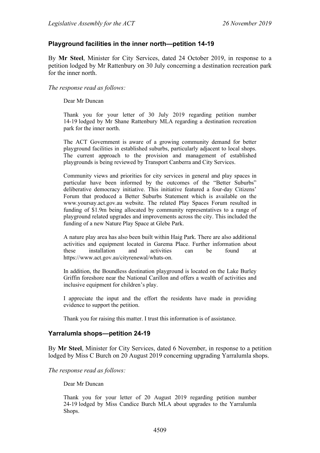#### <span id="page-5-0"></span>**Playground facilities in the inner north—petition 14-19**

By **Mr Steel**, Minister for City Services, dated 24 October 2019, in response to a petition lodged by Mr Rattenbury on 30 July concerning a destination recreation park for the inner north.

*The response read as follows:*

Dear Mr Duncan

Thank you for your letter of 30 July 2019 regarding petition number 14-19 lodged by Mr Shane Rattenbury MLA regarding a destination recreation park for the inner north.

The ACT Government is aware of a growing community demand for better playground facilities in established suburbs, particularly adjacent to local shops. The current approach to the provision and management of established playgrounds is being reviewed by Transport Canberra and City Services.

Community views and priorities for city services in general and play spaces in particular have been informed by the outcomes of the "Better Suburbs" deliberative democracy initiative. This initiative featured a four-day Citizens' Forum that produced a Better Suburbs Statement which is available on the www.yoursay.act.gov.au website. The related Play Spaces Forum resulted in funding of \$1.9m being allocated by community representatives to a range of playground related upgrades and improvements across the city. This included the funding of a new Nature Play Space at Glebe Park.

A nature play area has also been built within Haig Park. There are also additional activities and equipment located in Garema Place. Further information about these installation and activities can be found at https://www.act.gov.au/cityrenewal/whats-on.

In addition, the Boundless destination playground is located on the Lake Burley Griffin foreshore near the National Carillon and offers a wealth of activities and inclusive equipment for children's play.

I appreciate the input and the effort the residents have made in providing evidence to support the petition.

Thank you for raising this matter. I trust this information is of assistance.

#### <span id="page-5-1"></span>**Yarralumla shops—petition 24-19**

By **Mr Steel**, Minister for City Services, dated 6 November, in response to a petition lodged by Miss C Burch on 20 August 2019 concerning upgrading Yarralumla shops.

*The response read as follows:*

Dear Mr Duncan

Thank you for your letter of 20 August 2019 regarding petition number 24-19 lodged by Miss Candice Burch MLA about upgrades to the Yarralumla Shops.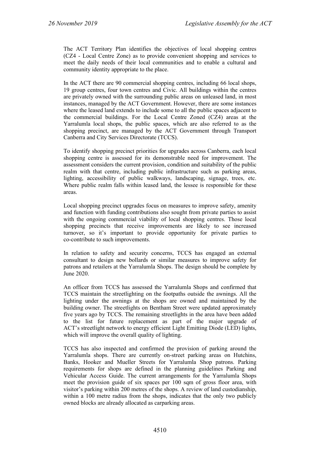The ACT Territory Plan identifies the objectives of local shopping centres (CZ4 - Local Centre Zone) as to provide convenient shopping and services to meet the daily needs of their local communities and to enable a cultural and community identity appropriate to the place.

In the ACT there are 90 commercial shopping centres, including 66 local shops, 19 group centres, four town centres and Civic. All buildings within the centres are privately owned with the surrounding public areas on unleased land, in most instances, managed by the ACT Government. However, there are some instances where the leased land extends to include some to all the public spaces adjacent to the commercial buildings. For the Local Centre Zoned (CZ4) areas at the Yarralumla local shops, the public spaces, which are also referred to as the shopping precinct, are managed by the ACT Government through Transport Canberra and City Services Directorate (TCCS).

To identify shopping precinct priorities for upgrades across Canberra, each local shopping centre is assessed for its demonstrable need for improvement. The assessment considers the current provision, condition and suitability of the public realm with that centre, including public infrastructure such as parking areas, lighting, accessibility of public walkways, landscaping, signage, trees, etc. Where public realm falls within leased land, the lessee is responsible for these areas.

Local shopping precinct upgrades focus on measures to improve safety, amenity and function with funding contributions also sought from private parties to assist with the ongoing commercial viability of local shopping centres. Those local shopping precincts that receive improvements are likely to see increased turnover, so it's important to provide opportunity for private parties to co-contribute to such improvements.

In relation to safety and security concerns, TCCS has engaged an external consultant to design new bollards or similar measures to improve safety for patrons and retailers at the Yarralumla Shops. The design should be complete by June 2020.

An officer from TCCS has assessed the Yarralumla Shops and confirmed that TCCS maintain the streetlighting on the footpaths outside the awnings. All the lighting under the awnings at the shops are owned and maintained by the building owner. The streetlights on Bentham Street were updated approximately five years ago by TCCS. The remaining streetlights in the area have been added to the list for future replacement as part of the major upgrade of ACT's streetlight network to energy efficient Light Emitting Diode (LED) lights, which will improve the overall quality of lighting.

TCCS has also inspected and confirmed the provision of parking around the Yarralumla shops. There are currently on-street parking areas on Hutchins, Banks, Hooker and Mueller Streets for Yarralumla Shop patrons. Parking requirements for shops are defined in the planning guidelines Parking and Vehicular Access Guide. The current arrangements for the Yarralumla Shops meet the provision guide of six spaces per 100 sqm of gross floor area, with visitor's parking within 200 metres of the shops. A review of land custodianship, within a 100 metre radius from the shops, indicates that the only two publicly owned blocks are already allocated as carparking areas.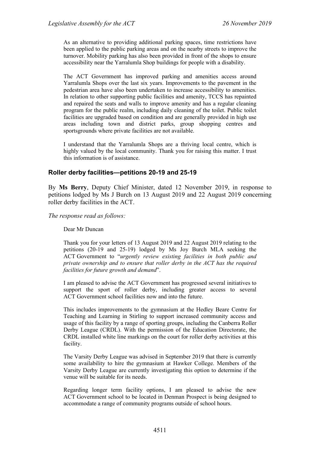As an alternative to providing additional parking spaces, time restrictions have been applied to the public parking areas and on the nearby streets to improve the turnover. Mobility parking has also been provided in front of the shops to ensure accessibility near the Yarralumla Shop buildings for people with a disability.

The ACT Government has improved parking and amenities access around Yarralumla Shops over the last six years. Improvements to the pavement in the pedestrian area have also been undertaken to increase accessibility to amenities. In relation to other supporting public facilities and amenity, TCCS has repainted and repaired the seats and walls to improve amenity and has a regular cleaning program for the public realm, including daily cleaning of the toilet. Public toilet facilities are upgraded based on condition and are generally provided in high use areas including town and district parks, group shopping centres and sportsgrounds where private facilities are not available.

I understand that the Yarralumla Shops are a thriving local centre, which is highly valued by the local community. Thank you for raising this matter. I trust this information is of assistance.

#### <span id="page-7-0"></span>**Roller derby facilities—petitions 20-19 and 25-19**

By **Ms Berry**, Deputy Chief Minister, dated 12 November 2019, in response to petitions lodged by Ms J Burch on 13 August 2019 and 22 August 2019 concerning roller derby facilities in the ACT.

*The response read as follows:*

Dear Mr Duncan

Thank you for your letters of 13 August 2019 and 22 August 2019 relating to the petitions (20-19 and 25-19) lodged by Ms Joy Burch MLA seeking the ACT Government to "*urgently review existing facilities in both public and private ownership and to ensure that roller derby in the ACT has the required facilities for future growth and demand*".

I am pleased to advise the ACT Government has progressed several initiatives to support the sport of roller derby, including greater access to several ACT Government school facilities now and into the future.

This includes improvements to the gymnasium at the Hedley Beare Centre for Teaching and Learning in Stirling to support increased community access and usage of this facility by a range of sporting groups, including the Canberra Roller Derby League (CRDL). With the permission of the Education Directorate, the CRDL installed white line markings on the court for roller derby activities at this facility.

The Varsity Derby League was advised in September 2019 that there is currently some availability to hire the gymnasium at Hawker College. Members of the Varsity Derby League are currently investigating this option to determine if the venue will be suitable for its needs.

Regarding longer term facility options, I am pleased to advise the new ACT Government school to be located in Denman Prospect is being designed to accommodate a range of community programs outside of school hours.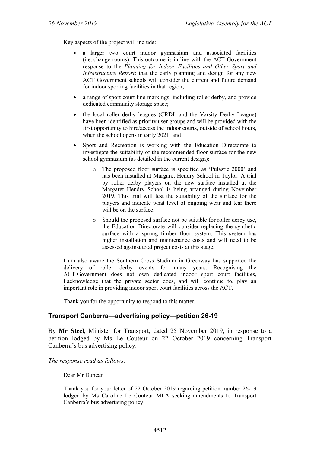Key aspects of the project will include:

- a larger two court indoor gymnasium and associated facilities (i.e. change rooms). This outcome is in line with the ACT Government response to the *Planning for Indoor Facilities and Other Sport and Infrastructure Report*: that the early planning and design for any new ACT Government schools will consider the current and future demand for indoor sporting facilities in that region;
- a range of sport court line markings, including roller derby, and provide dedicated community storage space;
- the local roller derby leagues (CRDL and the Varsity Derby League) have been identified as priority user groups and will be provided with the first opportunity to hire/access the indoor courts, outside of school hours, when the school opens in early 2021; and
- Sport and Recreation is working with the Education Directorate to investigate the suitability of the recommended floor surface for the new school gymnasium (as detailed in the current design):
	- o The proposed floor surface is specified as 'Pulastic 2000' and has been installed at Margaret Hendry School in Taylor. A trial by roller derby players on the new surface installed at the Margaret Hendry School is being arranged during November 2019. This trial will test the suitability of the surface for the players and indicate what level of ongoing wear and tear there will be on the surface.
	- o Should the proposed surface not be suitable for roller derby use, the Education Directorate will consider replacing the synthetic surface with a sprung timber floor system. This system has higher installation and maintenance costs and will need to be assessed against total project costs at this stage.

I am also aware the Southern Cross Stadium in Greenway has supported the delivery of roller derby events for many years. Recognising the ACT Government does not own dedicated indoor sport court facilities, I acknowledge that the private sector does, and will continue to, play an important role in providing indoor sport court facilities across the ACT.

Thank you for the opportunity to respond to this matter.

#### <span id="page-8-0"></span>**Transport Canberra—advertising policy—petition 26-19**

By **Mr Steel**, Minister for Transport, dated 25 November 2019, in response to a petition lodged by Ms Le Couteur on 22 October 2019 concerning Transport Canberra's bus advertising policy.

#### *The response read as follows:*

Dear Mr Duncan

Thank you for your letter of 22 October 2019 regarding petition number 26-19 lodged by Ms Caroline Le Couteur MLA seeking amendments to Transport Canberra's bus advertising policy.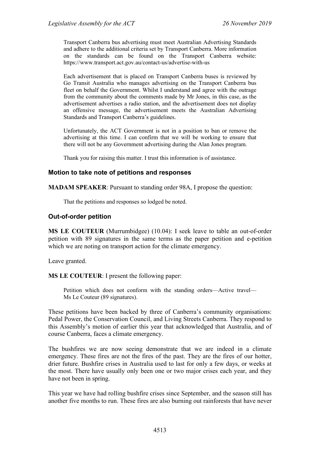Transport Canberra bus advertising must meet Australian Advertising Standards and adhere to the additional criteria set by Transport Canberra. More information on the standards can be found on the Transport Canberra website: https://www.transport.act.gov.au/contact-us/advertise-with-us

Each advertisement that is placed on Transport Canberra buses is reviewed by Go Transit Australia who manages advertising on the Transport Canberra bus fleet on behalf the Government. Whilst I understand and agree with the outrage from the community about the comments made by Mr Jones, in this case, as the advertisement advertises a radio station, and the advertisement does not display an offensive message, the advertisement meets the Australian Advertising Standards and Transport Canberra's guidelines.

Unfortunately, the ACT Government is not in a position to ban or remove the advertising at this time. I can confirm that we will be working to ensure that there will not be any Government advertising during the Alan Jones program.

Thank you for raising this matter. I trust this information is of assistance.

#### <span id="page-9-0"></span>**Motion to take note of petitions and responses**

**MADAM SPEAKER**: Pursuant to standing order 98A, I propose the question:

That the petitions and responses so lodged be noted.

#### <span id="page-9-1"></span>**Out-of-order petition**

**MS LE COUTEUR** (Murrumbidgee) (10.04): I seek leave to table an out-of-order petition with 89 signatures in the same terms as the paper petition and e-petition which we are noting on transport action for the climate emergency.

Leave granted.

**MS LE COUTEUR**: I present the following paper:

Petition which does not conform with the standing orders—Active travel— Ms Le Couteur (89 signatures).

These petitions have been backed by three of Canberra's community organisations: Pedal Power, the Conservation Council, and Living Streets Canberra. They respond to this Assembly's motion of earlier this year that acknowledged that Australia, and of course Canberra, faces a climate emergency.

The bushfires we are now seeing demonstrate that we are indeed in a climate emergency. These fires are not the fires of the past. They are the fires of our hotter, drier future. Bushfire crises in Australia used to last for only a few days, or weeks at the most. There have usually only been one or two major crises each year, and they have not been in spring.

This year we have had rolling bushfire crises since September, and the season still has another five months to run. These fires are also burning out rainforests that have never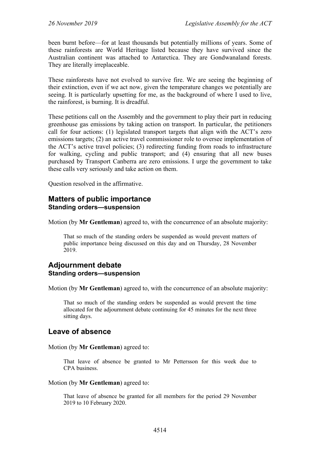been burnt before—for at least thousands but potentially millions of years. Some of these rainforests are World Heritage listed because they have survived since the Australian continent was attached to Antarctica. They are Gondwanaland forests. They are literally irreplaceable.

These rainforests have not evolved to survive fire. We are seeing the beginning of their extinction, even if we act now, given the temperature changes we potentially are seeing. It is particularly upsetting for me, as the background of where I used to live, the rainforest, is burning. It is dreadful.

These petitions call on the Assembly and the government to play their part in reducing greenhouse gas emissions by taking action on transport. In particular, the petitioners call for four actions: (1) legislated transport targets that align with the ACT's zero emissions targets; (2) an active travel commissioner role to oversee implementation of the ACT's active travel policies; (3) redirecting funding from roads to infrastructure for walking, cycling and public transport; and (4) ensuring that all new buses purchased by Transport Canberra are zero emissions. I urge the government to take these calls very seriously and take action on them.

Question resolved in the affirmative.

## <span id="page-10-0"></span>**Matters of public importance Standing orders—suspension**

Motion (by **Mr Gentleman**) agreed to, with the concurrence of an absolute majority:

That so much of the standing orders be suspended as would prevent matters of public importance being discussed on this day and on Thursday, 28 November 2019.

#### <span id="page-10-1"></span>**Adjournment debate Standing orders—suspension**

Motion (by **Mr Gentleman**) agreed to, with the concurrence of an absolute majority:

That so much of the standing orders be suspended as would prevent the time allocated for the adjournment debate continuing for 45 minutes for the next three sitting days.

## <span id="page-10-2"></span>**Leave of absence**

Motion (by **Mr Gentleman**) agreed to:

That leave of absence be granted to Mr Pettersson for this week due to CPA business.

#### Motion (by **Mr Gentleman**) agreed to:

That leave of absence be granted for all members for the period 29 November 2019 to 10 February 2020.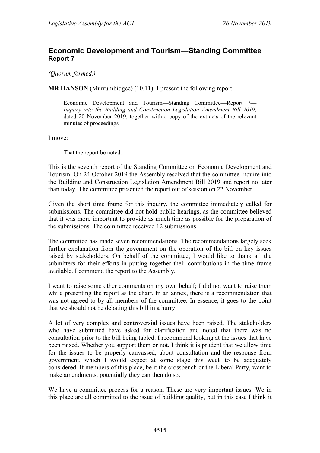## <span id="page-11-0"></span>**Economic Development and Tourism—Standing Committee Report 7**

*(Quorum formed.)*

**MR HANSON** (Murrumbidgee) (10.11): I present the following report:

Economic Development and Tourism—Standing Committee—Report 7— *Inquiry into the Building and Construction Legislation Amendment Bill 2019,* dated 20 November 2019, together with a copy of the extracts of the relevant minutes of proceedings

I move:

That the report be noted.

This is the seventh report of the Standing Committee on Economic Development and Tourism. On 24 October 2019 the Assembly resolved that the committee inquire into the Building and Construction Legislation Amendment Bill 2019 and report no later than today. The committee presented the report out of session on 22 November.

Given the short time frame for this inquiry, the committee immediately called for submissions. The committee did not hold public hearings, as the committee believed that it was more important to provide as much time as possible for the preparation of the submissions. The committee received 12 submissions.

The committee has made seven recommendations. The recommendations largely seek further explanation from the government on the operation of the bill on key issues raised by stakeholders. On behalf of the committee, I would like to thank all the submitters for their efforts in putting together their contributions in the time frame available. I commend the report to the Assembly.

I want to raise some other comments on my own behalf; I did not want to raise them while presenting the report as the chair. In an annex, there is a recommendation that was not agreed to by all members of the committee. In essence, it goes to the point that we should not be debating this bill in a hurry.

A lot of very complex and controversial issues have been raised. The stakeholders who have submitted have asked for clarification and noted that there was no consultation prior to the bill being tabled. I recommend looking at the issues that have been raised. Whether you support them or not, I think it is prudent that we allow time for the issues to be properly canvassed, about consultation and the response from government, which I would expect at some stage this week to be adequately considered. If members of this place, be it the crossbench or the Liberal Party, want to make amendments, potentially they can then do so.

We have a committee process for a reason. These are very important issues. We in this place are all committed to the issue of building quality, but in this case I think it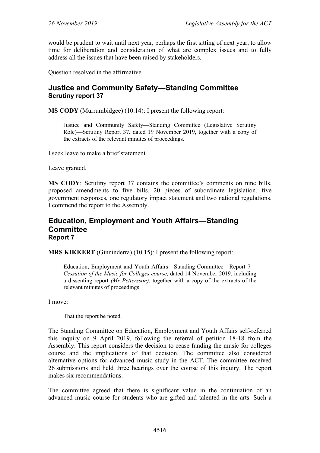would be prudent to wait until next year, perhaps the first sitting of next year, to allow time for deliberation and consideration of what are complex issues and to fully address all the issues that have been raised by stakeholders.

Question resolved in the affirmative.

## <span id="page-12-0"></span>**Justice and Community Safety—Standing Committee Scrutiny report 37**

**MS CODY** (Murrumbidgee) (10.14): I present the following report:

Justice and Community Safety—Standing Committee (Legislative Scrutiny Role)—Scrutiny Report 37*,* dated 19 November 2019, together with a copy of the extracts of the relevant minutes of proceedings.

I seek leave to make a brief statement.

Leave granted.

**MS CODY**: Scrutiny report 37 contains the committee's comments on nine bills, proposed amendments to five bills, 20 pieces of subordinate legislation, five government responses, one regulatory impact statement and two national regulations. I commend the report to the Assembly.

#### <span id="page-12-1"></span>**Education, Employment and Youth Affairs—Standing Committee Report 7**

**MRS KIKKERT** (Ginninderra) (10.15): I present the following report:

Education, Employment and Youth Affairs—Standing Committee—Report 7— *Cessation of the Music for Colleges course,* dated 14 November 2019, including a dissenting report *(Mr Pettersson)*, together with a copy of the extracts of the relevant minutes of proceedings.

I move:

That the report be noted.

The Standing Committee on Education, Employment and Youth Affairs self-referred this inquiry on 9 April 2019, following the referral of petition 18-18 from the Assembly. This report considers the decision to cease funding the music for colleges course and the implications of that decision. The committee also considered alternative options for advanced music study in the ACT. The committee received 26 submissions and held three hearings over the course of this inquiry. The report makes six recommendations.

The committee agreed that there is significant value in the continuation of an advanced music course for students who are gifted and talented in the arts. Such a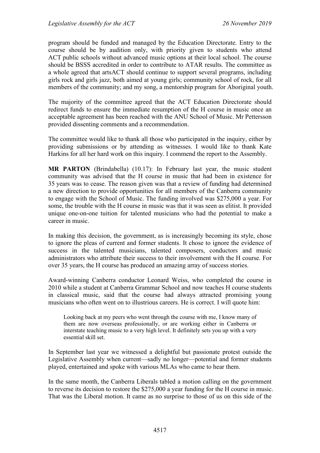program should be funded and managed by the Education Directorate. Entry to the course should be by audition only, with priority given to students who attend ACT public schools without advanced music options at their local school. The course should be BSSS accredited in order to contribute to ATAR results. The committee as a whole agreed that artsACT should continue to support several programs, including girls rock and girls jazz, both aimed at young girls; community school of rock, for all members of the community; and my song, a mentorship program for Aboriginal youth.

The majority of the committee agreed that the ACT Education Directorate should redirect funds to ensure the immediate resumption of the H course in music once an acceptable agreement has been reached with the ANU School of Music. Mr Pettersson provided dissenting comments and a recommendation.

The committee would like to thank all those who participated in the inquiry, either by providing submissions or by attending as witnesses. I would like to thank Kate Harkins for all her hard work on this inquiry. I commend the report to the Assembly.

**MR PARTON** (Brindabella) (10.17): In February last year, the music student community was advised that the H course in music that had been in existence for 35 years was to cease. The reason given was that a review of funding had determined a new direction to provide opportunities for all members of the Canberra community to engage with the School of Music. The funding involved was \$275,000 a year. For some, the trouble with the H course in music was that it was seen as elitist. It provided unique one-on-one tuition for talented musicians who had the potential to make a career in music.

In making this decision, the government, as is increasingly becoming its style, chose to ignore the pleas of current and former students. It chose to ignore the evidence of success in the talented musicians, talented composers, conductors and music administrators who attribute their success to their involvement with the H course. For over 35 years, the H course has produced an amazing array of success stories.

Award-winning Canberra conductor Leonard Weiss, who completed the course in 2010 while a student at Canberra Grammar School and now teaches H course students in classical music, said that the course had always attracted promising young musicians who often went on to illustrious careers. He is correct. I will quote him:

Looking back at my peers who went through the course with me, I know many of them are now overseas professionally, or are working either in Canberra or interstate teaching music to a very high level. It definitely sets you up with a very essential skill set.

In September last year we witnessed a delightful but passionate protest outside the Legislative Assembly when current—sadly no longer—potential and former students played, entertained and spoke with various MLAs who came to hear them.

In the same month, the Canberra Liberals tabled a motion calling on the government to reverse its decision to restore the \$275,000 a year funding for the H course in music. That was the Liberal motion. It came as no surprise to those of us on this side of the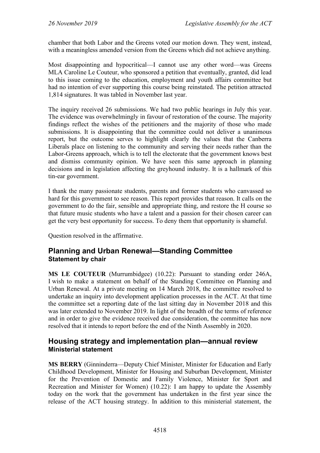chamber that both Labor and the Greens voted our motion down. They went, instead, with a meaningless amended version from the Greens which did not achieve anything.

Most disappointing and hypocritical—I cannot use any other word—was Greens MLA Caroline Le Couteur, who sponsored a petition that eventually, granted, did lead to this issue coming to the education, employment and youth affairs committee but had no intention of ever supporting this course being reinstated. The petition attracted 1,814 signatures. It was tabled in November last year.

The inquiry received 26 submissions. We had two public hearings in July this year. The evidence was overwhelmingly in favour of restoration of the course. The majority findings reflect the wishes of the petitioners and the majority of those who made submissions. It is disappointing that the committee could not deliver a unanimous report, but the outcome serves to highlight clearly the values that the Canberra Liberals place on listening to the community and serving their needs rather than the Labor-Greens approach, which is to tell the electorate that the government knows best and dismiss community opinion. We have seen this same approach in planning decisions and in legislation affecting the greyhound industry. It is a hallmark of this tin-ear government.

I thank the many passionate students, parents and former students who canvassed so hard for this government to see reason. This report provides that reason. It calls on the government to do the fair, sensible and appropriate thing, and restore the H course so that future music students who have a talent and a passion for their chosen career can get the very best opportunity for success. To deny them that opportunity is shameful.

Question resolved in the affirmative.

## <span id="page-14-0"></span>**Planning and Urban Renewal—Standing Committee Statement by chair**

**MS LE COUTEUR** (Murrumbidgee) (10.22): Pursuant to standing order 246A, I wish to make a statement on behalf of the Standing Committee on Planning and Urban Renewal. At a private meeting on 14 March 2018, the committee resolved to undertake an inquiry into development application processes in the ACT. At that time the committee set a reporting date of the last sitting day in November 2018 and this was later extended to November 2019. In light of the breadth of the terms of reference and in order to give the evidence received due consideration, the committee has now resolved that it intends to report before the end of the Ninth Assembly in 2020.

## <span id="page-14-2"></span><span id="page-14-1"></span>**Housing strategy and implementation plan—annual review Ministerial statement**

**MS BERRY** (Ginninderra—Deputy Chief Minister, Minister for Education and Early Childhood Development, Minister for Housing and Suburban Development, Minister for the Prevention of Domestic and Family Violence, Minister for Sport and Recreation and Minister for Women) (10.22): I am happy to update the Assembly today on the work that the government has undertaken in the first year since the release of the ACT housing strategy. In addition to this ministerial statement, the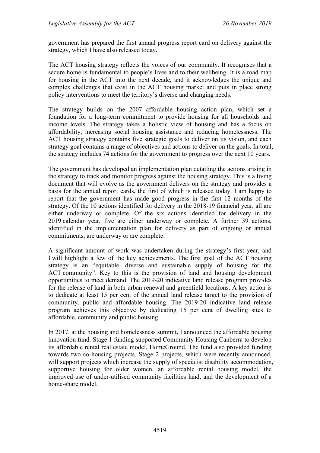government has prepared the first annual progress report card on delivery against the strategy, which I have also released today.

The ACT housing strategy reflects the voices of our community. It recognises that a secure home is fundamental to people's lives and to their wellbeing. It is a road map for housing in the ACT into the next decade, and it acknowledges the unique and complex challenges that exist in the ACT housing market and puts in place strong policy interventions to meet the territory's diverse and changing needs.

The strategy builds on the 2007 affordable housing action plan, which set a foundation for a long-term commitment to provide housing for all households and income levels. The strategy takes a holistic view of housing and has a focus on affordability, increasing social housing assistance and reducing homelessness. The ACT housing strategy contains five strategic goals to deliver on its vision, and each strategy goal contains a range of objectives and actions to deliver on the goals. In total, the strategy includes 74 actions for the government to progress over the next 10 years.

The government has developed an implementation plan detailing the actions arising in the strategy to track and monitor progress against the housing strategy. This is a living document that will evolve as the government delivers on the strategy and provides a basis for the annual report cards, the first of which is released today. I am happy to report that the government has made good progress in the first 12 months of the strategy. Of the 10 actions identified for delivery in the 2018-19 financial year, all are either underway or complete. Of the six actions identified for delivery in the 2019 calendar year, five are either underway or complete. A further 39 actions, identified in the implementation plan for delivery as part of ongoing or annual commitments, are underway or are complete.

A significant amount of work was undertaken during the strategy's first year, and I will highlight a few of the key achievements. The first goal of the ACT housing strategy is an "equitable, diverse and sustainable supply of housing for the ACT community". Key to this is the provision of land and housing development opportunities to meet demand. The 2019-20 indicative land release program provides for the release of land in both urban renewal and greenfield locations. A key action is to dedicate at least 15 per cent of the annual land release target to the provision of community, public and affordable housing. The 2019-20 indicative land release program achieves this objective by dedicating 15 per cent of dwelling sites to affordable, community and public housing.

In 2017, at the housing and homelessness summit, I announced the affordable housing innovation fund. Stage 1 funding supported Community Housing Canberra to develop its affordable rental real estate model, HomeGround. The fund also provided funding towards two co-housing projects. Stage 2 projects, which were recently announced, will support projects which increase the supply of specialist disability accommodation, supportive housing for older women, an affordable rental housing model, the improved use of under-utilised community facilities land, and the development of a home-share model.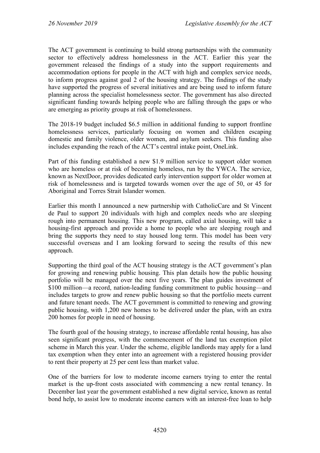The ACT government is continuing to build strong partnerships with the community sector to effectively address homelessness in the ACT. Earlier this year the government released the findings of a study into the support requirements and accommodation options for people in the ACT with high and complex service needs, to inform progress against goal 2 of the housing strategy. The findings of the study have supported the progress of several initiatives and are being used to inform future planning across the specialist homelessness sector. The government has also directed significant funding towards helping people who are falling through the gaps or who are emerging as priority groups at risk of homelessness.

The 2018-19 budget included \$6.5 million in additional funding to support frontline homelessness services, particularly focusing on women and children escaping domestic and family violence, older women, and asylum seekers. This funding also includes expanding the reach of the ACT's central intake point, OneLink.

Part of this funding established a new \$1.9 million service to support older women who are homeless or at risk of becoming homeless, run by the YWCA. The service, known as NextDoor, provides dedicated early intervention support for older women at risk of homelessness and is targeted towards women over the age of 50, or 45 for Aboriginal and Torres Strait Islander women.

Earlier this month I announced a new partnership with CatholicCare and St Vincent de Paul to support 20 individuals with high and complex needs who are sleeping rough into permanent housing. This new program, called axial housing, will take a housing-first approach and provide a home to people who are sleeping rough and bring the supports they need to stay housed long term. This model has been very successful overseas and I am looking forward to seeing the results of this new approach.

Supporting the third goal of the ACT housing strategy is the ACT government's plan for growing and renewing public housing. This plan details how the public housing portfolio will be managed over the next five years. The plan guides investment of \$100 million—a record, nation-leading funding commitment to public housing—and includes targets to grow and renew public housing so that the portfolio meets current and future tenant needs. The ACT government is committed to renewing and growing public housing, with 1,200 new homes to be delivered under the plan, with an extra 200 homes for people in need of housing.

The fourth goal of the housing strategy, to increase affordable rental housing, has also seen significant progress, with the commencement of the land tax exemption pilot scheme in March this year. Under the scheme, eligible landlords may apply for a land tax exemption when they enter into an agreement with a registered housing provider to rent their property at 25 per cent less than market value.

One of the barriers for low to moderate income earners trying to enter the rental market is the up-front costs associated with commencing a new rental tenancy. In December last year the government established a new digital service, known as rental bond help, to assist low to moderate income earners with an interest-free loan to help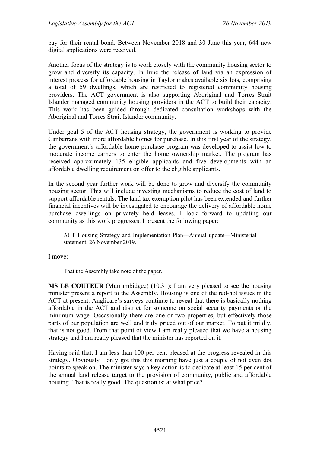pay for their rental bond. Between November 2018 and 30 June this year, 644 new digital applications were received.

Another focus of the strategy is to work closely with the community housing sector to grow and diversify its capacity. In June the release of land via an expression of interest process for affordable housing in Taylor makes available six lots, comprising a total of 59 dwellings, which are restricted to registered community housing providers. The ACT government is also supporting Aboriginal and Torres Strait Islander managed community housing providers in the ACT to build their capacity. This work has been guided through dedicated consultation workshops with the Aboriginal and Torres Strait Islander community.

Under goal 5 of the ACT housing strategy, the government is working to provide Canberrans with more affordable homes for purchase. In this first year of the strategy, the government's affordable home purchase program was developed to assist low to moderate income earners to enter the home ownership market. The program has received approximately 135 eligible applicants and five developments with an affordable dwelling requirement on offer to the eligible applicants.

In the second year further work will be done to grow and diversify the community housing sector. This will include investing mechanisms to reduce the cost of land to support affordable rentals. The land tax exemption pilot has been extended and further financial incentives will be investigated to encourage the delivery of affordable home purchase dwellings on privately held leases. I look forward to updating our community as this work progresses. I present the following paper:

ACT Housing Strategy and Implementation Plan—Annual update—Ministerial statement, 26 November 2019.

I move:

That the Assembly take note of the paper.

**MS LE COUTEUR** (Murrumbidgee) (10.31): I am very pleased to see the housing minister present a report to the Assembly. Housing is one of the red-hot issues in the ACT at present. Anglicare's surveys continue to reveal that there is basically nothing affordable in the ACT and district for someone on social security payments or the minimum wage. Occasionally there are one or two properties, but effectively those parts of our population are well and truly priced out of our market. To put it mildly, that is not good. From that point of view I am really pleased that we have a housing strategy and I am really pleased that the minister has reported on it.

Having said that, I am less than 100 per cent pleased at the progress revealed in this strategy. Obviously I only got this this morning have just a couple of not even dot points to speak on. The minister says a key action is to dedicate at least 15 per cent of the annual land release target to the provision of community, public and affordable housing. That is really good. The question is: at what price?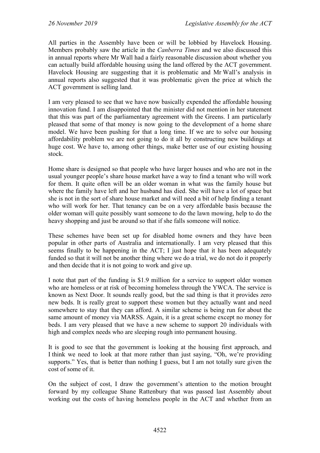All parties in the Assembly have been or will be lobbied by Havelock Housing. Members probably saw the article in the *Canberra Times* and we also discussed this in annual reports where Mr Wall had a fairly reasonable discussion about whether you can actually build affordable housing using the land offered by the ACT government. Havelock Housing are suggesting that it is problematic and Mr Wall's analysis in annual reports also suggested that it was problematic given the price at which the ACT government is selling land.

I am very pleased to see that we have now basically expended the affordable housing innovation fund. I am disappointed that the minister did not mention in her statement that this was part of the parliamentary agreement with the Greens. I am particularly pleased that some of that money is now going to the development of a home share model. We have been pushing for that a long time. If we are to solve our housing affordability problem we are not going to do it all by constructing new buildings at huge cost. We have to, among other things, make better use of our existing housing stock.

Home share is designed so that people who have larger houses and who are not in the usual younger people's share house market have a way to find a tenant who will work for them. It quite often will be an older woman in what was the family house but where the family have left and her husband has died. She will have a lot of space but she is not in the sort of share house market and will need a bit of help finding a tenant who will work for her. That tenancy can be on a very affordable basis because the older woman will quite possibly want someone to do the lawn mowing, help to do the heavy shopping and just be around so that if she falls someone will notice.

These schemes have been set up for disabled home owners and they have been popular in other parts of Australia and internationally. I am very pleased that this seems finally to be happening in the ACT; I just hope that it has been adequately funded so that it will not be another thing where we do a trial, we do not do it properly and then decide that it is not going to work and give up.

I note that part of the funding is \$1.9 million for a service to support older women who are homeless or at risk of becoming homeless through the YWCA. The service is known as Next Door. It sounds really good, but the sad thing is that it provides zero new beds. It is really great to support these women but they actually want and need somewhere to stay that they can afford. A similar scheme is being run for about the same amount of money via MARSS. Again, it is a great scheme except no money for beds. I am very pleased that we have a new scheme to support 20 individuals with high and complex needs who are sleeping rough into permanent housing.

It is good to see that the government is looking at the housing first approach, and I think we need to look at that more rather than just saying, "Oh, we're providing supports." Yes, that is better than nothing I guess, but I am not totally sure given the cost of some of it.

On the subject of cost, I draw the government's attention to the motion brought forward by my colleague Shane Rattenbury that was passed last Assembly about working out the costs of having homeless people in the ACT and whether from an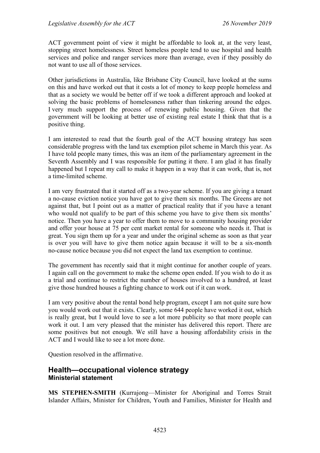ACT government point of view it might be affordable to look at, at the very least, stopping street homelessness. Street homeless people tend to use hospital and health services and police and ranger services more than average, even if they possibly do not want to use all of those services.

Other jurisdictions in Australia, like Brisbane City Council, have looked at the sums on this and have worked out that it costs a lot of money to keep people homeless and that as a society we would be better off if we took a different approach and looked at solving the basic problems of homelessness rather than tinkering around the edges. I very much support the process of renewing public housing. Given that the government will be looking at better use of existing real estate I think that that is a positive thing.

I am interested to read that the fourth goal of the ACT housing strategy has seen considerable progress with the land tax exemption pilot scheme in March this year. As I have told people many times, this was an item of the parliamentary agreement in the Seventh Assembly and I was responsible for putting it there. I am glad it has finally happened but I repeat my call to make it happen in a way that it can work, that is, not a time-limited scheme.

I am very frustrated that it started off as a two-year scheme. If you are giving a tenant a no-cause eviction notice you have got to give them six months. The Greens are not against that, but I point out as a matter of practical reality that if you have a tenant who would not qualify to be part of this scheme you have to give them six months' notice. Then you have a year to offer them to move to a community housing provider and offer your house at 75 per cent market rental for someone who needs it. That is great. You sign them up for a year and under the original scheme as soon as that year is over you will have to give them notice again because it will to be a six-month no-cause notice because you did not expect the land tax exemption to continue.

The government has recently said that it might continue for another couple of years. I again call on the government to make the scheme open ended. If you wish to do it as a trial and continue to restrict the number of houses involved to a hundred, at least give those hundred houses a fighting chance to work out if it can work.

I am very positive about the rental bond help program, except I am not quite sure how you would work out that it exists. Clearly, some 644 people have worked it out, which is really great, but I would love to see a lot more publicity so that more people can work it out. I am very pleased that the minister has delivered this report. There are some positives but not enough. We still have a housing affordability crisis in the ACT and I would like to see a lot more done.

Question resolved in the affirmative.

#### <span id="page-19-1"></span><span id="page-19-0"></span>**Health—occupational violence strategy Ministerial statement**

**MS STEPHEN-SMITH** (Kurrajong—Minister for Aboriginal and Torres Strait Islander Affairs, Minister for Children, Youth and Families, Minister for Health and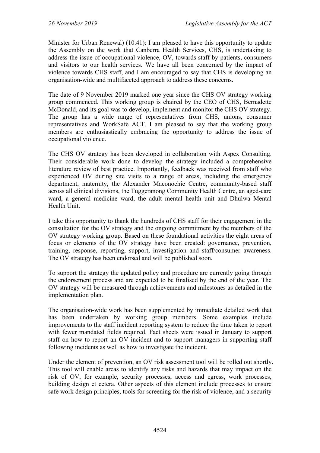Minister for Urban Renewal) (10.41): I am pleased to have this opportunity to update the Assembly on the work that Canberra Health Services, CHS, is undertaking to address the issue of occupational violence, OV, towards staff by patients, consumers and visitors to our health services. We have all been concerned by the impact of violence towards CHS staff, and I am encouraged to say that CHS is developing an organisation-wide and multifaceted approach to address these concerns.

The date of 9 November 2019 marked one year since the CHS OV strategy working group commenced. This working group is chaired by the CEO of CHS, Bernadette McDonald, and its goal was to develop, implement and monitor the CHS OV strategy. The group has a wide range of representatives from CHS, unions, consumer representatives and WorkSafe ACT. I am pleased to say that the working group members are enthusiastically embracing the opportunity to address the issue of occupational violence.

The CHS OV strategy has been developed in collaboration with Aspex Consulting. Their considerable work done to develop the strategy included a comprehensive literature review of best practice. Importantly, feedback was received from staff who experienced OV during site visits to a range of areas, including the emergency department, maternity, the Alexander Maconochie Centre, community-based staff across all clinical divisions, the Tuggeranong Community Health Centre, an aged-care ward, a general medicine ward, the adult mental health unit and Dhulwa Mental Health Unit.

I take this opportunity to thank the hundreds of CHS staff for their engagement in the consultation for the OV strategy and the ongoing commitment by the members of the OV strategy working group. Based on these foundational activities the eight areas of focus or elements of the OV strategy have been created: governance, prevention, training, response, reporting, support, investigation and staff/consumer awareness. The OV strategy has been endorsed and will be published soon.

To support the strategy the updated policy and procedure are currently going through the endorsement process and are expected to be finalised by the end of the year. The OV strategy will be measured through achievements and milestones as detailed in the implementation plan.

The organisation-wide work has been supplemented by immediate detailed work that has been undertaken by working group members. Some examples include improvements to the staff incident reporting system to reduce the time taken to report with fewer mandated fields required. Fact sheets were issued in January to support staff on how to report an OV incident and to support managers in supporting staff following incidents as well as how to investigate the incident.

Under the element of prevention, an OV risk assessment tool will be rolled out shortly. This tool will enable areas to identify any risks and hazards that may impact on the risk of OV, for example, security processes, access and egress, work processes, building design et cetera. Other aspects of this element include processes to ensure safe work design principles, tools for screening for the risk of violence, and a security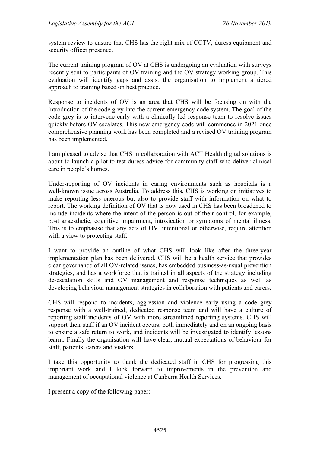system review to ensure that CHS has the right mix of CCTV, duress equipment and security officer presence.

The current training program of OV at CHS is undergoing an evaluation with surveys recently sent to participants of OV training and the OV strategy working group. This evaluation will identify gaps and assist the organisation to implement a tiered approach to training based on best practice.

Response to incidents of OV is an area that CHS will be focusing on with the introduction of the code grey into the current emergency code system. The goal of the code grey is to intervene early with a clinically led response team to resolve issues quickly before OV escalates. This new emergency code will commence in 2021 once comprehensive planning work has been completed and a revised OV training program has been implemented.

I am pleased to advise that CHS in collaboration with ACT Health digital solutions is about to launch a pilot to test duress advice for community staff who deliver clinical care in people's homes.

Under-reporting of OV incidents in caring environments such as hospitals is a well-known issue across Australia. To address this, CHS is working on initiatives to make reporting less onerous but also to provide staff with information on what to report. The working definition of OV that is now used in CHS has been broadened to include incidents where the intent of the person is out of their control, for example, post anaesthetic, cognitive impairment, intoxication or symptoms of mental illness. This is to emphasise that any acts of OV, intentional or otherwise, require attention with a view to protecting staff.

I want to provide an outline of what CHS will look like after the three-year implementation plan has been delivered. CHS will be a health service that provides clear governance of all OV-related issues, has embedded business-as-usual prevention strategies, and has a workforce that is trained in all aspects of the strategy including de-escalation skills and OV management and response techniques as well as developing behaviour management strategies in collaboration with patients and carers.

CHS will respond to incidents, aggression and violence early using a code grey response with a well-trained, dedicated response team and will have a culture of reporting staff incidents of OV with more streamlined reporting systems. CHS will support their staff if an OV incident occurs, both immediately and on an ongoing basis to ensure a safe return to work, and incidents will be investigated to identify lessons learnt. Finally the organisation will have clear, mutual expectations of behaviour for staff, patients, carers and visitors.

I take this opportunity to thank the dedicated staff in CHS for progressing this important work and I look forward to improvements in the prevention and management of occupational violence at Canberra Health Services.

I present a copy of the following paper: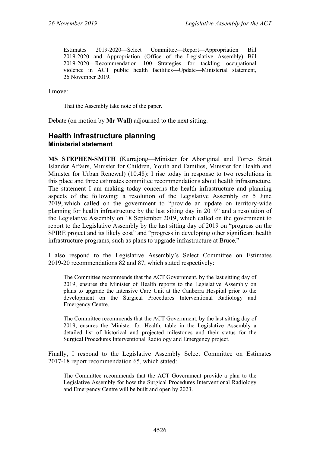Estimates 2019-2020—Select Committee—Report—Appropriation Bill 2019-2020 and Appropriation (Office of the Legislative Assembly) Bill 2019-2020—Recommendation 100—Strategies for tackling occupational violence in ACT public health facilities—Update—Ministerial statement, 26 November 2019.

I move:

That the Assembly take note of the paper.

Debate (on motion by **Mr Wall**) adjourned to the next sitting.

## <span id="page-22-1"></span><span id="page-22-0"></span>**Health infrastructure planning Ministerial statement**

**MS STEPHEN-SMITH** (Kurrajong—Minister for Aboriginal and Torres Strait Islander Affairs, Minister for Children, Youth and Families, Minister for Health and Minister for Urban Renewal) (10.48): I rise today in response to two resolutions in this place and three estimates committee recommendations about health infrastructure. The statement I am making today concerns the health infrastructure and planning aspects of the following: a resolution of the Legislative Assembly on 5 June 2019, which called on the government to "provide an update on territory-wide planning for health infrastructure by the last sitting day in 2019" and a resolution of the Legislative Assembly on 18 September 2019, which called on the government to report to the Legislative Assembly by the last sitting day of 2019 on "progress on the SPIRE project and its likely cost" and "progress in developing other significant health infrastructure programs, such as plans to upgrade infrastructure at Bruce."

I also respond to the Legislative Assembly's Select Committee on Estimates 2019-20 recommendations 82 and 87, which stated respectively:

The Committee recommends that the ACT Government, by the last sitting day of 2019, ensures the Minister of Health reports to the Legislative Assembly on plans to upgrade the Intensive Care Unit at the Canberra Hospital prior to the development on the Surgical Procedures Interventional Radiology and Emergency Centre.

The Committee recommends that the ACT Government, by the last sitting day of 2019, ensures the Minister for Health, table in the Legislative Assembly a detailed list of historical and projected milestones and their status for the Surgical Procedures Interventional Radiology and Emergency project.

Finally, I respond to the Legislative Assembly Select Committee on Estimates 2017-18 report recommendation 65, which stated:

The Committee recommends that the ACT Government provide a plan to the Legislative Assembly for how the Surgical Procedures Interventional Radiology and Emergency Centre will be built and open by 2023.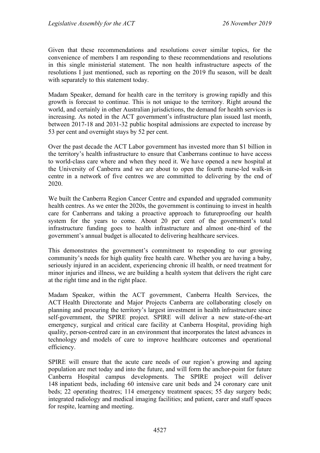Given that these recommendations and resolutions cover similar topics, for the convenience of members I am responding to these recommendations and resolutions in this single ministerial statement. The non health infrastructure aspects of the resolutions I just mentioned, such as reporting on the 2019 flu season, will be dealt with separately to this statement today.

Madam Speaker, demand for health care in the territory is growing rapidly and this growth is forecast to continue. This is not unique to the territory. Right around the world, and certainly in other Australian jurisdictions, the demand for health services is increasing. As noted in the ACT government's infrastructure plan issued last month, between 2017-18 and 2031-32 public hospital admissions are expected to increase by 53 per cent and overnight stays by 52 per cent.

Over the past decade the ACT Labor government has invested more than \$1 billion in the territory's health infrastructure to ensure that Canberrans continue to have access to world-class care where and when they need it. We have opened a new hospital at the University of Canberra and we are about to open the fourth nurse-led walk-in centre in a network of five centres we are committed to delivering by the end of 2020.

We built the Canberra Region Cancer Centre and expanded and upgraded community health centres. As we enter the 2020s, the government is continuing to invest in health care for Canberrans and taking a proactive approach to futureproofing our health system for the years to come. About 20 per cent of the government's total infrastructure funding goes to health infrastructure and almost one-third of the government's annual budget is allocated to delivering healthcare services.

This demonstrates the government's commitment to responding to our growing community's needs for high quality free health care. Whether you are having a baby, seriously injured in an accident, experiencing chronic ill health, or need treatment for minor injuries and illness, we are building a health system that delivers the right care at the right time and in the right place.

Madam Speaker, within the ACT government, Canberra Health Services, the ACT Health Directorate and Major Projects Canberra are collaborating closely on planning and procuring the territory's largest investment in health infrastructure since self-government, the SPIRE project. SPIRE will deliver a new state-of-the-art emergency, surgical and critical care facility at Canberra Hospital, providing high quality, person-centred care in an environment that incorporates the latest advances in technology and models of care to improve healthcare outcomes and operational efficiency.

SPIRE will ensure that the acute care needs of our region's growing and ageing population are met today and into the future, and will form the anchor-point for future Canberra Hospital campus developments. The SPIRE project will deliver 148 inpatient beds, including 60 intensive care unit beds and 24 coronary care unit beds; 22 operating theatres; 114 emergency treatment spaces; 55 day surgery beds; integrated radiology and medical imaging facilities; and patient, carer and staff spaces for respite, learning and meeting.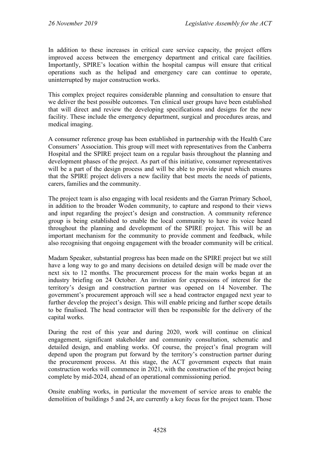In addition to these increases in critical care service capacity, the project offers improved access between the emergency department and critical care facilities. Importantly, SPIRE's location within the hospital campus will ensure that critical operations such as the helipad and emergency care can continue to operate, uninterrupted by major construction works.

This complex project requires considerable planning and consultation to ensure that we deliver the best possible outcomes. Ten clinical user groups have been established that will direct and review the developing specifications and designs for the new facility. These include the emergency department, surgical and procedures areas, and medical imaging.

A consumer reference group has been established in partnership with the Health Care Consumers' Association. This group will meet with representatives from the Canberra Hospital and the SPIRE project team on a regular basis throughout the planning and development phases of the project. As part of this initiative, consumer representatives will be a part of the design process and will be able to provide input which ensures that the SPIRE project delivers a new facility that best meets the needs of patients, carers, families and the community.

The project team is also engaging with local residents and the Garran Primary School, in addition to the broader Woden community, to capture and respond to their views and input regarding the project's design and construction. A community reference group is being established to enable the local community to have its voice heard throughout the planning and development of the SPIRE project. This will be an important mechanism for the community to provide comment and feedback, while also recognising that ongoing engagement with the broader community will be critical.

Madam Speaker, substantial progress has been made on the SPIRE project but we still have a long way to go and many decisions on detailed design will be made over the next six to 12 months. The procurement process for the main works began at an industry briefing on 24 October. An invitation for expressions of interest for the territory's design and construction partner was opened on 14 November. The government's procurement approach will see a head contractor engaged next year to further develop the project's design. This will enable pricing and further scope details to be finalised. The head contractor will then be responsible for the delivery of the capital works.

During the rest of this year and during 2020, work will continue on clinical engagement, significant stakeholder and community consultation, schematic and detailed design, and enabling works. Of course, the project's final program will depend upon the program put forward by the territory's construction partner during the procurement process. At this stage, the ACT government expects that main construction works will commence in 2021, with the construction of the project being complete by mid-2024, ahead of an operational commissioning period.

Onsite enabling works, in particular the movement of service areas to enable the demolition of buildings 5 and 24, are currently a key focus for the project team. Those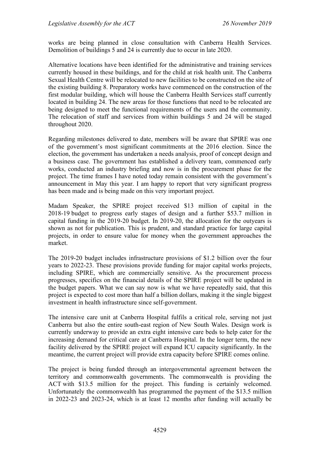works are being planned in close consultation with Canberra Health Services. Demolition of buildings 5 and 24 is currently due to occur in late 2020.

Alternative locations have been identified for the administrative and training services currently housed in these buildings, and for the child at risk health unit. The Canberra Sexual Health Centre will be relocated to new facilities to be constructed on the site of the existing building 8. Preparatory works have commenced on the construction of the first modular building, which will house the Canberra Health Services staff currently located in building 24. The new areas for those functions that need to be relocated are being designed to meet the functional requirements of the users and the community. The relocation of staff and services from within buildings 5 and 24 will be staged throughout 2020.

Regarding milestones delivered to date, members will be aware that SPIRE was one of the government's most significant commitments at the 2016 election. Since the election, the government has undertaken a needs analysis, proof of concept design and a business case. The government has established a delivery team, commenced early works, conducted an industry briefing and now is in the procurement phase for the project. The time frames I have noted today remain consistent with the government's announcement in May this year. I am happy to report that very significant progress has been made and is being made on this very important project.

Madam Speaker, the SPIRE project received \$13 million of capital in the 2018-19 budget to progress early stages of design and a further \$53.7 million in capital funding in the 2019-20 budget. In 2019-20, the allocation for the outyears is shown as not for publication. This is prudent, and standard practice for large capital projects, in order to ensure value for money when the government approaches the market.

The 2019-20 budget includes infrastructure provisions of \$1.2 billion over the four years to 2022-23. These provisions provide funding for major capital works projects, including SPIRE, which are commercially sensitive. As the procurement process progresses, specifics on the financial details of the SPIRE project will be updated in the budget papers. What we can say now is what we have repeatedly said, that this project is expected to cost more than half a billion dollars, making it the single biggest investment in health infrastructure since self-government.

The intensive care unit at Canberra Hospital fulfils a critical role, serving not just Canberra but also the entire south-east region of New South Wales. Design work is currently underway to provide an extra eight intensive care beds to help cater for the increasing demand for critical care at Canberra Hospital. In the longer term, the new facility delivered by the SPIRE project will expand ICU capacity significantly. In the meantime, the current project will provide extra capacity before SPIRE comes online.

The project is being funded through an intergovernmental agreement between the territory and commonwealth governments. The commonwealth is providing the ACT with \$13.5 million for the project. This funding is certainly welcomed. Unfortunately the commonwealth has programmed the payment of the \$13.5 million in 2022-23 and 2023-24, which is at least 12 months after funding will actually be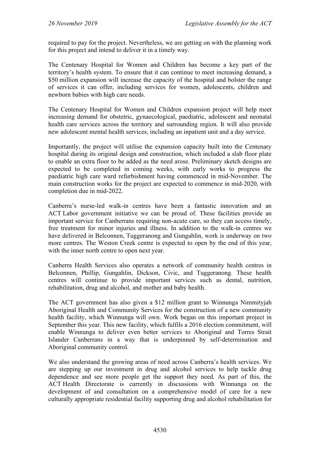required to pay for the project. Nevertheless, we are getting on with the planning work for this project and intend to deliver it in a timely way.

The Centenary Hospital for Women and Children has become a key part of the territory's health system. To ensure that it can continue to meet increasing demand, a \$50 million expansion will increase the capacity of the hospital and bolster the range of services it can offer, including services for women, adolescents, children and newborn babies with high care needs.

The Centenary Hospital for Women and Children expansion project will help meet increasing demand for obstetric, gynaecological, paediatric, adolescent and neonatal health care services across the territory and surrounding region. It will also provide new adolescent mental health services, including an inpatient unit and a day service.

Importantly, the project will utilise the expansion capacity built into the Centenary hospital during its original design and construction, which included a slab floor plate to enable an extra floor to be added as the need arose. Preliminary sketch designs are expected to be completed in coming weeks, with early works to progress the paediatric high care ward refurbishment having commenced in mid-November. The main construction works for the project are expected to commence in mid-2020, with completion due in mid-2022.

Canberra's nurse-led walk-in centres have been a fantastic innovation and an ACT Labor government initiative we can be proud of. These facilities provide an important service for Canberrans requiring non-acute care, so they can access timely, free treatment for minor injuries and illness. In addition to the walk-in centres we have delivered in Belconnen, Tuggeranong and Gungahlin, work is underway on two more centres. The Weston Creek centre is expected to open by the end of this year, with the inner north centre to open next year.

Canberra Health Services also operates a network of community health centres in Belconnen, Phillip, Gungahlin, Dickson, Civic, and Tuggeranong. These health centres will continue to provide important services such as dental, nutrition, rehabilitation, drug and alcohol, and mother and baby health.

The ACT government has also given a \$12 million grant to Winnunga Nimmityjah Aboriginal Health and Community Services for the construction of a new community health facility, which Winnunga will own. Work began on this important project in September this year. This new facility, which fulfils a 2016 election commitment, will enable Winnunga to deliver even better services to Aboriginal and Torres Strait Islander Canberrans in a way that is underpinned by self-determination and Aboriginal community control.

We also understand the growing areas of need across Canberra's health services. We are stepping up our investment in drug and alcohol services to help tackle drug dependence and see more people get the support they need. As part of this, the ACT Health Directorate is currently in discussions with Winnunga on the development of and consultation on a comprehensive model of care for a new culturally appropriate residential facility supporting drug and alcohol rehabilitation for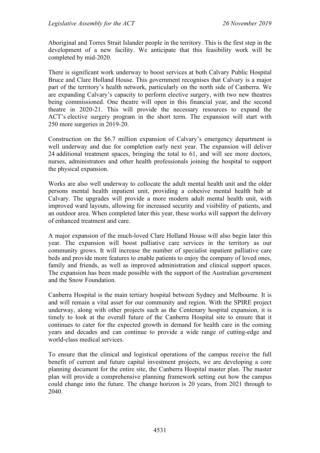Aboriginal and Torres Strait Islander people in the territory. This is the first step in the development of a new facility. We anticipate that this feasibility work will be completed by mid-2020.

There is significant work underway to boost services at both Calvary Public Hospital Bruce and Clare Holland House. This government recognises that Calvary is a major part of the territory's health network, particularly on the north side of Canberra. We are expanding Calvary's capacity to perform elective surgery, with two new theatres being commissioned. One theatre will open in this financial year, and the second theatre in 2020-21. This will provide the necessary resources to expand the ACT's elective surgery program in the short term. The expansion will start with 250 more surgeries in 2019-20.

Construction on the \$6.7 million expansion of Calvary's emergency department is well underway and due for completion early next year. The expansion will deliver 24 additional treatment spaces, bringing the total to 61, and will see more doctors, nurses, administrators and other health professionals joining the hospital to support the physical expansion.

Works are also well underway to collocate the adult mental health unit and the older persons mental health inpatient unit, providing a cohesive mental health hub at Calvary. The upgrades will provide a more modern adult mental health unit, with improved ward layouts, allowing for increased security and visibility of patients, and an outdoor area. When completed later this year, these works will support the delivery of enhanced treatment and care.

A major expansion of the much-loved Clare Holland House will also begin later this year. The expansion will boost palliative care services in the territory as our community grows. It will increase the number of specialist inpatient palliative care beds and provide more features to enable patients to enjoy the company of loved ones, family and friends, as well as improved administration and clinical support spaces. The expansion has been made possible with the support of the Australian government and the Snow Foundation.

Canberra Hospital is the main tertiary hospital between Sydney and Melbourne. It is and will remain a vital asset for our community and region. With the SPIRE project underway, along with other projects such as the Centenary hospital expansion, it is timely to look at the overall future of the Canberra Hospital site to ensure that it continues to cater for the expected growth in demand for health care in the coming years and decades and can continue to provide a wide range of cutting-edge and world-class medical services.

To ensure that the clinical and logistical operations of the campus receive the full benefit of current and future capital investment projects, we are developing a core planning document for the entire site, the Canberra Hospital master plan. The master plan will provide a comprehensive planning framework setting out how the campus could change into the future. The change horizon is 20 years, from 2021 through to 2040.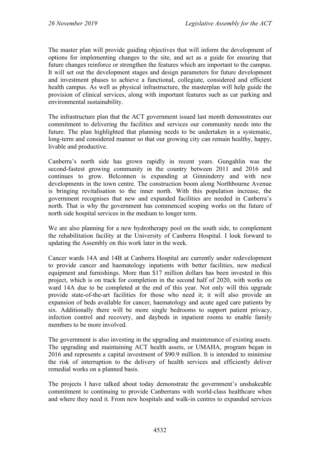The master plan will provide guiding objectives that will inform the development of options for implementing changes to the site, and act as a guide for ensuring that future changes reinforce or strengthen the features which are important to the campus. It will set out the development stages and design parameters for future development and investment phases to achieve a functional, collegiate, considered and efficient health campus. As well as physical infrastructure, the masterplan will help guide the provision of clinical services, along with important features such as car parking and environmental sustainability.

The infrastructure plan that the ACT government issued last month demonstrates our commitment to delivering the facilities and services our community needs into the future. The plan highlighted that planning needs to be undertaken in a systematic, long-term and considered manner so that our growing city can remain healthy, happy, livable and productive.

Canberra's north side has grown rapidly in recent years. Gungahlin was the second-fastest growing community in the country between 2011 and 2016 and continues to grow. Belconnen is expanding at Ginninderry and with new developments in the town centre. The construction boom along Northbourne Avenue is bringing revitalisation to the inner north. With this population increase, the government recognises that new and expanded facilities are needed in Canberra's north. That is why the government has commenced scoping works on the future of north side hospital services in the medium to longer term.

We are also planning for a new hydrotherapy pool on the south side, to complement the rehabilitation facility at the University of Canberra Hospital. I look forward to updating the Assembly on this work later in the week.

Cancer wards 14A and 14B at Canberra Hospital are currently under redevelopment to provide cancer and haematology inpatients with better facilities, new medical equipment and furnishings. More than \$17 million dollars has been invested in this project, which is on track for completion in the second half of 2020, with works on ward 14A due to be completed at the end of this year. Not only will this upgrade provide state-of-the-art facilities for those who need it; it will also provide an expansion of beds available for cancer, haematology and acute aged care patients by six. Additionally there will be more single bedrooms to support patient privacy, infection control and recovery, and daybeds in inpatient rooms to enable family members to be more involved.

The government is also investing in the upgrading and maintenance of existing assets. The upgrading and maintaining ACT health assets, or UMAHA, program began in 2016 and represents a capital investment of \$90.9 million. It is intended to minimise the risk of interruption to the delivery of health services and efficiently deliver remedial works on a planned basis.

The projects I have talked about today demonstrate the government's unshakeable commitment to continuing to provide Canberrans with world-class healthcare when and where they need it. From new hospitals and walk-in centres to expanded services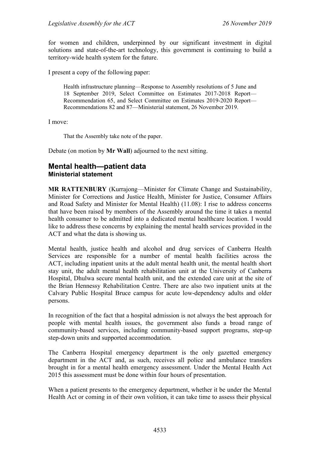for women and children, underpinned by our significant investment in digital solutions and state-of-the-art technology, this government is continuing to build a territory-wide health system for the future.

I present a copy of the following paper:

Health infrastructure planning—Response to Assembly resolutions of 5 June and 18 September 2019, Select Committee on Estimates 2017-2018 Report— Recommendation 65, and Select Committee on Estimates 2019-2020 Report— Recommendations 82 and 87—Ministerial statement, 26 November 2019.

I move:

That the Assembly take note of the paper.

Debate (on motion by **Mr Wall**) adjourned to the next sitting.

## <span id="page-29-1"></span><span id="page-29-0"></span>**Mental health—patient data Ministerial statement**

**MR RATTENBURY** (Kurrajong—Minister for Climate Change and Sustainability, Minister for Corrections and Justice Health, Minister for Justice, Consumer Affairs and Road Safety and Minister for Mental Health) (11.08): I rise to address concerns that have been raised by members of the Assembly around the time it takes a mental health consumer to be admitted into a dedicated mental healthcare location. I would like to address these concerns by explaining the mental health services provided in the ACT and what the data is showing us.

Mental health, justice health and alcohol and drug services of Canberra Health Services are responsible for a number of mental health facilities across the ACT, including inpatient units at the adult mental health unit, the mental health short stay unit, the adult mental health rehabilitation unit at the University of Canberra Hospital, Dhulwa secure mental health unit, and the extended care unit at the site of the Brian Hennessy Rehabilitation Centre. There are also two inpatient units at the Calvary Public Hospital Bruce campus for acute low-dependency adults and older persons.

In recognition of the fact that a hospital admission is not always the best approach for people with mental health issues, the government also funds a broad range of community-based services, including community-based support programs, step-up step-down units and supported accommodation.

The Canberra Hospital emergency department is the only gazetted emergency department in the ACT and, as such, receives all police and ambulance transfers brought in for a mental health emergency assessment. Under the Mental Health Act 2015 this assessment must be done within four hours of presentation.

When a patient presents to the emergency department, whether it be under the Mental Health Act or coming in of their own volition, it can take time to assess their physical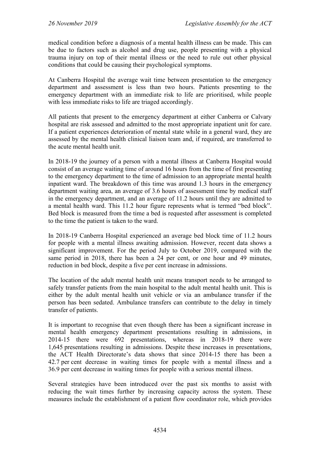medical condition before a diagnosis of a mental health illness can be made. This can be due to factors such as alcohol and drug use, people presenting with a physical trauma injury on top of their mental illness or the need to rule out other physical conditions that could be causing their psychological symptoms.

At Canberra Hospital the average wait time between presentation to the emergency department and assessment is less than two hours. Patients presenting to the emergency department with an immediate risk to life are prioritised, while people with less immediate risks to life are triaged accordingly.

All patients that present to the emergency department at either Canberra or Calvary hospital are risk assessed and admitted to the most appropriate inpatient unit for care. If a patient experiences deterioration of mental state while in a general ward, they are assessed by the mental health clinical liaison team and, if required, are transferred to the acute mental health unit.

In 2018-19 the journey of a person with a mental illness at Canberra Hospital would consist of an average waiting time of around 16 hours from the time of first presenting to the emergency department to the time of admission to an appropriate mental health inpatient ward. The breakdown of this time was around 1.3 hours in the emergency department waiting area, an average of 3.6 hours of assessment time by medical staff in the emergency department, and an average of 11.2 hours until they are admitted to a mental health ward. This 11.2 hour figure represents what is termed "bed block". Bed block is measured from the time a bed is requested after assessment is completed to the time the patient is taken to the ward.

In 2018-19 Canberra Hospital experienced an average bed block time of 11.2 hours for people with a mental illness awaiting admission. However, recent data shows a significant improvement. For the period July to October 2019, compared with the same period in 2018, there has been a 24 per cent, or one hour and 49 minutes, reduction in bed block, despite a five per cent increase in admissions.

The location of the adult mental health unit means transport needs to be arranged to safely transfer patients from the main hospital to the adult mental health unit. This is either by the adult mental health unit vehicle or via an ambulance transfer if the person has been sedated. Ambulance transfers can contribute to the delay in timely transfer of patients.

It is important to recognise that even though there has been a significant increase in mental health emergency department presentations resulting in admissions, in 2014-15 there were 692 presentations, whereas in 2018-19 there were 1,645 presentations resulting in admissions. Despite these increases in presentations, the ACT Health Directorate's data shows that since 2014-15 there has been a 42.7 per cent decrease in waiting times for people with a mental illness and a 36.9 per cent decrease in waiting times for people with a serious mental illness.

Several strategies have been introduced over the past six months to assist with reducing the wait times further by increasing capacity across the system. These measures include the establishment of a patient flow coordinator role, which provides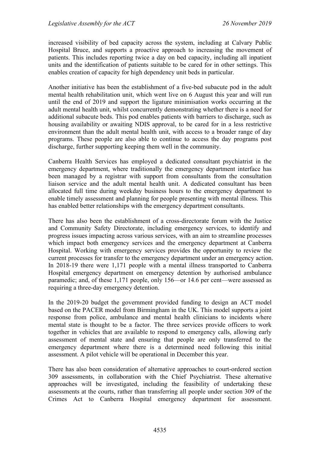increased visibility of bed capacity across the system, including at Calvary Public Hospital Bruce, and supports a proactive approach to increasing the movement of patients. This includes reporting twice a day on bed capacity, including all inpatient units and the identification of patients suitable to be cared for in other settings. This enables creation of capacity for high dependency unit beds in particular.

Another initiative has been the establishment of a five-bed subacute pod in the adult mental health rehabilitation unit, which went live on 6 August this year and will run until the end of 2019 and support the ligature minimisation works occurring at the adult mental health unit, whilst concurrently demonstrating whether there is a need for additional subacute beds. This pod enables patients with barriers to discharge, such as housing availability or awaiting NDIS approval, to be cared for in a less restrictive environment than the adult mental health unit, with access to a broader range of day programs. These people are also able to continue to access the day programs post discharge, further supporting keeping them well in the community.

Canberra Health Services has employed a dedicated consultant psychiatrist in the emergency department, where traditionally the emergency department interface has been managed by a registrar with support from consultants from the consultation liaison service and the adult mental health unit. A dedicated consultant has been allocated full time during weekday business hours to the emergency department to enable timely assessment and planning for people presenting with mental illness. This has enabled better relationships with the emergency department consultants.

There has also been the establishment of a cross-directorate forum with the Justice and Community Safety Directorate, including emergency services, to identify and progress issues impacting across various services, with an aim to streamline processes which impact both emergency services and the emergency department at Canberra Hospital. Working with emergency services provides the opportunity to review the current processes for transfer to the emergency department under an emergency action. In 2018-19 there were 1,171 people with a mental illness transported to Canberra Hospital emergency department on emergency detention by authorised ambulance paramedic; and, of these 1,171 people, only 156—or 14.6 per cent—were assessed as requiring a three-day emergency detention.

In the 2019-20 budget the government provided funding to design an ACT model based on the PACER model from Birmingham in the UK. This model supports a joint response from police, ambulance and mental health clinicians to incidents where mental state is thought to be a factor. The three services provide officers to work together in vehicles that are available to respond to emergency calls, allowing early assessment of mental state and ensuring that people are only transferred to the emergency department where there is a determined need following this initial assessment. A pilot vehicle will be operational in December this year.

There has also been consideration of alternative approaches to court-ordered section 309 assessments, in collaboration with the Chief Psychiatrist. These alternative approaches will be investigated, including the feasibility of undertaking these assessments at the courts, rather than transferring all people under section 309 of the Crimes Act to Canberra Hospital emergency department for assessment.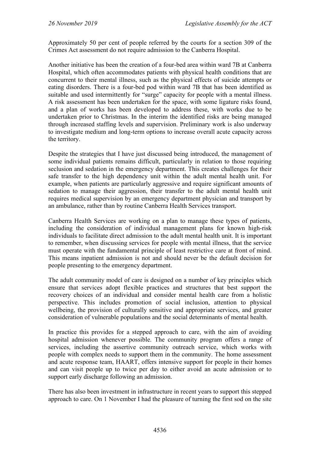Approximately 50 per cent of people referred by the courts for a section 309 of the Crimes Act assessment do not require admission to the Canberra Hospital.

Another initiative has been the creation of a four-bed area within ward 7B at Canberra Hospital, which often accommodates patients with physical health conditions that are concurrent to their mental illness, such as the physical effects of suicide attempts or eating disorders. There is a four-bed pod within ward 7B that has been identified as suitable and used intermittently for "surge" capacity for people with a mental illness. A risk assessment has been undertaken for the space, with some ligature risks found, and a plan of works has been developed to address these, with works due to be undertaken prior to Christmas. In the interim the identified risks are being managed through increased staffing levels and supervision. Preliminary work is also underway to investigate medium and long-term options to increase overall acute capacity across the territory.

Despite the strategies that I have just discussed being introduced, the management of some individual patients remains difficult, particularly in relation to those requiring seclusion and sedation in the emergency department. This creates challenges for their safe transfer to the high dependency unit within the adult mental health unit. For example, when patients are particularly aggressive and require significant amounts of sedation to manage their aggression, their transfer to the adult mental health unit requires medical supervision by an emergency department physician and transport by an ambulance, rather than by routine Canberra Health Services transport.

Canberra Health Services are working on a plan to manage these types of patients, including the consideration of individual management plans for known high-risk individuals to facilitate direct admission to the adult mental health unit. It is important to remember, when discussing services for people with mental illness, that the service must operate with the fundamental principle of least restrictive care at front of mind. This means inpatient admission is not and should never be the default decision for people presenting to the emergency department.

The adult community model of care is designed on a number of key principles which ensure that services adopt flexible practices and structures that best support the recovery choices of an individual and consider mental health care from a holistic perspective. This includes promotion of social inclusion, attention to physical wellbeing, the provision of culturally sensitive and appropriate services, and greater consideration of vulnerable populations and the social determinants of mental health.

In practice this provides for a stepped approach to care, with the aim of avoiding hospital admission whenever possible. The community program offers a range of services, including the assertive community outreach service, which works with people with complex needs to support them in the community. The home assessment and acute response team, HAART, offers intensive support for people in their homes and can visit people up to twice per day to either avoid an acute admission or to support early discharge following an admission.

There has also been investment in infrastructure in recent years to support this stepped approach to care. On 1 November I had the pleasure of turning the first sod on the site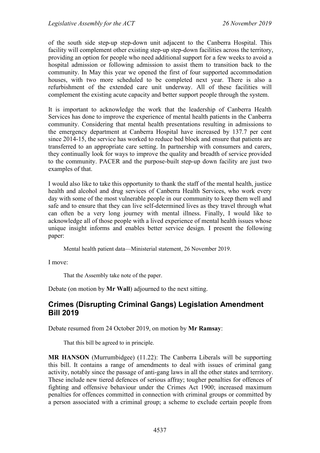of the south side step-up step-down unit adjacent to the Canberra Hospital. This facility will complement other existing step-up step-down facilities across the territory, providing an option for people who need additional support for a few weeks to avoid a hospital admission or following admission to assist them to transition back to the community. In May this year we opened the first of four supported accommodation houses, with two more scheduled to be completed next year. There is also a refurbishment of the extended care unit underway. All of these facilities will complement the existing acute capacity and better support people through the system.

It is important to acknowledge the work that the leadership of Canberra Health Services has done to improve the experience of mental health patients in the Canberra community. Considering that mental health presentations resulting in admissions to the emergency department at Canberra Hospital have increased by 137.7 per cent since 2014-15, the service has worked to reduce bed block and ensure that patients are transferred to an appropriate care setting. In partnership with consumers and carers, they continually look for ways to improve the quality and breadth of service provided to the community. PACER and the purpose-built step-up down facility are just two examples of that.

I would also like to take this opportunity to thank the staff of the mental health, justice health and alcohol and drug services of Canberra Health Services, who work every day with some of the most vulnerable people in our community to keep them well and safe and to ensure that they can live self-determined lives as they travel through what can often be a very long journey with mental illness. Finally, I would like to acknowledge all of those people with a lived experience of mental health issues whose unique insight informs and enables better service design. I present the following paper:

Mental health patient data—Ministerial statement, 26 November 2019.

I move:

That the Assembly take note of the paper.

Debate (on motion by **Mr Wall**) adjourned to the next sitting.

## <span id="page-33-0"></span>**Crimes (Disrupting Criminal Gangs) Legislation Amendment Bill 2019**

Debate resumed from 24 October 2019, on motion by **Mr Ramsay**:

That this bill be agreed to in principle.

**MR HANSON** (Murrumbidgee) (11.22): The Canberra Liberals will be supporting this bill. It contains a range of amendments to deal with issues of criminal gang activity, notably since the passage of anti-gang laws in all the other states and territory. These include new tiered defences of serious affray; tougher penalties for offences of fighting and offensive behaviour under the Crimes Act 1900; increased maximum penalties for offences committed in connection with criminal groups or committed by a person associated with a criminal group; a scheme to exclude certain people from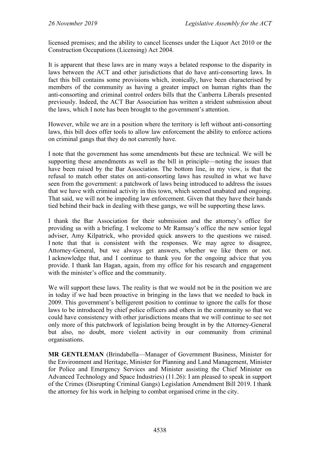licensed premises; and the ability to cancel licenses under the Liquor Act 2010 or the Construction Occupations (Licensing) Act 2004.

It is apparent that these laws are in many ways a belated response to the disparity in laws between the ACT and other jurisdictions that do have anti-consorting laws. In fact this bill contains some provisions which, ironically, have been characterised by members of the community as having a greater impact on human rights than the anti-consorting and criminal control orders bills that the Canberra Liberals presented previously. Indeed, the ACT Bar Association has written a strident submission about the laws, which I note has been brought to the government's attention.

However, while we are in a position where the territory is left without anti-consorting laws, this bill does offer tools to allow law enforcement the ability to enforce actions on criminal gangs that they do not currently have.

I note that the government has some amendments but these are technical. We will be supporting these amendments as well as the bill in principle—noting the issues that have been raised by the Bar Association. The bottom line, in my view, is that the refusal to match other states on anti-consorting laws has resulted in what we have seen from the government: a patchwork of laws being introduced to address the issues that we have with criminal activity in this town, which seemed unabated and ongoing. That said, we will not be impeding law enforcement. Given that they have their hands tied behind their back in dealing with these gangs, we will be supporting these laws.

I thank the Bar Association for their submission and the attorney's office for providing us with a briefing. I welcome to Mr Ramsay's office the new senior legal adviser, Amy Kilpatrick, who provided quick answers to the questions we raised. I note that that is consistent with the responses. We may agree to disagree, Attorney-General, but we always get answers, whether we like them or not. I acknowledge that, and I continue to thank you for the ongoing advice that you provide. I thank Ian Hagan, again, from my office for his research and engagement with the minister's office and the community.

We will support these laws. The reality is that we would not be in the position we are in today if we had been proactive in bringing in the laws that we needed to back in 2009. This government's belligerent position to continue to ignore the calls for those laws to be introduced by chief police officers and others in the community so that we could have consistency with other jurisdictions means that we will continue to see not only more of this patchwork of legislation being brought in by the Attorney-General but also, no doubt, more violent activity in our community from criminal organisations.

**MR GENTLEMAN** (Brindabella—Manager of Government Business, Minister for the Environment and Heritage, Minister for Planning and Land Management, Minister for Police and Emergency Services and Minister assisting the Chief Minister on Advanced Technology and Space Industries) (11.26): I am pleased to speak in support of the Crimes (Disrupting Criminal Gangs) Legislation Amendment Bill 2019. I thank the attorney for his work in helping to combat organised crime in the city.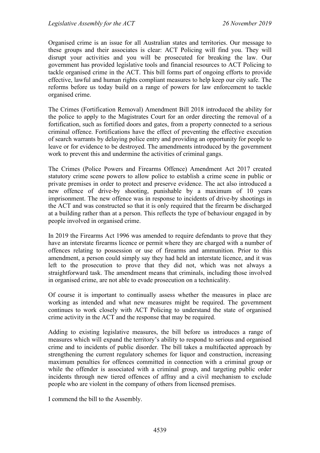Organised crime is an issue for all Australian states and territories. Our message to these groups and their associates is clear: ACT Policing will find you. They will disrupt your activities and you will be prosecuted for breaking the law. Our government has provided legislative tools and financial resources to ACT Policing to tackle organised crime in the ACT. This bill forms part of ongoing efforts to provide effective, lawful and human rights compliant measures to help keep our city safe. The reforms before us today build on a range of powers for law enforcement to tackle organised crime.

The Crimes (Fortification Removal) Amendment Bill 2018 introduced the ability for the police to apply to the Magistrates Court for an order directing the removal of a fortification, such as fortified doors and gates, from a property connected to a serious criminal offence. Fortifications have the effect of preventing the effective execution of search warrants by delaying police entry and providing an opportunity for people to leave or for evidence to be destroyed. The amendments introduced by the government work to prevent this and undermine the activities of criminal gangs.

The Crimes (Police Powers and Firearms Offence) Amendment Act 2017 created statutory crime scene powers to allow police to establish a crime scene in public or private premises in order to protect and preserve evidence. The act also introduced a new offence of drive-by shooting, punishable by a maximum of 10 years imprisonment. The new offence was in response to incidents of drive-by shootings in the ACT and was constructed so that it is only required that the firearm be discharged at a building rather than at a person. This reflects the type of behaviour engaged in by people involved in organised crime.

In 2019 the Firearms Act 1996 was amended to require defendants to prove that they have an interstate firearms licence or permit where they are charged with a number of offences relating to possession or use of firearms and ammunition. Prior to this amendment, a person could simply say they had held an interstate licence, and it was left to the prosecution to prove that they did not, which was not always a straightforward task. The amendment means that criminals, including those involved in organised crime, are not able to evade prosecution on a technicality.

Of course it is important to continually assess whether the measures in place are working as intended and what new measures might be required. The government continues to work closely with ACT Policing to understand the state of organised crime activity in the ACT and the response that may be required.

Adding to existing legislative measures, the bill before us introduces a range of measures which will expand the territory's ability to respond to serious and organised crime and to incidents of public disorder. The bill takes a multifaceted approach by strengthening the current regulatory schemes for liquor and construction, increasing maximum penalties for offences committed in connection with a criminal group or while the offender is associated with a criminal group, and targeting public order incidents through new tiered offences of affray and a civil mechanism to exclude people who are violent in the company of others from licensed premises.

I commend the bill to the Assembly.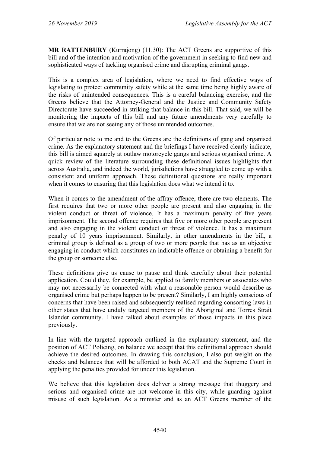**MR RATTENBURY** (Kurrajong) (11.30): The ACT Greens are supportive of this bill and of the intention and motivation of the government in seeking to find new and sophisticated ways of tackling organised crime and disrupting criminal gangs.

This is a complex area of legislation, where we need to find effective ways of legislating to protect community safety while at the same time being highly aware of the risks of unintended consequences. This is a careful balancing exercise, and the Greens believe that the Attorney-General and the Justice and Community Safety Directorate have succeeded in striking that balance in this bill. That said, we will be monitoring the impacts of this bill and any future amendments very carefully to ensure that we are not seeing any of those unintended outcomes.

Of particular note to me and to the Greens are the definitions of gang and organised crime. As the explanatory statement and the briefings I have received clearly indicate, this bill is aimed squarely at outlaw motorcycle gangs and serious organised crime. A quick review of the literature surrounding these definitional issues highlights that across Australia, and indeed the world, jurisdictions have struggled to come up with a consistent and uniform approach. These definitional questions are really important when it comes to ensuring that this legislation does what we intend it to.

When it comes to the amendment of the affray offence, there are two elements. The first requires that two or more other people are present and also engaging in the violent conduct or threat of violence. It has a maximum penalty of five years imprisonment. The second offence requires that five or more other people are present and also engaging in the violent conduct or threat of violence. It has a maximum penalty of 10 years imprisonment. Similarly, in other amendments in the bill, a criminal group is defined as a group of two or more people that has as an objective engaging in conduct which constitutes an indictable offence or obtaining a benefit for the group or someone else.

These definitions give us cause to pause and think carefully about their potential application. Could they, for example, be applied to family members or associates who may not necessarily be connected with what a reasonable person would describe as organised crime but perhaps happen to be present? Similarly, I am highly conscious of concerns that have been raised and subsequently realised regarding consorting laws in other states that have unduly targeted members of the Aboriginal and Torres Strait Islander community. I have talked about examples of those impacts in this place previously.

In line with the targeted approach outlined in the explanatory statement, and the position of ACT Policing, on balance we accept that this definitional approach should achieve the desired outcomes. In drawing this conclusion, I also put weight on the checks and balances that will be afforded to both ACAT and the Supreme Court in applying the penalties provided for under this legislation.

We believe that this legislation does deliver a strong message that thuggery and serious and organised crime are not welcome in this city, while guarding against misuse of such legislation. As a minister and as an ACT Greens member of the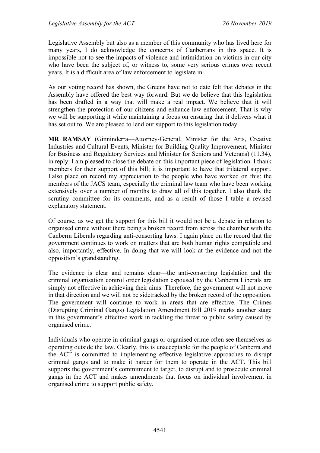Legislative Assembly but also as a member of this community who has lived here for many years, I do acknowledge the concerns of Canberrans in this space. It is impossible not to see the impacts of violence and intimidation on victims in our city who have been the subject of, or witness to, some very serious crimes over recent years. It is a difficult area of law enforcement to legislate in.

As our voting record has shown, the Greens have not to date felt that debates in the Assembly have offered the best way forward. But we do believe that this legislation has been drafted in a way that will make a real impact. We believe that it will strengthen the protection of our citizens and enhance law enforcement. That is why we will be supporting it while maintaining a focus on ensuring that it delivers what it has set out to. We are pleased to lend our support to this legislation today.

**MR RAMSAY** (Ginninderra—Attorney-General, Minister for the Arts, Creative Industries and Cultural Events, Minister for Building Quality Improvement, Minister for Business and Regulatory Services and Minister for Seniors and Veterans) (11.34), in reply: I am pleased to close the debate on this important piece of legislation. I thank members for their support of this bill; it is important to have that trilateral support. I also place on record my appreciation to the people who have worked on this: the members of the JACS team, especially the criminal law team who have been working extensively over a number of months to draw all of this together. I also thank the scrutiny committee for its comments, and as a result of those I table a revised explanatory statement.

Of course, as we get the support for this bill it would not be a debate in relation to organised crime without there being a broken record from across the chamber with the Canberra Liberals regarding anti-consorting laws. I again place on the record that the government continues to work on matters that are both human rights compatible and also, importantly, effective. In doing that we will look at the evidence and not the opposition's grandstanding.

The evidence is clear and remains clear—the anti-consorting legislation and the criminal organisation control order legislation espoused by the Canberra Liberals are simply not effective in achieving their aims. Therefore, the government will not move in that direction and we will not be sidetracked by the broken record of the opposition. The government will continue to work in areas that are effective. The Crimes (Disrupting Criminal Gangs) Legislation Amendment Bill 2019 marks another stage in this government's effective work in tackling the threat to public safety caused by organised crime.

Individuals who operate in criminal gangs or organised crime often see themselves as operating outside the law. Clearly, this is unacceptable for the people of Canberra and the ACT is committed to implementing effective legislative approaches to disrupt criminal gangs and to make it harder for them to operate in the ACT. This bill supports the government's commitment to target, to disrupt and to prosecute criminal gangs in the ACT and makes amendments that focus on individual involvement in organised crime to support public safety.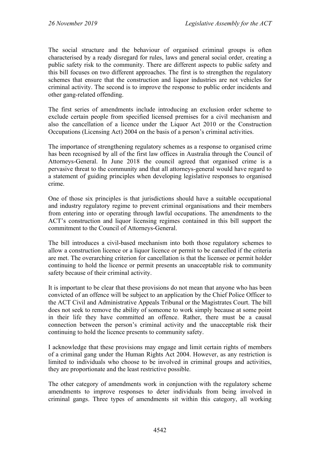The social structure and the behaviour of organised criminal groups is often characterised by a ready disregard for rules, laws and general social order, creating a public safety risk to the community. There are different aspects to public safety and this bill focuses on two different approaches. The first is to strengthen the regulatory schemes that ensure that the construction and liquor industries are not vehicles for criminal activity. The second is to improve the response to public order incidents and other gang-related offending.

The first series of amendments include introducing an exclusion order scheme to exclude certain people from specified licensed premises for a civil mechanism and also the cancellation of a licence under the Liquor Act 2010 or the Construction Occupations (Licensing Act) 2004 on the basis of a person's criminal activities.

The importance of strengthening regulatory schemes as a response to organised crime has been recognised by all of the first law offices in Australia through the Council of Attorneys-General. In June 2018 the council agreed that organised crime is a pervasive threat to the community and that all attorneys-general would have regard to a statement of guiding principles when developing legislative responses to organised crime.

One of those six principles is that jurisdictions should have a suitable occupational and industry regulatory regime to prevent criminal organisations and their members from entering into or operating through lawful occupations. The amendments to the ACT's construction and liquor licensing regimes contained in this bill support the commitment to the Council of Attorneys-General.

The bill introduces a civil-based mechanism into both those regulatory schemes to allow a construction licence or a liquor licence or permit to be cancelled if the criteria are met. The overarching criterion for cancellation is that the licensee or permit holder continuing to hold the licence or permit presents an unacceptable risk to community safety because of their criminal activity.

It is important to be clear that these provisions do not mean that anyone who has been convicted of an offence will be subject to an application by the Chief Police Officer to the ACT Civil and Administrative Appeals Tribunal or the Magistrates Court. The bill does not seek to remove the ability of someone to work simply because at some point in their life they have committed an offence. Rather, there must be a causal connection between the person's criminal activity and the unacceptable risk their continuing to hold the licence presents to community safety.

I acknowledge that these provisions may engage and limit certain rights of members of a criminal gang under the Human Rights Act 2004. However, as any restriction is limited to individuals who choose to be involved in criminal groups and activities, they are proportionate and the least restrictive possible.

The other category of amendments work in conjunction with the regulatory scheme amendments to improve responses to deter individuals from being involved in criminal gangs. Three types of amendments sit within this category, all working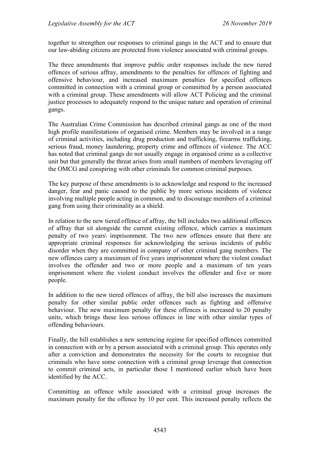together to strengthen our responses to criminal gangs in the ACT and to ensure that our law-abiding citizens are protected from violence associated with criminal groups.

The three amendments that improve public order responses include the new tiered offences of serious affray, amendments to the penalties for offences of fighting and offensive behaviour, and increased maximum penalties for specified offences committed in connection with a criminal group or committed by a person associated with a criminal group. These amendments will allow ACT Policing and the criminal justice processes to adequately respond to the unique nature and operation of criminal gangs.

The Australian Crime Commission has described criminal gangs as one of the most high profile manifestations of organised crime. Members may be involved in a range of criminal activities, including drug production and trafficking, firearms trafficking, serious fraud, money laundering, property crime and offences of violence. The ACC has noted that criminal gangs do not usually engage in organised crime as a collective unit but that generally the threat arises from small numbers of members leveraging off the OMCG and conspiring with other criminals for common criminal purposes.

The key purpose of these amendments is to acknowledge and respond to the increased danger, fear and panic caused to the public by more serious incidents of violence involving multiple people acting in common, and to discourage members of a criminal gang from using their criminality as a shield.

In relation to the new tiered offence of affray, the bill includes two additional offences of affray that sit alongside the current existing offence, which carries a maximum penalty of two years\ imprisonment. The two new offences ensure that there are appropriate criminal responses for acknowledging the serious incidents of public disorder when they are committed in company of other criminal gang members. The new offences carry a maximum of five years imprisonment where the violent conduct involves the offender and two or more people and a maximum of ten years imprisonment where the violent conduct involves the offender and five or more people.

In addition to the new tiered offences of affray, the bill also increases the maximum penalty for other similar public order offences such as fighting and offensive behaviour. The new maximum penalty for these offences is increased to 20 penalty units, which brings these less serious offences in line with other similar types of offending behaviours.

Finally, the bill establishes a new sentencing regime for specified offences committed in connection with or by a person associated with a criminal group. This operates only after a conviction and demonstrates the necessity for the courts to recognise that criminals who have some connection with a criminal group leverage that connection to commit criminal acts, in particular those I mentioned earlier which have been identified by the ACC.

Committing an offence while associated with a criminal group increases the maximum penalty for the offence by 10 per cent. This increased penalty reflects the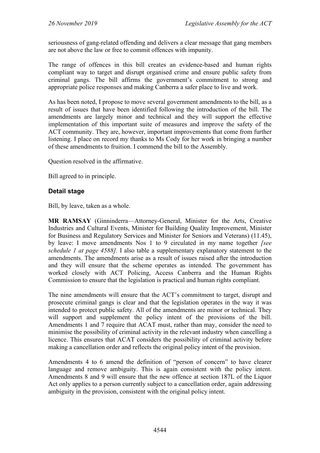seriousness of gang-related offending and delivers a clear message that gang members are not above the law or free to commit offences with impunity.

The range of offences in this bill creates an evidence-based and human rights compliant way to target and disrupt organised crime and ensure public safety from criminal gangs. The bill affirms the government's commitment to strong and appropriate police responses and making Canberra a safer place to live and work.

As has been noted, I propose to move several government amendments to the bill, as a result of issues that have been identified following the introduction of the bill. The amendments are largely minor and technical and they will support the effective implementation of this important suite of measures and improve the safety of the ACT community. They are, however, important improvements that come from further listening. I place on record my thanks to Ms Cody for her work in bringing a number of these amendments to fruition. I commend the bill to the Assembly.

Question resolved in the affirmative.

Bill agreed to in principle.

# **Detail stage**

Bill, by leave, taken as a whole.

**MR RAMSAY** (Ginninderra—Attorney-General, Minister for the Arts, Creative Industries and Cultural Events, Minister for Building Quality Improvement, Minister for Business and Regulatory Services and Minister for Seniors and Veterans) (11.45), by leave: I move amendments Nos 1 to 9 circulated in my name together *[see schedule 1 at page 4588].* I also table a supplementary explanatory statement to the amendments. The amendments arise as a result of issues raised after the introduction and they will ensure that the scheme operates as intended. The government has worked closely with ACT Policing, Access Canberra and the Human Rights Commission to ensure that the legislation is practical and human rights compliant.

The nine amendments will ensure that the ACT's commitment to target, disrupt and prosecute criminal gangs is clear and that the legislation operates in the way it was intended to protect public safety. All of the amendments are minor or technical. They will support and supplement the policy intent of the provisions of the bill. Amendments 1 and 7 require that ACAT must, rather than may, consider the need to minimise the possibility of criminal activity in the relevant industry when cancelling a licence. This ensures that ACAT considers the possibility of criminal activity before making a cancellation order and reflects the original policy intent of the provision.

Amendments 4 to 6 amend the definition of "person of concern" to have clearer language and remove ambiguity. This is again consistent with the policy intent. Amendments 8 and 9 will ensure that the new offence at section 187L of the Liquor Act only applies to a person currently subject to a cancellation order, again addressing ambiguity in the provision, consistent with the original policy intent.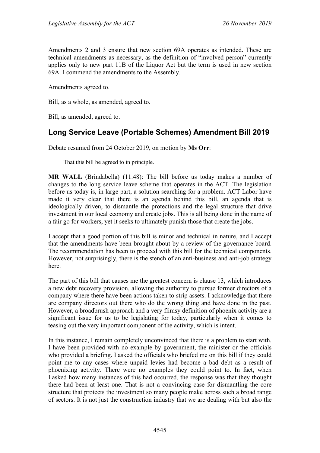Amendments 2 and 3 ensure that new section 69A operates as intended. These are technical amendments as necessary, as the definition of "involved person" currently applies only to new part 11B of the Liquor Act but the term is used in new section 69A. I commend the amendments to the Assembly.

Amendments agreed to.

Bill, as a whole, as amended, agreed to.

Bill, as amended, agreed to.

# **Long Service Leave (Portable Schemes) Amendment Bill 2019**

Debate resumed from 24 October 2019, on motion by **Ms Orr**:

That this bill be agreed to in principle.

**MR WALL** (Brindabella) (11.48): The bill before us today makes a number of changes to the long service leave scheme that operates in the ACT. The legislation before us today is, in large part, a solution searching for a problem. ACT Labor have made it very clear that there is an agenda behind this bill, an agenda that is ideologically driven, to dismantle the protections and the legal structure that drive investment in our local economy and create jobs. This is all being done in the name of a fair go for workers, yet it seeks to ultimately punish those that create the jobs.

I accept that a good portion of this bill is minor and technical in nature, and I accept that the amendments have been brought about by a review of the governance board. The recommendation has been to proceed with this bill for the technical components. However, not surprisingly, there is the stench of an anti-business and anti-job strategy here.

The part of this bill that causes me the greatest concern is clause 13, which introduces a new debt recovery provision, allowing the authority to pursue former directors of a company where there have been actions taken to strip assets. I acknowledge that there are company directors out there who do the wrong thing and have done in the past. However, a broadbrush approach and a very flimsy definition of phoenix activity are a significant issue for us to be legislating for today, particularly when it comes to teasing out the very important component of the activity, which is intent.

In this instance, I remain completely unconvinced that there is a problem to start with. I have been provided with no example by government, the minister or the officials who provided a briefing. I asked the officials who briefed me on this bill if they could point me to any cases where unpaid levies had become a bad debt as a result of phoenixing activity. There were no examples they could point to. In fact, when I asked how many instances of this had occurred, the response was that they thought there had been at least one. That is not a convincing case for dismantling the core structure that protects the investment so many people make across such a broad range of sectors. It is not just the construction industry that we are dealing with but also the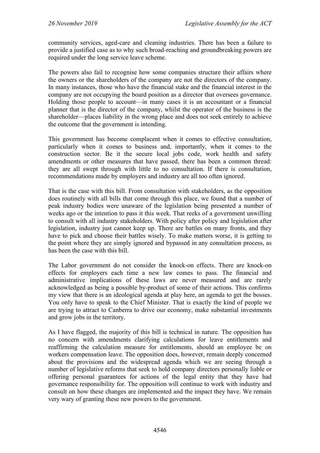community services, aged-care and cleaning industries. There has been a failure to provide a justified case as to why such broad-reaching and groundbreaking powers are required under the long service leave scheme.

The powers also fail to recognise how some companies structure their affairs where the owners or the shareholders of the company are not the directors of the company. In many instances, those who have the financial stake and the financial interest in the company are not occupying the board position as a director that oversees governance. Holding those people to account—in many cases it is an accountant or a financial planner that is the director of the company, whilst the operator of the business is the shareholder—places liability in the wrong place and does not seek entirely to achieve the outcome that the government is intending.

This government has become complacent when it comes to effective consultation, particularly when it comes to business and, importantly, when it comes to the construction sector. Be it the secure local jobs code, work health and safety amendments or other measures that have passed, there has been a common thread: they are all swept through with little to no consultation. If there is consultation, recommendations made by employers and industry are all too often ignored.

That is the case with this bill. From consultation with stakeholders, as the opposition does routinely with all bills that come through this place, we found that a number of peak industry bodies were unaware of the legislation being presented a number of weeks ago or the intention to pass it this week. That reeks of a government unwilling to consult with all industry stakeholders. With policy after policy and legislation after legislation, industry just cannot keep up. There are battles on many fronts, and they have to pick and choose their battles wisely. To make matters worse, it is getting to the point where they are simply ignored and bypassed in any consultation process, as has been the case with this bill.

The Labor government do not consider the knock-on effects. There are knock-on effects for employers each time a new law comes to pass. The financial and administrative implications of these laws are never measured and are rarely acknowledged as being a possible by-product of some of their actions. This confirms my view that there is an ideological agenda at play here, an agenda to get the bosses. You only have to speak to the Chief Minister. That is exactly the kind of people we are trying to attract to Canberra to drive our economy, make substantial investments and grow jobs in the territory.

As I have flagged, the majority of this bill is technical in nature. The opposition has no concern with amendments clarifying calculations for leave entitlements and reaffirming the calculation measure for entitlements, should an employee be on workers compensation leave. The opposition does, however, remain deeply concerned about the provisions and the widespread agenda which we are seeing through a number of legislative reforms that seek to hold company directors personally liable or offering personal guarantees for actions of the legal entity that they have had governance responsibility for. The opposition will continue to work with industry and consult on how these changes are implemented and the impact they have. We remain very wary of granting these new powers to the government.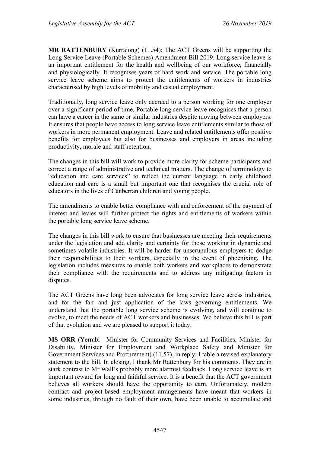**MR RATTENBURY** (Kurrajong) (11.54): The ACT Greens will be supporting the Long Service Leave (Portable Schemes) Amendment Bill 2019. Long service leave is an important entitlement for the health and wellbeing of our workforce, financially and physiologically. It recognises years of hard work and service. The portable long service leave scheme aims to protect the entitlements of workers in industries characterised by high levels of mobility and casual employment.

Traditionally, long service leave only accrued to a person working for one employer over a significant period of time. Portable long service leave recognises that a person can have a career in the same or similar industries despite moving between employers. It ensures that people have access to long service leave entitlements similar to those of workers in more permanent employment. Leave and related entitlements offer positive benefits for employees but also for businesses and employers in areas including productivity, morale and staff retention.

The changes in this bill will work to provide more clarity for scheme participants and correct a range of administrative and technical matters. The change of terminology to "education and care services" to reflect the current language in early childhood education and care is a small but important one that recognises the crucial role of educators in the lives of Canberran children and young people.

The amendments to enable better compliance with and enforcement of the payment of interest and levies will further protect the rights and entitlements of workers within the portable long service leave scheme.

The changes in this bill work to ensure that businesses are meeting their requirements under the legislation and add clarity and certainty for those working in dynamic and sometimes volatile industries. It will be harder for unscrupulous employers to dodge their responsibilities to their workers, especially in the event of phoenixing. The legislation includes measures to enable both workers and workplaces to demonstrate their compliance with the requirements and to address any mitigating factors in disputes.

The ACT Greens have long been advocates for long service leave across industries, and for the fair and just application of the laws governing entitlements. We understand that the portable long service scheme is evolving, and will continue to evolve, to meet the needs of ACT workers and businesses. We believe this bill is part of that evolution and we are pleased to support it today.

**MS ORR** (Yerrabi—Minister for Community Services and Facilities, Minister for Disability, Minister for Employment and Workplace Safety and Minister for Government Services and Procurement) (11.57), in reply: I table a revised explanatory statement to the bill. In closing, I thank Mr Rattenbury for his comments. They are in stark contrast to Mr Wall's probably more alarmist feedback. Long service leave is an important reward for long and faithful service. It is a benefit that the ACT government believes all workers should have the opportunity to earn. Unfortunately, modern contract and project-based employment arrangements have meant that workers in some industries, through no fault of their own, have been unable to accumulate and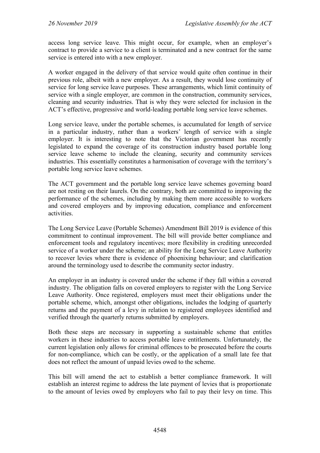access long service leave. This might occur, for example, when an employer's contract to provide a service to a client is terminated and a new contract for the same service is entered into with a new employer.

A worker engaged in the delivery of that service would quite often continue in their previous role, albeit with a new employer. As a result, they would lose continuity of service for long service leave purposes. These arrangements, which limit continuity of service with a single employer, are common in the construction, community services, cleaning and security industries. That is why they were selected for inclusion in the ACT's effective, progressive and world-leading portable long service leave schemes.

Long service leave, under the portable schemes, is accumulated for length of service in a particular industry, rather than a workers' length of service with a single employer. It is interesting to note that the Victorian government has recently legislated to expand the coverage of its construction industry based portable long service leave scheme to include the cleaning, security and community services industries. This essentially constitutes a harmonisation of coverage with the territory's portable long service leave schemes.

The ACT government and the portable long service leave schemes governing board are not resting on their laurels. On the contrary, both are committed to improving the performance of the schemes, including by making them more accessible to workers and covered employers and by improving education, compliance and enforcement activities.

The Long Service Leave (Portable Schemes) Amendment Bill 2019 is evidence of this commitment to continual improvement. The bill will provide better compliance and enforcement tools and regulatory incentives; more flexibility in crediting unrecorded service of a worker under the scheme; an ability for the Long Service Leave Authority to recover levies where there is evidence of phoenixing behaviour; and clarification around the terminology used to describe the community sector industry.

An employer in an industry is covered under the scheme if they fall within a covered industry. The obligation falls on covered employers to register with the Long Service Leave Authority. Once registered, employers must meet their obligations under the portable scheme, which, amongst other obligations, includes the lodging of quarterly returns and the payment of a levy in relation to registered employees identified and verified through the quarterly returns submitted by employers.

Both these steps are necessary in supporting a sustainable scheme that entitles workers in these industries to access portable leave entitlements. Unfortunately, the current legislation only allows for criminal offences to be prosecuted before the courts for non-compliance, which can be costly, or the application of a small late fee that does not reflect the amount of unpaid levies owed to the scheme.

This bill will amend the act to establish a better compliance framework. It will establish an interest regime to address the late payment of levies that is proportionate to the amount of levies owed by employers who fail to pay their levy on time. This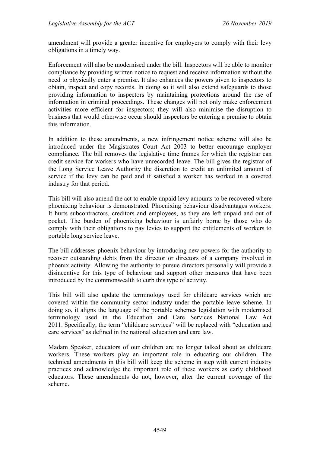amendment will provide a greater incentive for employers to comply with their levy obligations in a timely way.

Enforcement will also be modernised under the bill. Inspectors will be able to monitor compliance by providing written notice to request and receive information without the need to physically enter a premise. It also enhances the powers given to inspectors to obtain, inspect and copy records. In doing so it will also extend safeguards to those providing information to inspectors by maintaining protections around the use of information in criminal proceedings. These changes will not only make enforcement activities more efficient for inspectors; they will also minimise the disruption to business that would otherwise occur should inspectors be entering a premise to obtain this information.

In addition to these amendments, a new infringement notice scheme will also be introduced under the Magistrates Court Act 2003 to better encourage employer compliance. The bill removes the legislative time frames for which the registrar can credit service for workers who have unrecorded leave. The bill gives the registrar of the Long Service Leave Authority the discretion to credit an unlimited amount of service if the levy can be paid and if satisfied a worker has worked in a covered industry for that period.

This bill will also amend the act to enable unpaid levy amounts to be recovered where phoenixing behaviour is demonstrated. Phoenixing behaviour disadvantages workers. It hurts subcontractors, creditors and employees, as they are left unpaid and out of pocket. The burden of phoenixing behaviour is unfairly borne by those who do comply with their obligations to pay levies to support the entitlements of workers to portable long service leave.

The bill addresses phoenix behaviour by introducing new powers for the authority to recover outstanding debts from the director or directors of a company involved in phoenix activity. Allowing the authority to pursue directors personally will provide a disincentive for this type of behaviour and support other measures that have been introduced by the commonwealth to curb this type of activity.

This bill will also update the terminology used for childcare services which are covered within the community sector industry under the portable leave scheme. In doing so, it aligns the language of the portable schemes legislation with modernised terminology used in the Education and Care Services National Law Act 2011. Specifically, the term "childcare services" will be replaced with "education and care services" as defined in the national education and care law.

Madam Speaker, educators of our children are no longer talked about as childcare workers. These workers play an important role in educating our children. The technical amendments in this bill will keep the scheme in step with current industry practices and acknowledge the important role of these workers as early childhood educators. These amendments do not, however, alter the current coverage of the scheme.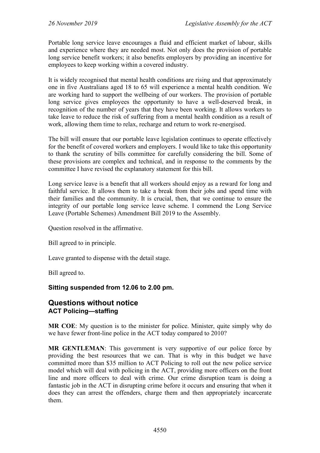Portable long service leave encourages a fluid and efficient market of labour, skills and experience where they are needed most. Not only does the provision of portable long service benefit workers; it also benefits employers by providing an incentive for employees to keep working within a covered industry.

It is widely recognised that mental health conditions are rising and that approximately one in five Australians aged 18 to 65 will experience a mental health condition. We are working hard to support the wellbeing of our workers. The provision of portable long service gives employees the opportunity to have a well-deserved break, in recognition of the number of years that they have been working. It allows workers to take leave to reduce the risk of suffering from a mental health condition as a result of work, allowing them time to relax, recharge and return to work re-energised.

The bill will ensure that our portable leave legislation continues to operate effectively for the benefit of covered workers and employers. I would like to take this opportunity to thank the scrutiny of bills committee for carefully considering the bill. Some of these provisions are complex and technical, and in response to the comments by the committee I have revised the explanatory statement for this bill.

Long service leave is a benefit that all workers should enjoy as a reward for long and faithful service. It allows them to take a break from their jobs and spend time with their families and the community. It is crucial, then, that we continue to ensure the integrity of our portable long service leave scheme. I commend the Long Service Leave (Portable Schemes) Amendment Bill 2019 to the Assembly.

Question resolved in the affirmative.

Bill agreed to in principle.

Leave granted to dispense with the detail stage.

Bill agreed to.

# **Sitting suspended from 12.06 to 2.00 pm.**

# **Questions without notice ACT Policing—staffing**

**MR COE**: My question is to the minister for police. Minister, quite simply why do we have fewer front-line police in the ACT today compared to 2010?

**MR GENTLEMAN**: This government is very supportive of our police force by providing the best resources that we can. That is why in this budget we have committed more than \$35 million to ACT Policing to roll out the new police service model which will deal with policing in the ACT, providing more officers on the front line and more officers to deal with crime. Our crime disruption team is doing a fantastic job in the ACT in disrupting crime before it occurs and ensuring that when it does they can arrest the offenders, charge them and then appropriately incarcerate them.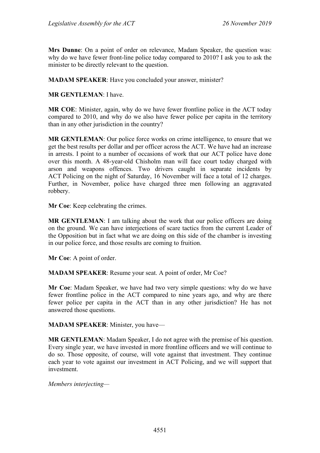**Mrs Dunne**: On a point of order on relevance, Madam Speaker, the question was: why do we have fewer front-line police today compared to 2010? I ask you to ask the minister to be directly relevant to the question.

**MADAM SPEAKER**: Have you concluded your answer, minister?

**MR GENTLEMAN**: I have.

**MR COE**: Minister, again, why do we have fewer frontline police in the ACT today compared to 2010, and why do we also have fewer police per capita in the territory than in any other jurisdiction in the country?

**MR GENTLEMAN**: Our police force works on crime intelligence, to ensure that we get the best results per dollar and per officer across the ACT. We have had an increase in arrests. I point to a number of occasions of work that our ACT police have done over this month. A 48-year-old Chisholm man will face court today charged with arson and weapons offences. Two drivers caught in separate incidents by ACT Policing on the night of Saturday, 16 November will face a total of 12 charges. Further, in November, police have charged three men following an aggravated robbery.

**Mr Coe**: Keep celebrating the crimes.

**MR GENTLEMAN**: I am talking about the work that our police officers are doing on the ground. We can have interjections of scare tactics from the current Leader of the Opposition but in fact what we are doing on this side of the chamber is investing in our police force, and those results are coming to fruition.

**Mr Coe**: A point of order.

**MADAM SPEAKER**: Resume your seat. A point of order, Mr Coe?

**Mr Coe**: Madam Speaker, we have had two very simple questions: why do we have fewer frontline police in the ACT compared to nine years ago, and why are there fewer police per capita in the ACT than in any other jurisdiction? He has not answered those questions.

**MADAM SPEAKER**: Minister, you have—

**MR GENTLEMAN**: Madam Speaker, I do not agree with the premise of his question. Every single year, we have invested in more frontline officers and we will continue to do so. Those opposite, of course, will vote against that investment. They continue each year to vote against our investment in ACT Policing, and we will support that investment.

*Members interjecting—*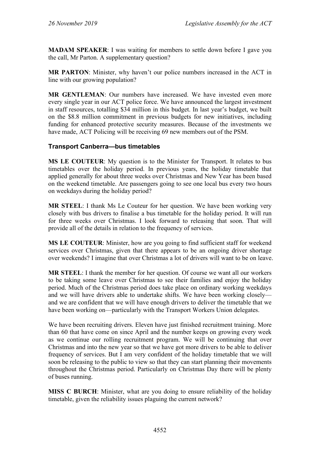**MADAM SPEAKER**: I was waiting for members to settle down before I gave you the call, Mr Parton. A supplementary question?

**MR PARTON**: Minister, why haven't our police numbers increased in the ACT in line with our growing population?

**MR GENTLEMAN**: Our numbers have increased. We have invested even more every single year in our ACT police force. We have announced the largest investment in staff resources, totalling \$34 million in this budget. In last year's budget, we built on the \$8.8 million commitment in previous budgets for new initiatives, including funding for enhanced protective security measures. Because of the investments we have made, ACT Policing will be receiving 69 new members out of the PSM.

# **Transport Canberra—bus timetables**

**MS LE COUTEUR**: My question is to the Minister for Transport. It relates to bus timetables over the holiday period. In previous years, the holiday timetable that applied generally for about three weeks over Christmas and New Year has been based on the weekend timetable. Are passengers going to see one local bus every two hours on weekdays during the holiday period?

**MR STEEL**: I thank Ms Le Couteur for her question. We have been working very closely with bus drivers to finalise a bus timetable for the holiday period. It will run for three weeks over Christmas. I look forward to releasing that soon. That will provide all of the details in relation to the frequency of services.

**MS LE COUTEUR**: Minister, how are you going to find sufficient staff for weekend services over Christmas, given that there appears to be an ongoing driver shortage over weekends? I imagine that over Christmas a lot of drivers will want to be on leave.

**MR STEEL**: I thank the member for her question. Of course we want all our workers to be taking some leave over Christmas to see their families and enjoy the holiday period. Much of the Christmas period does take place on ordinary working weekdays and we will have drivers able to undertake shifts. We have been working closely and we are confident that we will have enough drivers to deliver the timetable that we have been working on—particularly with the Transport Workers Union delegates.

We have been recruiting drivers. Eleven have just finished recruitment training. More than 60 that have come on since April and the number keeps on growing every week as we continue our rolling recruitment program. We will be continuing that over Christmas and into the new year so that we have got more drivers to be able to deliver frequency of services. But I am very confident of the holiday timetable that we will soon be releasing to the public to view so that they can start planning their movements throughout the Christmas period. Particularly on Christmas Day there will be plenty of buses running.

**MISS C BURCH**: Minister, what are you doing to ensure reliability of the holiday timetable, given the reliability issues plaguing the current network?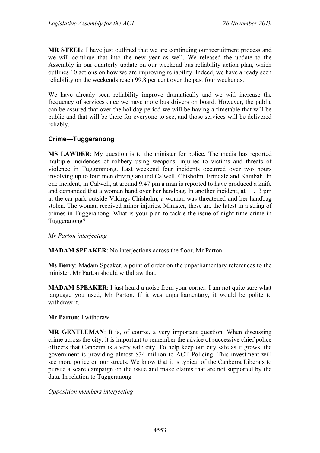**MR STEEL**: I have just outlined that we are continuing our recruitment process and we will continue that into the new year as well. We released the update to the Assembly in our quarterly update on our weekend bus reliability action plan, which outlines 10 actions on how we are improving reliability. Indeed, we have already seen reliability on the weekends reach 99.8 per cent over the past four weekends.

We have already seen reliability improve dramatically and we will increase the frequency of services once we have more bus drivers on board. However, the public can be assured that over the holiday period we will be having a timetable that will be public and that will be there for everyone to see, and those services will be delivered reliably.

# **Crime—Tuggeranong**

**MS LAWDER**: My question is to the minister for police. The media has reported multiple incidences of robbery using weapons, injuries to victims and threats of violence in Tuggeranong. Last weekend four incidents occurred over two hours involving up to four men driving around Calwell, Chisholm, Erindale and Kambah. In one incident, in Calwell, at around 9.47 pm a man is reported to have produced a knife and demanded that a woman hand over her handbag. In another incident, at 11.13 pm at the car park outside Vikings Chisholm, a woman was threatened and her handbag stolen. The woman received minor injuries. Minister, these are the latest in a string of crimes in Tuggeranong. What is your plan to tackle the issue of night-time crime in Tuggeranong?

*Mr Parton interjecting*—

**MADAM SPEAKER**: No interjections across the floor, Mr Parton.

**Ms Berry**: Madam Speaker, a point of order on the unparliamentary references to the minister. Mr Parton should withdraw that.

**MADAM SPEAKER**: I just heard a noise from your corner. I am not quite sure what language you used, Mr Parton. If it was unparliamentary, it would be polite to withdraw it.

**Mr Parton**: I withdraw.

**MR GENTLEMAN**: It is, of course, a very important question. When discussing crime across the city, it is important to remember the advice of successive chief police officers that Canberra is a very safe city. To help keep our city safe as it grows, the government is providing almost \$34 million to ACT Policing. This investment will see more police on our streets. We know that it is typical of the Canberra Liberals to pursue a scare campaign on the issue and make claims that are not supported by the data. In relation to Tuggeranong—

*Opposition members interjecting*—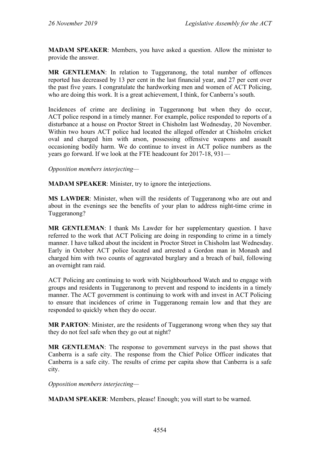**MADAM SPEAKER**: Members, you have asked a question. Allow the minister to provide the answer.

**MR GENTLEMAN**: In relation to Tuggeranong, the total number of offences reported has decreased by 13 per cent in the last financial year, and 27 per cent over the past five years. I congratulate the hardworking men and women of ACT Policing, who are doing this work. It is a great achievement, I think, for Canberra's south.

Incidences of crime are declining in Tuggeranong but when they do occur, ACT police respond in a timely manner. For example, police responded to reports of a disturbance at a house on Proctor Street in Chisholm last Wednesday, 20 November. Within two hours ACT police had located the alleged offender at Chisholm cricket oval and charged him with arson, possessing offensive weapons and assault occasioning bodily harm. We do continue to invest in ACT police numbers as the years go forward. If we look at the FTE headcount for 2017-18, 931—

*Opposition members interjecting—*

**MADAM SPEAKER**: Minister, try to ignore the interjections.

**MS LAWDER**: Minister, when will the residents of Tuggeranong who are out and about in the evenings see the benefits of your plan to address night-time crime in Tuggeranong?

**MR GENTLEMAN**: I thank Ms Lawder for her supplementary question. I have referred to the work that ACT Policing are doing in responding to crime in a timely manner. I have talked about the incident in Proctor Street in Chisholm last Wednesday. Early in October ACT police located and arrested a Gordon man in Monash and charged him with two counts of aggravated burglary and a breach of bail, following an overnight ram raid.

ACT Policing are continuing to work with Neighbourhood Watch and to engage with groups and residents in Tuggeranong to prevent and respond to incidents in a timely manner. The ACT government is continuing to work with and invest in ACT Policing to ensure that incidences of crime in Tuggeranong remain low and that they are responded to quickly when they do occur.

**MR PARTON**: Minister, are the residents of Tuggeranong wrong when they say that they do not feel safe when they go out at night?

**MR GENTLEMAN**: The response to government surveys in the past shows that Canberra is a safe city. The response from the Chief Police Officer indicates that Canberra is a safe city. The results of crime per capita show that Canberra is a safe city.

*Opposition members interjecting—*

**MADAM SPEAKER**: Members, please! Enough; you will start to be warned.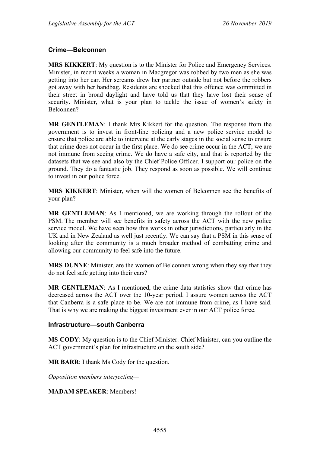#### **Crime—Belconnen**

**MRS KIKKERT**: My question is to the Minister for Police and Emergency Services. Minister, in recent weeks a woman in Macgregor was robbed by two men as she was getting into her car. Her screams drew her partner outside but not before the robbers got away with her handbag. Residents are shocked that this offence was committed in their street in broad daylight and have told us that they have lost their sense of security. Minister, what is your plan to tackle the issue of women's safety in Belconnen?

**MR GENTLEMAN**: I thank Mrs Kikkert for the question. The response from the government is to invest in front-line policing and a new police service model to ensure that police are able to intervene at the early stages in the social sense to ensure that crime does not occur in the first place. We do see crime occur in the ACT; we are not immune from seeing crime. We do have a safe city, and that is reported by the datasets that we see and also by the Chief Police Officer. I support our police on the ground. They do a fantastic job. They respond as soon as possible. We will continue to invest in our police force.

**MRS KIKKERT**: Minister, when will the women of Belconnen see the benefits of your plan?

**MR GENTLEMAN**: As I mentioned, we are working through the rollout of the PSM. The member will see benefits in safety across the ACT with the new police service model. We have seen how this works in other jurisdictions, particularly in the UK and in New Zealand as well just recently. We can say that a PSM in this sense of looking after the community is a much broader method of combatting crime and allowing our community to feel safe into the future.

**MRS DUNNE**: Minister, are the women of Belconnen wrong when they say that they do not feel safe getting into their cars?

**MR GENTLEMAN**: As I mentioned, the crime data statistics show that crime has decreased across the ACT over the 10-year period. I assure women across the ACT that Canberra is a safe place to be. We are not immune from crime, as I have said. That is why we are making the biggest investment ever in our ACT police force.

#### **Infrastructure—south Canberra**

**MS CODY**: My question is to the Chief Minister. Chief Minister, can you outline the ACT government's plan for infrastructure on the south side?

**MR BARR**: I thank Ms Cody for the question.

*Opposition members interjecting—*

**MADAM SPEAKER**: Members!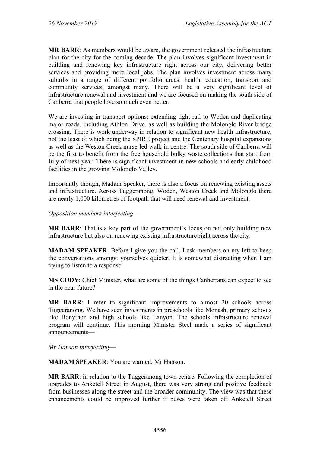**MR BARR**: As members would be aware, the government released the infrastructure plan for the city for the coming decade. The plan involves significant investment in building and renewing key infrastructure right across our city, delivering better services and providing more local jobs. The plan involves investment across many suburbs in a range of different portfolio areas: health, education, transport and community services, amongst many. There will be a very significant level of infrastructure renewal and investment and we are focused on making the south side of Canberra that people love so much even better.

We are investing in transport options: extending light rail to Woden and duplicating major roads, including Athlon Drive, as well as building the Molonglo River bridge crossing. There is work underway in relation to significant new health infrastructure, not the least of which being the SPIRE project and the Centenary hospital expansions as well as the Weston Creek nurse-led walk-in centre. The south side of Canberra will be the first to benefit from the free household bulky waste collections that start from July of next year. There is significant investment in new schools and early childhood facilities in the growing Molonglo Valley.

Importantly though, Madam Speaker, there is also a focus on renewing existing assets and infrastructure. Across Tuggeranong, Woden, Weston Creek and Molonglo there are nearly 1,000 kilometres of footpath that will need renewal and investment.

*Opposition members interjecting—*

**MR BARR**: That is a key part of the government's focus on not only building new infrastructure but also on renewing existing infrastructure right across the city.

**MADAM SPEAKER**: Before I give you the call, I ask members on my left to keep the conversations amongst yourselves quieter. It is somewhat distracting when I am trying to listen to a response.

**MS CODY**: Chief Minister, what are some of the things Canberrans can expect to see in the near future?

MR BARR: I refer to significant improvements to almost 20 schools across Tuggeranong. We have seen investments in preschools like Monash, primary schools like Bonython and high schools like Lanyon. The schools infrastructure renewal program will continue. This morning Minister Steel made a series of significant announcements—

*Mr Hanson interjecting*—

**MADAM SPEAKER**: You are warned, Mr Hanson.

**MR BARR**: in relation to the Tuggeranong town centre. Following the completion of upgrades to Anketell Street in August, there was very strong and positive feedback from businesses along the street and the broader community. The view was that these enhancements could be improved further if buses were taken off Anketell Street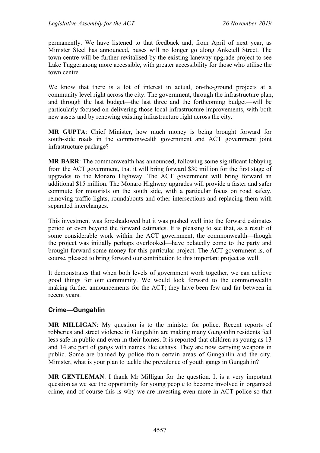permanently. We have listened to that feedback and, from April of next year, as Minister Steel has announced, buses will no longer go along Anketell Street. The town centre will be further revitalised by the existing laneway upgrade project to see Lake Tuggeranong more accessible, with greater accessibility for those who utilise the town centre.

We know that there is a lot of interest in actual, on-the-ground projects at a community level right across the city. The government, through the infrastructure plan, and through the last budget—the last three and the forthcoming budget—will be particularly focused on delivering those local infrastructure improvements, with both new assets and by renewing existing infrastructure right across the city.

**MR GUPTA**: Chief Minister, how much money is being brought forward for south-side roads in the commonwealth government and ACT government joint infrastructure package?

**MR BARR**: The commonwealth has announced, following some significant lobbying from the ACT government, that it will bring forward \$30 million for the first stage of upgrades to the Monaro Highway. The ACT government will bring forward an additional \$15 million. The Monaro Highway upgrades will provide a faster and safer commute for motorists on the south side, with a particular focus on road safety, removing traffic lights, roundabouts and other intersections and replacing them with separated interchanges.

This investment was foreshadowed but it was pushed well into the forward estimates period or even beyond the forward estimates. It is pleasing to see that, as a result of some considerable work within the ACT government, the commonwealth—though the project was initially perhaps overlooked—have belatedly come to the party and brought forward some money for this particular project. The ACT government is, of course, pleased to bring forward our contribution to this important project as well.

It demonstrates that when both levels of government work together, we can achieve good things for our community. We would look forward to the commonwealth making further announcements for the ACT; they have been few and far between in recent years.

#### **Crime—Gungahlin**

**MR MILLIGAN**: My question is to the minister for police. Recent reports of robberies and street violence in Gungahlin are making many Gungahlin residents feel less safe in public and even in their homes. It is reported that children as young as 13 and 14 are part of gangs with names like eshays. They are now carrying weapons in public. Some are banned by police from certain areas of Gungahlin and the city. Minister, what is your plan to tackle the prevalence of youth gangs in Gungahlin?

**MR GENTLEMAN**: I thank Mr Milligan for the question. It is a very important question as we see the opportunity for young people to become involved in organised crime, and of course this is why we are investing even more in ACT police so that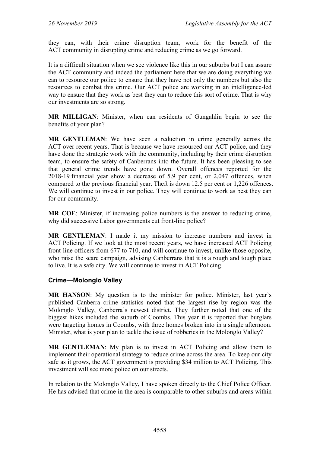they can, with their crime disruption team, work for the benefit of the ACT community in disrupting crime and reducing crime as we go forward.

It is a difficult situation when we see violence like this in our suburbs but I can assure the ACT community and indeed the parliament here that we are doing everything we can to resource our police to ensure that they have not only the numbers but also the resources to combat this crime. Our ACT police are working in an intelligence-led way to ensure that they work as best they can to reduce this sort of crime. That is why our investments are so strong.

**MR MILLIGAN**: Minister, when can residents of Gungahlin begin to see the benefits of your plan?

**MR GENTLEMAN**: We have seen a reduction in crime generally across the ACT over recent years. That is because we have resourced our ACT police, and they have done the strategic work with the community, including by their crime disruption team, to ensure the safety of Canberrans into the future. It has been pleasing to see that general crime trends have gone down. Overall offences reported for the 2018-19 financial year show a decrease of 5.9 per cent, or 2,047 offences, when compared to the previous financial year. Theft is down 12.5 per cent or 1,226 offences. We will continue to invest in our police. They will continue to work as best they can for our community.

**MR COE**: Minister, if increasing police numbers is the answer to reducing crime, why did successive Labor governments cut front-line police?

**MR GENTLEMAN**: I made it my mission to increase numbers and invest in ACT Policing. If we look at the most recent years, we have increased ACT Policing front-line officers from 677 to 710, and will continue to invest, unlike those opposite, who raise the scare campaign, advising Canberrans that it is a rough and tough place to live. It is a safe city. We will continue to invest in ACT Policing.

# **Crime—Molonglo Valley**

**MR HANSON**: My question is to the minister for police. Minister, last year's published Canberra crime statistics noted that the largest rise by region was the Molonglo Valley, Canberra's newest district. They further noted that one of the biggest hikes included the suburb of Coombs. This year it is reported that burglars were targeting homes in Coombs, with three homes broken into in a single afternoon. Minister, what is your plan to tackle the issue of robberies in the Molonglo Valley?

**MR GENTLEMAN**: My plan is to invest in ACT Policing and allow them to implement their operational strategy to reduce crime across the area. To keep our city safe as it grows, the ACT government is providing \$34 million to ACT Policing. This investment will see more police on our streets.

In relation to the Molonglo Valley, I have spoken directly to the Chief Police Officer. He has advised that crime in the area is comparable to other suburbs and areas within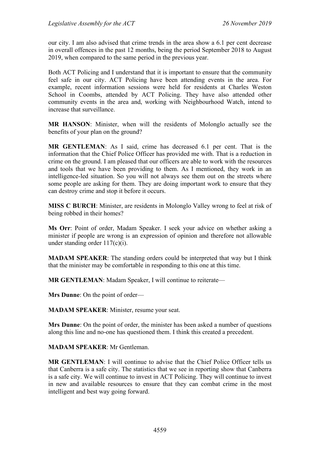our city. I am also advised that crime trends in the area show a 6.1 per cent decrease in overall offences in the past 12 months, being the period September 2018 to August 2019, when compared to the same period in the previous year.

Both ACT Policing and I understand that it is important to ensure that the community feel safe in our city. ACT Policing have been attending events in the area. For example, recent information sessions were held for residents at Charles Weston School in Coombs, attended by ACT Policing. They have also attended other community events in the area and, working with Neighbourhood Watch, intend to increase that surveillance.

**MR HANSON**: Minister, when will the residents of Molonglo actually see the benefits of your plan on the ground?

**MR GENTLEMAN**: As I said, crime has decreased 6.1 per cent. That is the information that the Chief Police Officer has provided me with. That is a reduction in crime on the ground. I am pleased that our officers are able to work with the resources and tools that we have been providing to them. As I mentioned, they work in an intelligence-led situation. So you will not always see them out on the streets where some people are asking for them. They are doing important work to ensure that they can destroy crime and stop it before it occurs.

**MISS C BURCH**: Minister, are residents in Molonglo Valley wrong to feel at risk of being robbed in their homes?

**Ms Orr**: Point of order, Madam Speaker. I seek your advice on whether asking a minister if people are wrong is an expression of opinion and therefore not allowable under standing order 117(c)(i).

**MADAM SPEAKER**: The standing orders could be interpreted that way but I think that the minister may be comfortable in responding to this one at this time.

**MR GENTLEMAN**: Madam Speaker, I will continue to reiterate—

**Mrs Dunne**: On the point of order—

**MADAM SPEAKER**: Minister, resume your seat.

**Mrs Dunne**: On the point of order, the minister has been asked a number of questions along this line and no-one has questioned them. I think this created a precedent.

**MADAM SPEAKER**: Mr Gentleman.

**MR GENTLEMAN**: I will continue to advise that the Chief Police Officer tells us that Canberra is a safe city. The statistics that we see in reporting show that Canberra is a safe city. We will continue to invest in ACT Policing. They will continue to invest in new and available resources to ensure that they can combat crime in the most intelligent and best way going forward.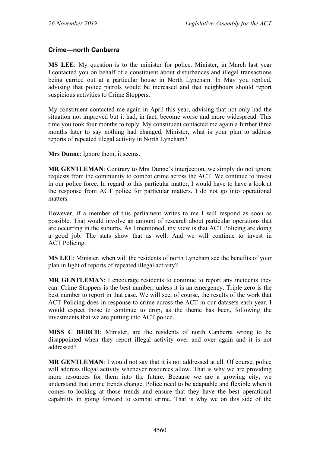#### **Crime—north Canberra**

**MS LEE**: My question is to the minister for police. Minister, in March last year I contacted you on behalf of a constituent about disturbances and illegal transactions being carried out at a particular house in North Lyneham. In May you replied, advising that police patrols would be increased and that neighbours should report suspicious activities to Crime Stoppers.

My constituent contacted me again in April this year, advising that not only had the situation not improved but it had, in fact, become worse and more widespread. This time you took four months to reply. My constituent contacted me again a further three months later to say nothing had changed. Minister, what is your plan to address reports of repeated illegal activity in North Lyneham?

**Mrs Dunne**: Ignore them, it seems.

**MR GENTLEMAN**: Contrary to Mrs Dunne's interjection, we simply do not ignore requests from the community to combat crime across the ACT. We continue to invest in our police force. In regard to this particular matter, I would have to have a look at the response from ACT police for particular matters. I do not go into operational matters.

However, if a member of this parliament writes to me I will respond as soon as possible. That would involve an amount of research about particular operations that are occurring in the suburbs. As I mentioned, my view is that ACT Policing are doing a good job. The stats show that as well. And we will continue to invest in ACT Policing.

**MS LEE**: Minister, when will the residents of north Lyneham see the benefits of your plan in light of reports of repeated illegal activity?

**MR GENTLEMAN**: I encourage residents to continue to report any incidents they can. Crime Stoppers is the best number, unless it is an emergency. Triple zero is the best number to report in that case. We will see, of course, the results of the work that ACT Policing does in response to crime across the ACT in our datasets each year. I would expect those to continue to drop, as the theme has been, following the investments that we are putting into ACT police.

**MISS C BURCH**: Minister, are the residents of north Canberra wrong to be disappointed when they report illegal activity over and over again and it is not addressed?

**MR GENTLEMAN**: I would not say that it is not addressed at all. Of course, police will address illegal activity whenever resources allow. That is why we are providing more resources for them into the future. Because we are a growing city, we understand that crime trends change. Police need to be adaptable and flexible when it comes to looking at those trends and ensure that they have the best operational capability in going forward to combat crime. That is why we on this side of the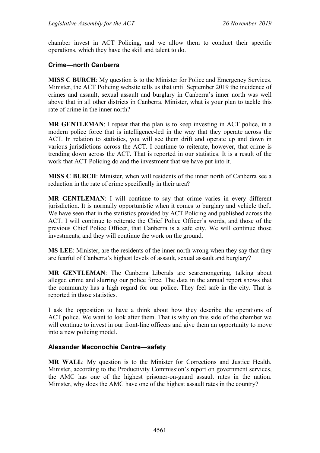chamber invest in ACT Policing, and we allow them to conduct their specific operations, which they have the skill and talent to do.

### **Crime—north Canberra**

**MISS C BURCH**: My question is to the Minister for Police and Emergency Services. Minister, the ACT Policing website tells us that until September 2019 the incidence of crimes and assault, sexual assault and burglary in Canberra's inner north was well above that in all other districts in Canberra. Minister, what is your plan to tackle this rate of crime in the inner north?

**MR GENTLEMAN**: I repeat that the plan is to keep investing in ACT police, in a modern police force that is intelligence-led in the way that they operate across the ACT. In relation to statistics, you will see them drift and operate up and down in various jurisdictions across the ACT. I continue to reiterate, however, that crime is trending down across the ACT. That is reported in our statistics. It is a result of the work that ACT Policing do and the investment that we have put into it.

**MISS C BURCH**: Minister, when will residents of the inner north of Canberra see a reduction in the rate of crime specifically in their area?

**MR GENTLEMAN**: I will continue to say that crime varies in every different jurisdiction. It is normally opportunistic when it comes to burglary and vehicle theft. We have seen that in the statistics provided by ACT Policing and published across the ACT. I will continue to reiterate the Chief Police Officer's words, and those of the previous Chief Police Officer, that Canberra is a safe city. We will continue those investments, and they will continue the work on the ground.

**MS LEE**: Minister, are the residents of the inner north wrong when they say that they are fearful of Canberra's highest levels of assault, sexual assault and burglary?

**MR GENTLEMAN**: The Canberra Liberals are scaremongering, talking about alleged crime and slurring our police force. The data in the annual report shows that the community has a high regard for our police. They feel safe in the city. That is reported in those statistics.

I ask the opposition to have a think about how they describe the operations of ACT police. We want to look after them. That is why on this side of the chamber we will continue to invest in our front-line officers and give them an opportunity to move into a new policing model.

# **Alexander Maconochie Centre—safety**

**MR WALL**: My question is to the Minister for Corrections and Justice Health. Minister, according to the Productivity Commission's report on government services, the AMC has one of the highest prisoner-on-guard assault rates in the nation. Minister, why does the AMC have one of the highest assault rates in the country?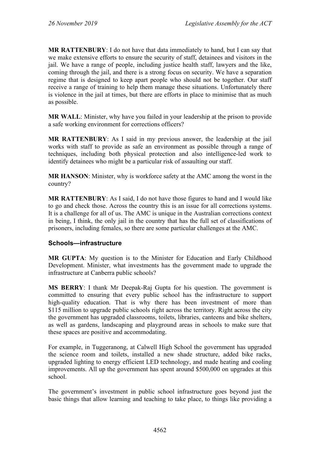**MR RATTENBURY**: I do not have that data immediately to hand, but I can say that we make extensive efforts to ensure the security of staff, detainees and visitors in the jail. We have a range of people, including justice health staff, lawyers and the like, coming through the jail, and there is a strong focus on security. We have a separation regime that is designed to keep apart people who should not be together. Our staff receive a range of training to help them manage these situations. Unfortunately there is violence in the jail at times, but there are efforts in place to minimise that as much as possible.

**MR WALL**: Minister, why have you failed in your leadership at the prison to provide a safe working environment for corrections officers?

**MR RATTENBURY**: As I said in my previous answer, the leadership at the jail works with staff to provide as safe an environment as possible through a range of techniques, including both physical protection and also intelligence-led work to identify detainees who might be a particular risk of assaulting our staff.

**MR HANSON**: Minister, why is workforce safety at the AMC among the worst in the country?

**MR RATTENBURY**: As I said, I do not have those figures to hand and I would like to go and check those. Across the country this is an issue for all corrections systems. It is a challenge for all of us. The AMC is unique in the Australian corrections context in being, I think, the only jail in the country that has the full set of classifications of prisoners, including females, so there are some particular challenges at the AMC.

# **Schools—infrastructure**

**MR GUPTA**: My question is to the Minister for Education and Early Childhood Development. Minister, what investments has the government made to upgrade the infrastructure at Canberra public schools?

**MS BERRY**: I thank Mr Deepak-Raj Gupta for his question. The government is committed to ensuring that every public school has the infrastructure to support high-quality education. That is why there has been investment of more than \$115 million to upgrade public schools right across the territory. Right across the city the government has upgraded classrooms, toilets, libraries, canteens and bike shelters, as well as gardens, landscaping and playground areas in schools to make sure that these spaces are positive and accommodating.

For example, in Tuggeranong, at Calwell High School the government has upgraded the science room and toilets, installed a new shade structure, added bike racks, upgraded lighting to energy efficient LED technology, and made heating and cooling improvements. All up the government has spent around \$500,000 on upgrades at this school.

The government's investment in public school infrastructure goes beyond just the basic things that allow learning and teaching to take place, to things like providing a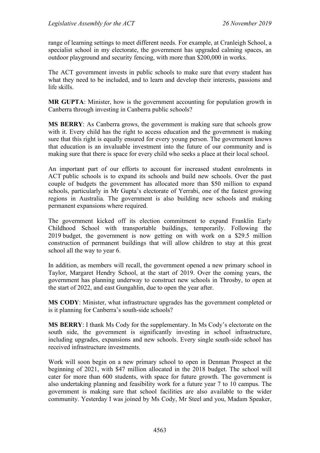range of learning settings to meet different needs. For example, at Cranleigh School, a specialist school in my electorate, the government has upgraded calming spaces, an outdoor playground and security fencing, with more than \$200,000 in works.

The ACT government invests in public schools to make sure that every student has what they need to be included, and to learn and develop their interests, passions and life skills.

**MR GUPTA**: Minister, how is the government accounting for population growth in Canberra through investing in Canberra public schools?

**MS BERRY**: As Canberra grows, the government is making sure that schools grow with it. Every child has the right to access education and the government is making sure that this right is equally ensured for every young person. The government knows that education is an invaluable investment into the future of our community and is making sure that there is space for every child who seeks a place at their local school.

An important part of our efforts to account for increased student enrolments in ACT public schools is to expand its schools and build new schools. Over the past couple of budgets the government has allocated more than \$50 million to expand schools, particularly in Mr Gupta's electorate of Yerrabi, one of the fastest growing regions in Australia. The government is also building new schools and making permanent expansions where required.

The government kicked off its election commitment to expand Franklin Early Childhood School with transportable buildings, temporarily. Following the 2019 budget, the government is now getting on with work on a \$29.5 million construction of permanent buildings that will allow children to stay at this great school all the way to year 6.

In addition, as members will recall, the government opened a new primary school in Taylor, Margaret Hendry School, at the start of 2019. Over the coming years, the government has planning underway to construct new schools in Throsby, to open at the start of 2022, and east Gungahlin, due to open the year after.

**MS CODY**: Minister, what infrastructure upgrades has the government completed or is it planning for Canberra's south-side schools?

**MS BERRY**: I thank Ms Cody for the supplementary. In Ms Cody's electorate on the south side, the government is significantly investing in school infrastructure, including upgrades, expansions and new schools. Every single south-side school has received infrastructure investments.

Work will soon begin on a new primary school to open in Denman Prospect at the beginning of 2021, with \$47 million allocated in the 2018 budget. The school will cater for more than 600 students, with space for future growth. The government is also undertaking planning and feasibility work for a future year 7 to 10 campus. The government is making sure that school facilities are also available to the wider community. Yesterday I was joined by Ms Cody, Mr Steel and you, Madam Speaker,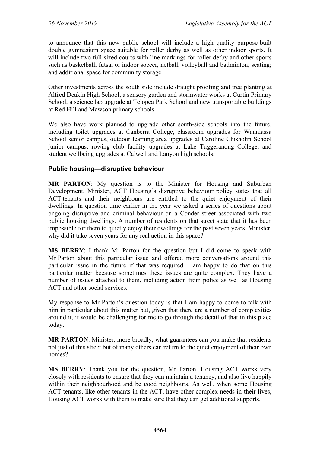to announce that this new public school will include a high quality purpose-built double gymnasium space suitable for roller derby as well as other indoor sports. It will include two full-sized courts with line markings for roller derby and other sports such as basketball, futsal or indoor soccer, netball, volleyball and badminton; seating; and additional space for community storage.

Other investments across the south side include draught proofing and tree planting at Alfred Deakin High School, a sensory garden and stormwater works at Curtin Primary School, a science lab upgrade at Telopea Park School and new transportable buildings at Red Hill and Mawson primary schools.

We also have work planned to upgrade other south-side schools into the future, including toilet upgrades at Canberra College, classroom upgrades for Wanniassa School senior campus, outdoor learning area upgrades at Caroline Chisholm School junior campus, rowing club facility upgrades at Lake Tuggeranong College, and student wellbeing upgrades at Calwell and Lanyon high schools.

# **Public housing—disruptive behaviour**

**MR PARTON**: My question is to the Minister for Housing and Suburban Development. Minister, ACT Housing's disruptive behaviour policy states that all ACT tenants and their neighbours are entitled to the quiet enjoyment of their dwellings. In question time earlier in the year we asked a series of questions about ongoing disruptive and criminal behaviour on a Conder street associated with two public housing dwellings. A number of residents on that street state that it has been impossible for them to quietly enjoy their dwellings for the past seven years. Minister, why did it take seven years for any real action in this space?

**MS BERRY**: I thank Mr Parton for the question but I did come to speak with Mr Parton about this particular issue and offered more conversations around this particular issue in the future if that was required. I am happy to do that on this particular matter because sometimes these issues are quite complex. They have a number of issues attached to them, including action from police as well as Housing ACT and other social services.

My response to Mr Parton's question today is that I am happy to come to talk with him in particular about this matter but, given that there are a number of complexities around it, it would be challenging for me to go through the detail of that in this place today.

**MR PARTON**: Minister, more broadly, what guarantees can you make that residents not just of this street but of many others can return to the quiet enjoyment of their own homes?

**MS BERRY**: Thank you for the question, Mr Parton. Housing ACT works very closely with residents to ensure that they can maintain a tenancy, and also live happily within their neighbourhood and be good neighbours. As well, when some Housing ACT tenants, like other tenants in the ACT, have other complex needs in their lives, Housing ACT works with them to make sure that they can get additional supports.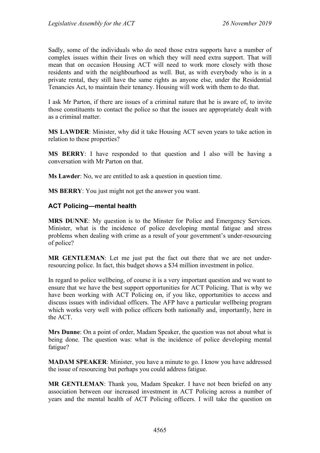Sadly, some of the individuals who do need those extra supports have a number of complex issues within their lives on which they will need extra support. That will mean that on occasion Housing ACT will need to work more closely with those residents and with the neighbourhood as well. But, as with everybody who is in a private rental, they still have the same rights as anyone else, under the Residential Tenancies Act, to maintain their tenancy. Housing will work with them to do that.

I ask Mr Parton, if there are issues of a criminal nature that he is aware of, to invite those constituents to contact the police so that the issues are appropriately dealt with as a criminal matter.

**MS LAWDER**: Minister, why did it take Housing ACT seven years to take action in relation to these properties?

**MS BERRY**: I have responded to that question and I also will be having a conversation with Mr Parton on that.

**Ms Lawder**: No, we are entitled to ask a question in question time.

**MS BERRY**: You just might not get the answer you want.

#### **ACT Policing—mental health**

**MRS DUNNE**: My question is to the Minster for Police and Emergency Services. Minister, what is the incidence of police developing mental fatigue and stress problems when dealing with crime as a result of your government's under-resourcing of police?

**MR GENTLEMAN**: Let me just put the fact out there that we are not underresourcing police. In fact, this budget shows a \$34 million investment in police.

In regard to police wellbeing, of course it is a very important question and we want to ensure that we have the best support opportunities for ACT Policing. That is why we have been working with ACT Policing on, if you like, opportunities to access and discuss issues with individual officers. The AFP have a particular wellbeing program which works very well with police officers both nationally and, importantly, here in the ACT.

**Mrs Dunne**: On a point of order, Madam Speaker, the question was not about what is being done. The question was: what is the incidence of police developing mental fatigue?

**MADAM SPEAKER**: Minister, you have a minute to go. I know you have addressed the issue of resourcing but perhaps you could address fatigue.

**MR GENTLEMAN**: Thank you, Madam Speaker. I have not been briefed on any association between our increased investment in ACT Policing across a number of years and the mental health of ACT Policing officers. I will take the question on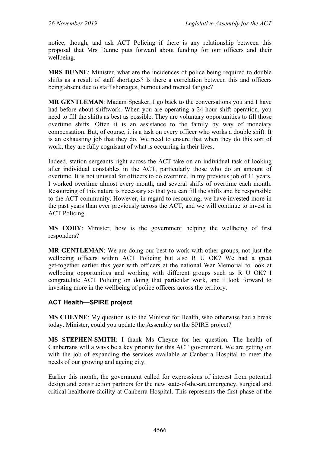notice, though, and ask ACT Policing if there is any relationship between this proposal that Mrs Dunne puts forward about funding for our officers and their wellbeing.

**MRS DUNNE**: Minister, what are the incidences of police being required to double shifts as a result of staff shortages? Is there a correlation between this and officers being absent due to staff shortages, burnout and mental fatigue?

**MR GENTLEMAN**: Madam Speaker, I go back to the conversations you and I have had before about shiftwork. When you are operating a 24-hour shift operation, you need to fill the shifts as best as possible. They are voluntary opportunities to fill those overtime shifts. Often it is an assistance to the family by way of monetary compensation. But, of course, it is a task on every officer who works a double shift. It is an exhausting job that they do. We need to ensure that when they do this sort of work, they are fully cognisant of what is occurring in their lives.

Indeed, station sergeants right across the ACT take on an individual task of looking after individual constables in the ACT, particularly those who do an amount of overtime. It is not unusual for officers to do overtime. In my previous job of 11 years, I worked overtime almost every month, and several shifts of overtime each month. Resourcing of this nature is necessary so that you can fill the shifts and be responsible to the ACT community. However, in regard to resourcing, we have invested more in the past years than ever previously across the ACT, and we will continue to invest in ACT Policing.

**MS CODY**: Minister, how is the government helping the wellbeing of first responders?

**MR GENTLEMAN**: We are doing our best to work with other groups, not just the wellbeing officers within ACT Policing but also R U OK? We had a great get-together earlier this year with officers at the national War Memorial to look at wellbeing opportunities and working with different groups such as R U OK? I congratulate ACT Policing on doing that particular work, and I look forward to investing more in the wellbeing of police officers across the territory.

# **ACT Health—SPIRE project**

**MS CHEYNE**: My question is to the Minister for Health, who otherwise had a break today. Minister, could you update the Assembly on the SPIRE project?

**MS STEPHEN-SMITH**: I thank Ms Cheyne for her question. The health of Canberrans will always be a key priority for this ACT government. We are getting on with the job of expanding the services available at Canberra Hospital to meet the needs of our growing and ageing city.

Earlier this month, the government called for expressions of interest from potential design and construction partners for the new state-of-the-art emergency, surgical and critical healthcare facility at Canberra Hospital. This represents the first phase of the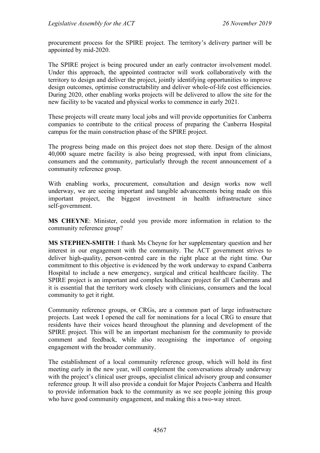procurement process for the SPIRE project. The territory's delivery partner will be appointed by mid-2020.

The SPIRE project is being procured under an early contractor involvement model. Under this approach, the appointed contractor will work collaboratively with the territory to design and deliver the project, jointly identifying opportunities to improve design outcomes, optimise constructability and deliver whole-of-life cost efficiencies. During 2020, other enabling works projects will be delivered to allow the site for the new facility to be vacated and physical works to commence in early 2021.

These projects will create many local jobs and will provide opportunities for Canberra companies to contribute to the critical process of preparing the Canberra Hospital campus for the main construction phase of the SPIRE project.

The progress being made on this project does not stop there. Design of the almost 40,000 square metre facility is also being progressed, with input from clinicians, consumers and the community, particularly through the recent announcement of a community reference group.

With enabling works, procurement, consultation and design works now well underway, we are seeing important and tangible advancements being made on this important project, the biggest investment in health infrastructure since self-government.

**MS CHEYNE**: Minister, could you provide more information in relation to the community reference group?

**MS STEPHEN-SMITH**: I thank Ms Cheyne for her supplementary question and her interest in our engagement with the community. The ACT government strives to deliver high-quality, person-centred care in the right place at the right time. Our commitment to this objective is evidenced by the work underway to expand Canberra Hospital to include a new emergency, surgical and critical healthcare facility. The SPIRE project is an important and complex healthcare project for all Canberrans and it is essential that the territory work closely with clinicians, consumers and the local community to get it right.

Community reference groups, or CRGs, are a common part of large infrastructure projects. Last week I opened the call for nominations for a local CRG to ensure that residents have their voices heard throughout the planning and development of the SPIRE project. This will be an important mechanism for the community to provide comment and feedback, while also recognising the importance of ongoing engagement with the broader community.

The establishment of a local community reference group, which will hold its first meeting early in the new year, will complement the conversations already underway with the project's clinical user groups, specialist clinical advisory group and consumer reference group. It will also provide a conduit for Major Projects Canberra and Health to provide information back to the community as we see people joining this group who have good community engagement, and making this a two-way street.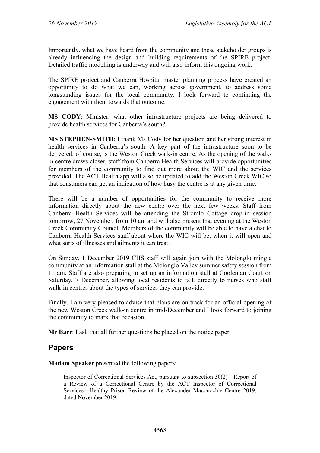Importantly, what we have heard from the community and these stakeholder groups is already influencing the design and building requirements of the SPIRE project. Detailed traffic modelling is underway and will also inform this ongoing work.

The SPIRE project and Canberra Hospital master planning process have created an opportunity to do what we can, working across government, to address some longstanding issues for the local community. I look forward to continuing the engagement with them towards that outcome.

**MS CODY**: Minister, what other infrastructure projects are being delivered to provide health services for Canberra's south?

**MS STEPHEN-SMITH**: I thank Ms Cody for her question and her strong interest in health services in Canberra's south. A key part of the infrastructure soon to be delivered, of course, is the Weston Creek walk-in centre. As the opening of the walkin centre draws closer, staff from Canberra Health Services will provide opportunities for members of the community to find out more about the WIC and the services provided. The ACT Health app will also be updated to add the Weston Creek WIC so that consumers can get an indication of how busy the centre is at any given time.

There will be a number of opportunities for the community to receive more information directly about the new centre over the next few weeks. Staff from Canberra Health Services will be attending the Stromlo Cottage drop-in session tomorrow, 27 November, from 10 am and will also present that evening at the Weston Creek Community Council. Members of the community will be able to have a chat to Canberra Health Services staff about where the WIC will be, when it will open and what sorts of illnesses and ailments it can treat.

On Sunday, 1 December 2019 CHS staff will again join with the Molonglo mingle community at an information stall at the Molonglo Valley summer safety session from 11 am. Staff are also preparing to set up an information stall at Cooleman Court on Saturday, 7 December, allowing local residents to talk directly to nurses who staff walk-in centres about the types of services they can provide.

Finally, I am very pleased to advise that plans are on track for an official opening of the new Weston Creek walk-in centre in mid-December and I look forward to joining the community to mark that occasion.

**Mr Barr**: I ask that all further questions be placed on the notice paper.

# **Papers**

**Madam Speaker** presented the following papers:

Inspector of Correctional Services Act, pursuant to subsection 30(2)—Report of a Review of a Correctional Centre by the ACT Inspector of Correctional Services—Healthy Prison Review of the Alexander Maconochie Centre 2019, dated November 2019.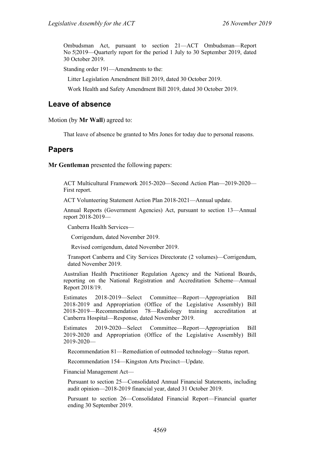Ombudsman Act, pursuant to section 21—ACT Ombudsman—Report No 5|2019—Quarterly report for the period 1 July to 30 September 2019, dated 30 October 2019.

Standing order 191—Amendments to the:

Litter Legislation Amendment Bill 2019, dated 30 October 2019.

Work Health and Safety Amendment Bill 2019, dated 30 October 2019.

### **Leave of absence**

Motion (by **Mr Wall**) agreed to:

That leave of absence be granted to Mrs Jones for today due to personal reasons.

#### **Papers**

**Mr Gentleman** presented the following papers:

ACT Multicultural Framework 2015-2020—Second Action Plan—2019-2020— First report.

ACT Volunteering Statement Action Plan 2018-2021—Annual update.

Annual Reports (Government Agencies) Act, pursuant to section 13—Annual report 2018-2019—

Canberra Health Services—

Corrigendum, dated November 2019.

Revised corrigendum, dated November 2019.

Transport Canberra and City Services Directorate (2 volumes)—Corrigendum, dated November 2019.

Australian Health Practitioner Regulation Agency and the National Boards, reporting on the National Registration and Accreditation Scheme—Annual Report 2018/19.

Estimates 2018-2019—Select Committee—Report—Appropriation Bill 2018-2019 and Appropriation (Office of the Legislative Assembly) Bill 2018-2019—Recommendation 78—Radiology training accreditation at Canberra Hospital—Response, dated November 2019.

Estimates 2019-2020—Select Committee—Report—Appropriation Bill 2019-2020 and Appropriation (Office of the Legislative Assembly) Bill 2019-2020—

Recommendation 81—Remediation of outmoded technology—Status report.

Recommendation 154—Kingston Arts Precinct—Update.

Financial Management Act—

Pursuant to section 25—Consolidated Annual Financial Statements, including audit opinion—2018-2019 financial year, dated 31 October 2019.

Pursuant to section 26—Consolidated Financial Report—Financial quarter ending 30 September 2019.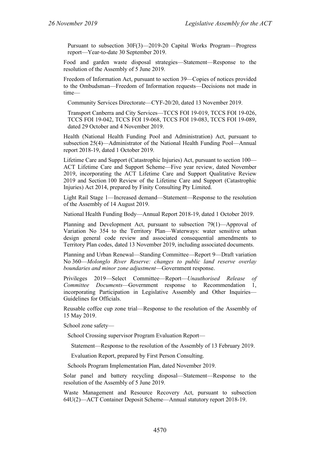Pursuant to subsection 30F(3)—2019-20 Capital Works Program—Progress report—Year-to-date 30 September 2019.

Food and garden waste disposal strategies—Statement—Response to the resolution of the Assembly of 5 June 2019.

Freedom of Information Act, pursuant to section 39—Copies of notices provided to the Ombudsman—Freedom of Information requests—Decisions not made in time—

Community Services Directorate—CYF-20/20, dated 13 November 2019.

Transport Canberra and City Services—TCCS FOI 19-019, TCCS FOI 19-026, TCCS FOI 19-042, TCCS FOI 19-068, TCCS FOI 19-083, TCCS FOI 19-089, dated 29 October and 4 November 2019.

Health (National Health Funding Pool and Administration) Act, pursuant to subsection 25(4)—Administrator of the National Health Funding Pool—Annual report 2018-19, dated 1 October 2019.

Lifetime Care and Support (Catastrophic Injuries) Act, pursuant to section 100— ACT Lifetime Care and Support Scheme—Five year review, dated November 2019, incorporating the ACT Lifetime Care and Support Qualitative Review 2019 and Section 100 Review of the Lifetime Care and Support (Catastrophic Injuries) Act 2014, prepared by Finity Consulting Pty Limited.

Light Rail Stage 1—Increased demand—Statement—Response to the resolution of the Assembly of 14 August 2019.

National Health Funding Body—Annual Report 2018-19, dated 1 October 2019.

Planning and Development Act, pursuant to subsection 79(1)—Approval of Variation No 354 to the Territory Plan—Waterways: water sensitive urban design general code review and associated consequential amendments to Territory Plan codes, dated 13 November 2019, including associated documents.

Planning and Urban Renewal—Standing Committee—Report 9—Draft variation No 360—*Molonglo River Reserve: changes to public land reserve overlay boundaries and minor zone adjustment*—Government response.

Privileges 2019—Select Committee—Report—*Unauthorised Release of Committee Documents*—Government response to Recommendation 1, incorporating Participation in Legislative Assembly and Other Inquiries— Guidelines for Officials.

Reusable coffee cup zone trial—Response to the resolution of the Assembly of 15 May 2019.

School zone safety—

School Crossing supervisor Program Evaluation Report—

Statement—Response to the resolution of the Assembly of 13 February 2019.

Evaluation Report, prepared by First Person Consulting.

Schools Program Implementation Plan, dated November 2019.

Solar panel and battery recycling disposal—Statement—Response to the resolution of the Assembly of 5 June 2019.

Waste Management and Resource Recovery Act, pursuant to subsection 64U(2)—ACT Container Deposit Scheme—Annual statutory report 2018-19.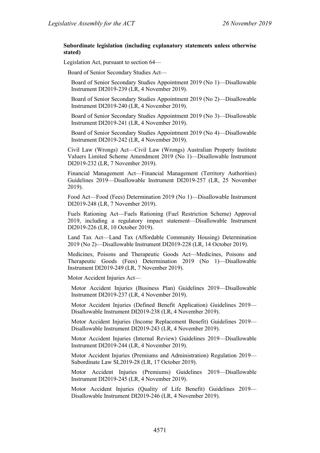#### **Subordinate legislation (including explanatory statements unless otherwise stated)**

Legislation Act, pursuant to section 64—

Board of Senior Secondary Studies Act—

Board of Senior Secondary Studies Appointment 2019 (No 1)—Disallowable Instrument DI2019-239 (LR, 4 November 2019).

Board of Senior Secondary Studies Appointment 2019 (No 2)—Disallowable Instrument DI2019-240 (LR, 4 November 2019).

Board of Senior Secondary Studies Appointment 2019 (No 3)—Disallowable Instrument DI2019-241 (LR, 4 November 2019).

Board of Senior Secondary Studies Appointment 2019 (No 4)—Disallowable Instrument DI2019-242 (LR, 4 November 2019).

Civil Law (Wrongs) Act—Civil Law (Wrongs) Australian Property Institute Valuers Limited Scheme Amendment 2019 (No 1)—Disallowable Instrument DI2019-232 (LR, 7 November 2019).

Financial Management Act—Financial Management (Territory Authorities) Guidelines 2019—Disallowable Instrument DI2019-257 (LR, 25 November 2019).

Food Act—Food (Fees) Determination 2019 (No 1)—Disallowable Instrument DI2019-248 (LR, 7 November 2019).

Fuels Rationing Act—Fuels Rationing (Fuel Restriction Scheme) Approval 2019, including a regulatory impact statement—Disallowable Instrument DI2019-226 (LR, 10 October 2019).

Land Tax Act—Land Tax (Affordable Community Housing) Determination 2019 (No 2)—Disallowable Instrument DI2019-228 (LR, 14 October 2019).

Medicines, Poisons and Therapeutic Goods Act—Medicines, Poisons and Therapeutic Goods (Fees) Determination 2019 (No 1)—Disallowable Instrument DI2019-249 (LR, 7 November 2019).

Motor Accident Injuries Act—

Motor Accident Injuries (Business Plan) Guidelines 2019—Disallowable Instrument DI2019-237 (LR, 4 November 2019).

Motor Accident Injuries (Defined Benefit Application) Guidelines 2019— Disallowable Instrument DI2019-238 (LR, 4 November 2019).

Motor Accident Injuries (Income Replacement Benefit) Guidelines 2019— Disallowable Instrument DI2019-243 (LR, 4 November 2019).

Motor Accident Injuries (Internal Review) Guidelines 2019—Disallowable Instrument DI2019-244 (LR, 4 November 2019).

Motor Accident Injuries (Premiums and Administration) Regulation 2019— Subordinate Law SL2019-28 (LR, 17 October 2019).

Motor Accident Injuries (Premiums) Guidelines 2019—Disallowable Instrument DI2019-245 (LR, 4 November 2019).

Motor Accident Injuries (Quality of Life Benefit) Guidelines 2019— Disallowable Instrument DI2019-246 (LR, 4 November 2019).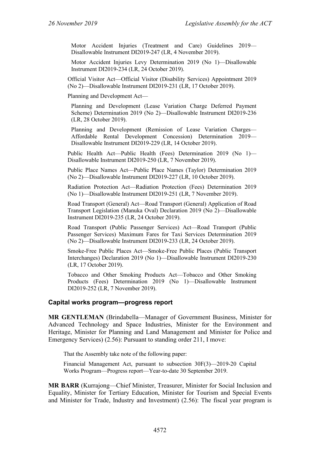Motor Accident Injuries (Treatment and Care) Guidelines 2019— Disallowable Instrument DI2019-247 (LR, 4 November 2019).

Motor Accident Injuries Levy Determination 2019 (No 1)—Disallowable Instrument DI2019-234 (LR, 24 October 2019).

Official Visitor Act—Official Visitor (Disability Services) Appointment 2019 (No 2)—Disallowable Instrument DI2019-231 (LR, 17 October 2019).

Planning and Development Act—

Planning and Development (Lease Variation Charge Deferred Payment Scheme) Determination 2019 (No 2)—Disallowable Instrument DI2019-236 (LR, 28 October 2019).

Planning and Development (Remission of Lease Variation Charges— Affordable Rental Development Concession) Determination 2019— Disallowable Instrument DI2019-229 (LR, 14 October 2019).

Public Health Act—Public Health (Fees) Determination 2019 (No 1)— Disallowable Instrument DI2019-250 (LR, 7 November 2019).

Public Place Names Act—Public Place Names (Taylor) Determination 2019 (No 2)—Disallowable Instrument DI2019-227 (LR, 10 October 2019).

Radiation Protection Act—Radiation Protection (Fees) Determination 2019 (No 1)—Disallowable Instrument DI2019-251 (LR, 7 November 2019).

Road Transport (General) Act—Road Transport (General) Application of Road Transport Legislation (Manuka Oval) Declaration 2019 (No 2)—Disallowable Instrument DI2019-235 (LR, 24 October 2019).

Road Transport (Public Passenger Services) Act—Road Transport (Public Passenger Services) Maximum Fares for Taxi Services Determination 2019 (No 2)—Disallowable Instrument DI2019-233 (LR, 24 October 2019).

Smoke-Free Public Places Act—Smoke-Free Public Places (Public Transport Interchanges) Declaration 2019 (No 1)—Disallowable Instrument DI2019-230 (LR, 17 October 2019).

Tobacco and Other Smoking Products Act—Tobacco and Other Smoking Products (Fees) Determination 2019 (No 1)—Disallowable Instrument DI2019-252 (LR, 7 November 2019).

#### **Capital works program—progress report**

**MR GENTLEMAN** (Brindabella—Manager of Government Business, Minister for Advanced Technology and Space Industries, Minister for the Environment and Heritage, Minister for Planning and Land Management and Minister for Police and Emergency Services) (2.56): Pursuant to standing order 211, I move:

That the Assembly take note of the following paper:

Financial Management Act, pursuant to subsection 30F(3)—2019-20 Capital Works Program—Progress report—Year-to-date 30 September 2019.

**MR BARR** (Kurrajong—Chief Minister, Treasurer, Minister for Social Inclusion and Equality, Minister for Tertiary Education, Minister for Tourism and Special Events and Minister for Trade, Industry and Investment) (2.56): The fiscal year program is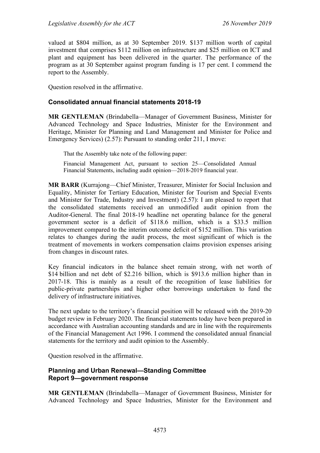valued at \$804 million, as at 30 September 2019. \$137 million worth of capital investment that comprises \$112 million on infrastructure and \$25 million on ICT and plant and equipment has been delivered in the quarter. The performance of the program as at 30 September against program funding is 17 per cent. I commend the report to the Assembly.

Question resolved in the affirmative.

#### **Consolidated annual financial statements 2018-19**

**MR GENTLEMAN** (Brindabella—Manager of Government Business, Minister for Advanced Technology and Space Industries, Minister for the Environment and Heritage, Minister for Planning and Land Management and Minister for Police and Emergency Services) (2.57): Pursuant to standing order 211, I move:

That the Assembly take note of the following paper:

Financial Management Act, pursuant to section 25—Consolidated Annual Financial Statements, including audit opinion—2018-2019 financial year.

**MR BARR** (Kurrajong—Chief Minister, Treasurer, Minister for Social Inclusion and Equality, Minister for Tertiary Education, Minister for Tourism and Special Events and Minister for Trade, Industry and Investment) (2.57): I am pleased to report that the consolidated statements received an unmodified audit opinion from the Auditor-General. The final 2018-19 headline net operating balance for the general government sector is a deficit of \$118.6 million, which is a \$33.5 million improvement compared to the interim outcome deficit of \$152 million. This variation relates to changes during the audit process, the most significant of which is the treatment of movements in workers compensation claims provision expenses arising from changes in discount rates.

Key financial indicators in the balance sheet remain strong, with net worth of \$14 billion and net debt of \$2.216 billion, which is \$913.6 million higher than in 2017-18. This is mainly as a result of the recognition of lease liabilities for public-private partnerships and higher other borrowings undertaken to fund the delivery of infrastructure initiatives.

The next update to the territory's financial position will be released with the 2019-20 budget review in February 2020. The financial statements today have been prepared in accordance with Australian accounting standards and are in line with the requirements of the Financial Management Act 1996. I commend the consolidated annual financial statements for the territory and audit opinion to the Assembly.

Question resolved in the affirmative.

### **Planning and Urban Renewal—Standing Committee Report 9—government response**

**MR GENTLEMAN** (Brindabella—Manager of Government Business, Minister for Advanced Technology and Space Industries, Minister for the Environment and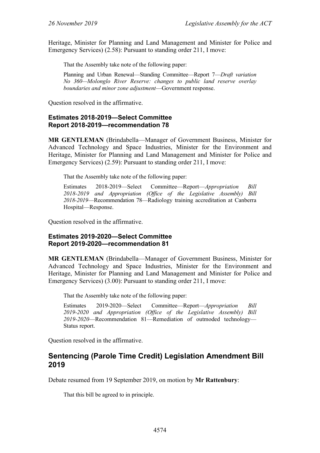Heritage, Minister for Planning and Land Management and Minister for Police and Emergency Services) (2.58): Pursuant to standing order 211, I move:

That the Assembly take note of the following paper:

Planning and Urban Renewal—Standing Committee—Report 7—*Draft variation No 360—Molonglo River Reserve: changes to public land reserve overlay boundaries and minor zone adjustment*—Government response.

Question resolved in the affirmative.

#### **Estimates 2018-2019—Select Committee Report 2018-2019—recommendation 78**

**MR GENTLEMAN** (Brindabella—Manager of Government Business, Minister for Advanced Technology and Space Industries, Minister for the Environment and Heritage, Minister for Planning and Land Management and Minister for Police and Emergency Services) (2.59): Pursuant to standing order 211, I move:

That the Assembly take note of the following paper:

Estimates 2018-2019—Select Committee—Report—*Appropriation Bill 2018-2019 and Appropriation (Office of the Legislative Assembly) Bill 2018-2019*—Recommendation 78—Radiology training accreditation at Canberra Hospital—Response.

Question resolved in the affirmative.

#### **Estimates 2019-2020—Select Committee Report 2019-2020—recommendation 81**

**MR GENTLEMAN** (Brindabella—Manager of Government Business, Minister for Advanced Technology and Space Industries, Minister for the Environment and Heritage, Minister for Planning and Land Management and Minister for Police and Emergency Services) (3.00): Pursuant to standing order 211, I move:

That the Assembly take note of the following paper:

Estimates 2019-2020—Select Committee—Report—*Appropriation Bill 2019-2020 and Appropriation (Office of the Legislative Assembly) Bill 2019-2020*—Recommendation 81—Remediation of outmoded technology— Status report.

Question resolved in the affirmative.

# **Sentencing (Parole Time Credit) Legislation Amendment Bill 2019**

Debate resumed from 19 September 2019, on motion by **Mr Rattenbury**:

That this bill be agreed to in principle.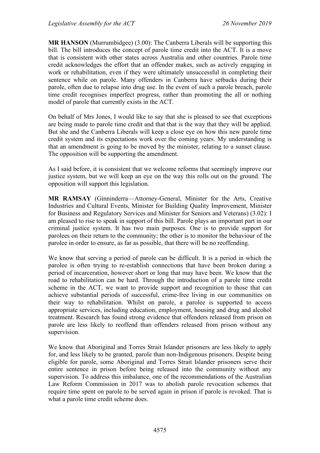**MR HANSON** (Murrumbidgee) (3.00): The Canberra Liberals will be supporting this bill. The bill introduces the concept of parole time credit into the ACT. It is a move that is consistent with other states across Australia and other countries. Parole time credit acknowledges the effort that an offender makes, such as actively engaging in work or rehabilitation, even if they were ultimately unsuccessful in completing their sentence while on parole. Many offenders in Canberra have setbacks during their parole, often due to relapse into drug use. In the event of such a parole breach, parole time credit recognises imperfect progress, rather than promoting the all or nothing model of parole that currently exists in the ACT.

On behalf of Mrs Jones, I would like to say that she is pleased to see that exceptions are being made to parole time credit and that that is the way that they will be applied. But she and the Canberra Liberals will keep a close eye on how this new parole time credit system and its expectations work over the coming years. My understanding is that an amendment is going to be moved by the minister, relating to a sunset clause. The opposition will be supporting the amendment.

As I said before, it is consistent that we welcome reforms that seemingly improve our justice system, but we will keep an eye on the way this rolls out on the ground. The opposition will support this legislation.

**MR RAMSAY** (Ginninderra—Attorney-General, Minister for the Arts, Creative Industries and Cultural Events, Minister for Building Quality Improvement, Minister for Business and Regulatory Services and Minister for Seniors and Veterans) (3.02): I am pleased to rise to speak in support of this bill. Parole plays an important part in our criminal justice system. It has two main purposes. One is to provide support for parolees on their return to the community; the other is to monitor the behaviour of the parolee in order to ensure, as far as possible, that there will be no reoffending.

We know that serving a period of parole can be difficult. It is a period in which the parolee is often trying to re-establish connections that have been broken during a period of incarceration, however short or long that may have been. We know that the road to rehabilitation can be hard. Through the introduction of a parole time credit scheme in the ACT, we want to provide support and recognition to those that can achieve substantial periods of successful, crime-free living in our communities on their way to rehabilitation. Whilst on parole, a parolee is supported to access appropriate services, including education, employment, housing and drug and alcohol treatment. Research has found strong evidence that offenders released from prison on parole are less likely to reoffend than offenders released from prison without any supervision.

We know that Aboriginal and Torres Strait Islander prisoners are less likely to apply for, and less likely to be granted, parole than non-Indigenous prisoners. Despite being eligible for parole, some Aboriginal and Torres Strait Islander prisoners serve their entire sentence in prison before being released into the community without any supervision. To address this imbalance, one of the recommendations of the Australian Law Reform Commission in 2017 was to abolish parole revocation schemes that require time spent on parole to be served again in prison if parole is revoked. That is what a parole time credit scheme does.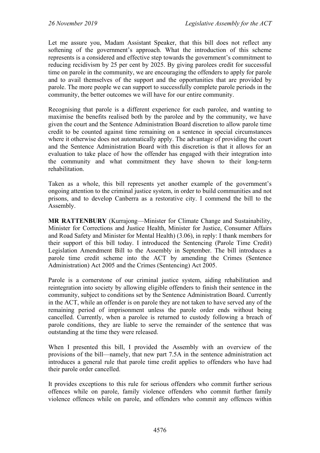Let me assure you, Madam Assistant Speaker, that this bill does not reflect any softening of the government's approach. What the introduction of this scheme represents is a considered and effective step towards the government's commitment to reducing recidivism by 25 per cent by 2025. By giving parolees credit for successful time on parole in the community, we are encouraging the offenders to apply for parole and to avail themselves of the support and the opportunities that are provided by parole. The more people we can support to successfully complete parole periods in the community, the better outcomes we will have for our entire community.

Recognising that parole is a different experience for each parolee, and wanting to maximise the benefits realised both by the parolee and by the community, we have given the court and the Sentence Administration Board discretion to allow parole time credit to be counted against time remaining on a sentence in special circumstances where it otherwise does not automatically apply. The advantage of providing the court and the Sentence Administration Board with this discretion is that it allows for an evaluation to take place of how the offender has engaged with their integration into the community and what commitment they have shown to their long-term rehabilitation.

Taken as a whole, this bill represents yet another example of the government's ongoing attention to the criminal justice system, in order to build communities and not prisons, and to develop Canberra as a restorative city. I commend the bill to the Assembly.

**MR RATTENBURY** (Kurrajong—Minister for Climate Change and Sustainability, Minister for Corrections and Justice Health, Minister for Justice, Consumer Affairs and Road Safety and Minister for Mental Health) (3.06), in reply: I thank members for their support of this bill today. I introduced the Sentencing (Parole Time Credit) Legislation Amendment Bill to the Assembly in September. The bill introduces a parole time credit scheme into the ACT by amending the Crimes (Sentence Administration) Act 2005 and the Crimes (Sentencing) Act 2005.

Parole is a cornerstone of our criminal justice system, aiding rehabilitation and reintegration into society by allowing eligible offenders to finish their sentence in the community, subject to conditions set by the Sentence Administration Board. Currently in the ACT, while an offender is on parole they are not taken to have served any of the remaining period of imprisonment unless the parole order ends without being cancelled. Currently, when a parolee is returned to custody following a breach of parole conditions, they are liable to serve the remainder of the sentence that was outstanding at the time they were released.

When I presented this bill, I provided the Assembly with an overview of the provisions of the bill—namely, that new part 7.5A in the sentence administration act introduces a general rule that parole time credit applies to offenders who have had their parole order cancelled.

It provides exceptions to this rule for serious offenders who commit further serious offences while on parole, family violence offenders who commit further family violence offences while on parole, and offenders who commit any offences within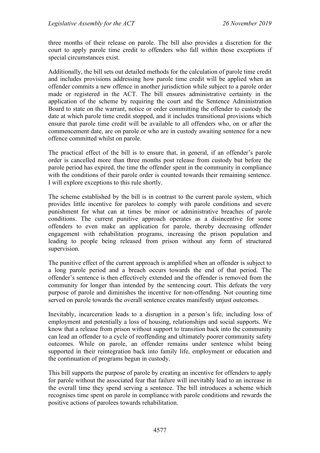three months of their release on parole. The bill also provides a discretion for the court to apply parole time credit to offenders who fall within those exceptions if special circumstances exist.

Additionally, the bill sets out detailed methods for the calculation of parole time credit and includes provisions addressing how parole time credit will be applied when an offender commits a new offence in another jurisdiction while subject to a parole order made or registered in the ACT. The bill ensures administrative certainty in the application of the scheme by requiring the court and the Sentence Administration Board to state on the warrant, notice or order committing the offender to custody the date at which parole time credit stopped, and it includes transitional provisions which ensure that parole time credit will be available to all offenders who, on or after the commencement date, are on parole or who are in custody awaiting sentence for a new offence committed whilst on parole.

The practical effect of the bill is to ensure that, in general, if an offender's parole order is cancelled more than three months post release from custody but before the parole period has expired, the time the offender spent in the community in compliance with the conditions of their parole order is counted towards their remaining sentence. I will explore exceptions to this rule shortly.

The scheme established by the bill is in contrast to the current parole system, which provides little incentive for parolees to comply with parole conditions and severe punishment for what can at times be minor or administrative breaches of parole conditions. The current punitive approach operates as a disincentive for some offenders to even make an application for parole, thereby decreasing offender engagement with rehabilitation programs, increasing the prison population and leading to people being released from prison without any form of structured supervision.

The punitive effect of the current approach is amplified when an offender is subject to a long parole period and a breach occurs towards the end of that period. The offender's sentence is then effectively extended and the offender is removed from the community for longer than intended by the sentencing court. This defeats the very purpose of parole and diminishes the incentive for non-offending. Not counting time served on parole towards the overall sentence creates manifestly unjust outcomes.

Inevitably, incarceration leads to a disruption in a person's life, including loss of employment and potentially a loss of housing, relationships and social supports. We know that a release from prison without support to transition back into the community can lead an offender to a cycle of reoffending and ultimately poorer community safety outcomes. While on parole, an offender remains under sentence whilst being supported in their reintegration back into family life, employment or education and the continuation of programs begun in custody.

This bill supports the purpose of parole by creating an incentive for offenders to apply for parole without the associated fear that failure will inevitably lead to an increase in the overall time they spend serving a sentence. The bill introduces a scheme which recognises time spent on parole in compliance with parole conditions and rewards the positive actions of parolees towards rehabilitation.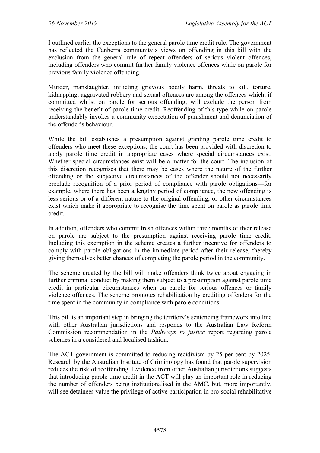I outlined earlier the exceptions to the general parole time credit rule. The government has reflected the Canberra community's views on offending in this bill with the exclusion from the general rule of repeat offenders of serious violent offences, including offenders who commit further family violence offences while on parole for previous family violence offending.

Murder, manslaughter, inflicting grievous bodily harm, threats to kill, torture, kidnapping, aggravated robbery and sexual offences are among the offences which, if committed whilst on parole for serious offending, will exclude the person from receiving the benefit of parole time credit. Reoffending of this type while on parole understandably invokes a community expectation of punishment and denunciation of the offender's behaviour.

While the bill establishes a presumption against granting parole time credit to offenders who meet these exceptions, the court has been provided with discretion to apply parole time credit in appropriate cases where special circumstances exist. Whether special circumstances exist will be a matter for the court. The inclusion of this discretion recognises that there may be cases where the nature of the further offending or the subjective circumstances of the offender should not necessarily preclude recognition of a prior period of compliance with parole obligations—for example, where there has been a lengthy period of compliance, the new offending is less serious or of a different nature to the original offending, or other circumstances exist which make it appropriate to recognise the time spent on parole as parole time credit.

In addition, offenders who commit fresh offences within three months of their release on parole are subject to the presumption against receiving parole time credit. Including this exemption in the scheme creates a further incentive for offenders to comply with parole obligations in the immediate period after their release, thereby giving themselves better chances of completing the parole period in the community.

The scheme created by the bill will make offenders think twice about engaging in further criminal conduct by making them subject to a presumption against parole time credit in particular circumstances when on parole for serious offences or family violence offences. The scheme promotes rehabilitation by crediting offenders for the time spent in the community in compliance with parole conditions.

This bill is an important step in bringing the territory's sentencing framework into line with other Australian jurisdictions and responds to the Australian Law Reform Commission recommendation in the *Pathways to justice* report regarding parole schemes in a considered and localised fashion.

The ACT government is committed to reducing recidivism by 25 per cent by 2025. Research by the Australian Institute of Criminology has found that parole supervision reduces the risk of reoffending. Evidence from other Australian jurisdictions suggests that introducing parole time credit in the ACT will play an important role in reducing the number of offenders being institutionalised in the AMC, but, more importantly, will see detainees value the privilege of active participation in pro-social rehabilitative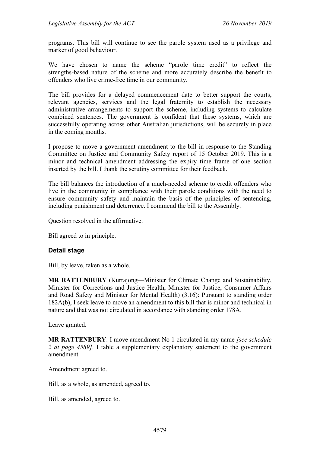programs. This bill will continue to see the parole system used as a privilege and marker of good behaviour.

We have chosen to name the scheme "parole time credit" to reflect the strengths-based nature of the scheme and more accurately describe the benefit to offenders who live crime-free time in our community.

The bill provides for a delayed commencement date to better support the courts, relevant agencies, services and the legal fraternity to establish the necessary administrative arrangements to support the scheme, including systems to calculate combined sentences. The government is confident that these systems, which are successfully operating across other Australian jurisdictions, will be securely in place in the coming months.

I propose to move a government amendment to the bill in response to the Standing Committee on Justice and Community Safety report of 15 October 2019. This is a minor and technical amendment addressing the expiry time frame of one section inserted by the bill. I thank the scrutiny committee for their feedback.

The bill balances the introduction of a much-needed scheme to credit offenders who live in the community in compliance with their parole conditions with the need to ensure community safety and maintain the basis of the principles of sentencing, including punishment and deterrence. I commend the bill to the Assembly.

Question resolved in the affirmative.

Bill agreed to in principle.

#### **Detail stage**

Bill, by leave, taken as a whole.

**MR RATTENBURY** (Kurrajong—Minister for Climate Change and Sustainability, Minister for Corrections and Justice Health, Minister for Justice, Consumer Affairs and Road Safety and Minister for Mental Health) (3.16): Pursuant to standing order 182A(b), I seek leave to move an amendment to this bill that is minor and technical in nature and that was not circulated in accordance with standing order 178A.

Leave granted.

**MR RATTENBURY**: I move amendment No 1 circulated in my name *[see schedule 2 at page 4589]*. I table a supplementary explanatory statement to the government amendment.

Amendment agreed to.

Bill, as a whole, as amended, agreed to.

Bill, as amended, agreed to.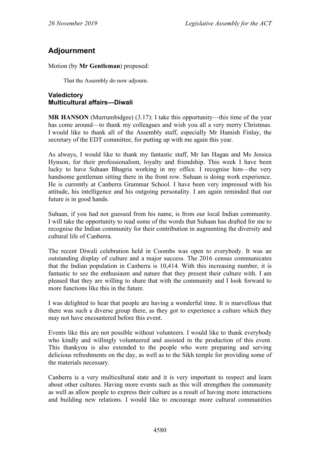# **Adjournment**

Motion (by **Mr Gentleman**) proposed:

That the Assembly do now adjourn.

### **Valedictory Multicultural affairs—Diwali**

**MR HANSON** (Murrumbidgee) (3.17): I take this opportunity—this time of the year has come around—to thank my colleagues and wish you all a very merry Christmas. I would like to thank all of the Assembly staff, especially Mr Hamish Finlay, the secretary of the EDT committee, for putting up with me again this year.

As always, I would like to thank my fantastic staff, Mr Ian Hagan and Ms Jessica Hynson, for their professionalism, loyalty and friendship. This week I have been lucky to have Suhaan Bhagria working in my office. I recognise him—the very handsome gentleman sitting there in the front row. Suhaan is doing work experience. He is currently at Canberra Grammar School. I have been very impressed with his attitude, his intelligence and his outgoing personality. I am again reminded that our future is in good hands.

Suhaan, if you had not guessed from his name, is from our local Indian community. I will take the opportunity to read some of the words that Suhaan has drafted for me to recognise the Indian community for their contribution in augmenting the diversity and cultural life of Canberra.

The recent Diwali celebration held in Coombs was open to everybody. It was an outstanding display of culture and a major success. The 2016 census communicates that the Indian population in Canberra is 10,414. With this increasing number, it is fantastic to see the enthusiasm and nature that they present their culture with. I am pleased that they are willing to share that with the community and I look forward to more functions like this in the future.

I was delighted to hear that people are having a wonderful time. It is marvellous that there was such a diverse group there, as they got to experience a culture which they may not have encountered before this event.

Events like this are not possible without volunteers. I would like to thank everybody who kindly and willingly volunteered and assisted in the production of this event. This thankyou is also extended to the people who were preparing and serving delicious refreshments on the day, as well as to the Sikh temple for providing some of the materials necessary.

Canberra is a very multicultural state and it is very important to respect and learn about other cultures. Having more events such as this will strengthen the community as well as allow people to express their culture as a result of having more interactions and building new relations. I would like to encourage more cultural communities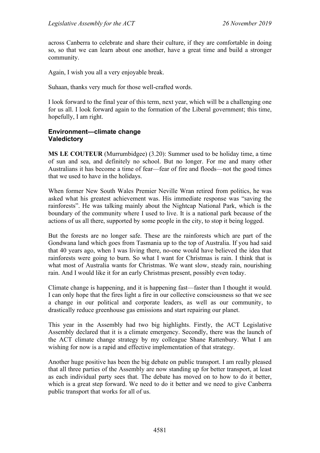across Canberra to celebrate and share their culture, if they are comfortable in doing so, so that we can learn about one another, have a great time and build a stronger community.

Again, I wish you all a very enjoyable break.

Suhaan, thanks very much for those well-crafted words.

I look forward to the final year of this term, next year, which will be a challenging one for us all. I look forward again to the formation of the Liberal government; this time, hopefully, I am right.

### **Environment—climate change Valedictory**

**MS LE COUTEUR** (Murrumbidgee) (3.20): Summer used to be holiday time, a time of sun and sea, and definitely no school. But no longer. For me and many other Australians it has become a time of fear—fear of fire and floods—not the good times that we used to have in the holidays.

When former New South Wales Premier Neville Wran retired from politics, he was asked what his greatest achievement was. His immediate response was "saving the rainforests". He was talking mainly about the Nightcap National Park, which is the boundary of the community where I used to live. It is a national park because of the actions of us all there, supported by some people in the city, to stop it being logged.

But the forests are no longer safe. These are the rainforests which are part of the Gondwana land which goes from Tasmania up to the top of Australia. If you had said that 40 years ago, when I was living there, no-one would have believed the idea that rainforests were going to burn. So what I want for Christmas is rain. I think that is what most of Australia wants for Christmas. We want slow, steady rain, nourishing rain. And I would like it for an early Christmas present, possibly even today.

Climate change is happening, and it is happening fast—faster than I thought it would. I can only hope that the fires light a fire in our collective consciousness so that we see a change in our political and corporate leaders, as well as our community, to drastically reduce greenhouse gas emissions and start repairing our planet.

This year in the Assembly had two big highlights. Firstly, the ACT Legislative Assembly declared that it is a climate emergency. Secondly, there was the launch of the ACT climate change strategy by my colleague Shane Rattenbury. What I am wishing for now is a rapid and effective implementation of that strategy.

Another huge positive has been the big debate on public transport. I am really pleased that all three parties of the Assembly are now standing up for better transport, at least as each individual party sees that. The debate has moved on to how to do it better, which is a great step forward. We need to do it better and we need to give Canberra public transport that works for all of us.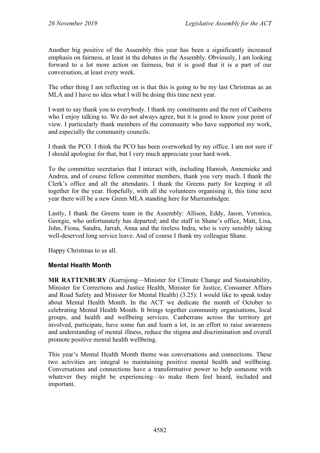Another big positive of the Assembly this year has been a significantly increased emphasis on fairness, at least in the debates in the Assembly. Obviously, I am looking forward to a lot more action on fairness, but it is good that it is a part of our conversation, at least every week.

The other thing I am reflecting on is that this is going to be my last Christmas as an MLA and I have no idea what I will be doing this time next year.

I want to say thank you to everybody. I thank my constituents and the rest of Canberra who I enjoy talking to. We do not always agree, but it is good to know your point of view. I particularly thank members of the community who have supported my work, and especially the community councils.

I thank the PCO. I think the PCO has been overworked by my office. I am not sure if I should apologise for that, but I very much appreciate your hard work.

To the committee secretaries that I interact with, including Hamish, Annemieke and Andrea, and of course fellow committee members, thank you very much. I thank the Clerk's office and all the attendants. I thank the Greens party for keeping it all together for the year. Hopefully, with all the volunteers organising it, this time next year there will be a new Green MLA standing here for Murrumbidgee.

Lastly, I thank the Greens team in the Assembly: Allison, Eddy, Jason, Veronica, Georgie, who unfortunately has departed; and the staff in Shane's office, Matt, Lisa, John, Fiona, Sandra, Jarrah, Anna and the tireless Indra, who is very sensibly taking well-deserved long service leave. And of course I thank my colleague Shane.

Happy Christmas to us all.

## **Mental Health Month**

**MR RATTENBURY** (Kurrajong—Minister for Climate Change and Sustainability, Minister for Corrections and Justice Health, Minister for Justice, Consumer Affairs and Road Safety and Minister for Mental Health) (3.25): I would like to speak today about Mental Health Month. In the ACT we dedicate the month of October to celebrating Mental Health Month. It brings together community organisations, local groups, and health and wellbeing services. Canberrans across the territory get involved, participate, have some fun and learn a lot, in an effort to raise awareness and understanding of mental illness, reduce the stigma and discrimination and overall promote positive mental health wellbeing.

This year's Mental Health Month theme was conversations and connections. These two activities are integral to maintaining positive mental health and wellbeing. Conversations and connections have a transformative power to help someone with whatever they might be experiencing—to make them feel heard, included and important.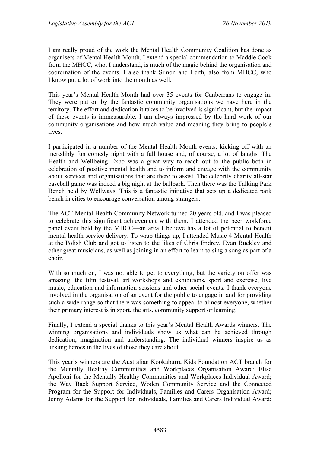I am really proud of the work the Mental Health Community Coalition has done as organisers of Mental Health Month. I extend a special commendation to Maddie Cook from the MHCC, who, I understand, is much of the magic behind the organisation and coordination of the events. I also thank Simon and Leith, also from MHCC, who I know put a lot of work into the month as well.

This year's Mental Health Month had over 35 events for Canberrans to engage in. They were put on by the fantastic community organisations we have here in the territory. The effort and dedication it takes to be involved is significant, but the impact of these events is immeasurable. I am always impressed by the hard work of our community organisations and how much value and meaning they bring to people's lives.

I participated in a number of the Mental Health Month events, kicking off with an incredibly fun comedy night with a full house and, of course, a lot of laughs. The Health and Wellbeing Expo was a great way to reach out to the public both in celebration of positive mental health and to inform and engage with the community about services and organisations that are there to assist. The celebrity charity all-star baseball game was indeed a big night at the ballpark. Then there was the Talking Park Bench held by Wellways. This is a fantastic initiative that sets up a dedicated park bench in cities to encourage conversation among strangers.

The ACT Mental Health Community Network turned 20 years old, and I was pleased to celebrate this significant achievement with them. I attended the peer workforce panel event held by the MHCC—an area I believe has a lot of potential to benefit mental health service delivery. To wrap things up, I attended Music 4 Mental Health at the Polish Club and got to listen to the likes of Chris Endrey, Evan Buckley and other great musicians, as well as joining in an effort to learn to sing a song as part of a choir.

With so much on, I was not able to get to everything, but the variety on offer was amazing: the film festival, art workshops and exhibitions, sport and exercise, live music, education and information sessions and other social events. I thank everyone involved in the organisation of an event for the public to engage in and for providing such a wide range so that there was something to appeal to almost everyone, whether their primary interest is in sport, the arts, community support or learning.

Finally, I extend a special thanks to this year's Mental Health Awards winners. The winning organisations and individuals show us what can be achieved through dedication, imagination and understanding. The individual winners inspire us as unsung heroes in the lives of those they care about.

This year's winners are the Australian Kookaburra Kids Foundation ACT branch for the Mentally Healthy Communities and Workplaces Organisation Award; Elise Apolloni for the Mentally Healthy Communities and Workplaces Individual Award; the Way Back Support Service, Woden Community Service and the Connected Program for the Support for Individuals, Families and Carers Organisation Award; Jenny Adams for the Support for Individuals, Families and Carers Individual Award;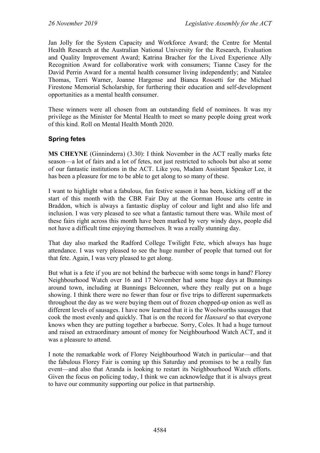Jan Jolly for the System Capacity and Workforce Award; the Centre for Mental Health Research at the Australian National University for the Research, Evaluation and Quality Improvement Award; Katrina Bracher for the Lived Experience Ally Recognition Award for collaborative work with consumers; Tianne Casey for the David Perrin Award for a mental health consumer living independently; and Natalee Thomas, Terri Warner, Joanne Hargense and Bianca Rossetti for the Michael Firestone Memorial Scholarship, for furthering their education and self-development opportunities as a mental health consumer.

These winners were all chosen from an outstanding field of nominees. It was my privilege as the Minister for Mental Health to meet so many people doing great work of this kind. Roll on Mental Health Month 2020.

# **Spring fetes**

**MS CHEYNE** (Ginninderra) (3.30): I think November in the ACT really marks fete season—a lot of fairs and a lot of fetes, not just restricted to schools but also at some of our fantastic institutions in the ACT. Like you, Madam Assistant Speaker Lee, it has been a pleasure for me to be able to get along to so many of these.

I want to highlight what a fabulous, fun festive season it has been, kicking off at the start of this month with the CBR Fair Day at the Gorman House arts centre in Braddon, which is always a fantastic display of colour and light and also life and inclusion. I was very pleased to see what a fantastic turnout there was. While most of these fairs right across this month have been marked by very windy days, people did not have a difficult time enjoying themselves. It was a really stunning day.

That day also marked the Radford College Twilight Fete, which always has huge attendance. I was very pleased to see the huge number of people that turned out for that fete. Again, I was very pleased to get along.

But what is a fete if you are not behind the barbecue with some tongs in hand? Florey Neighbourhood Watch over 16 and 17 November had some huge days at Bunnings around town, including at Bunnings Belconnen, where they really put on a huge showing. I think there were no fewer than four or five trips to different supermarkets throughout the day as we were buying them out of frozen chopped-up onion as well as different levels of sausages. I have now learned that it is the Woolworths sausages that cook the most evenly and quickly. That is on the record for *Hansard* so that everyone knows when they are putting together a barbecue. Sorry, Coles. It had a huge turnout and raised an extraordinary amount of money for Neighbourhood Watch ACT, and it was a pleasure to attend.

I note the remarkable work of Florey Neighbourhood Watch in particular—and that the fabulous Florey Fair is coming up this Saturday and promises to be a really fun event—and also that Aranda is looking to restart its Neighbourhood Watch efforts. Given the focus on policing today, I think we can acknowledge that it is always great to have our community supporting our police in that partnership.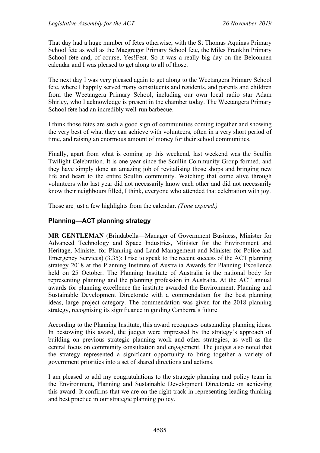That day had a huge number of fetes otherwise, with the St Thomas Aquinas Primary School fete as well as the Macgregor Primary School fete, the Miles Franklin Primary School fete and, of course, Yes!Fest. So it was a really big day on the Belconnen calendar and I was pleased to get along to all of those.

The next day I was very pleased again to get along to the Weetangera Primary School fete, where I happily served many constituents and residents, and parents and children from the Weetangera Primary School, including our own local radio star Adam Shirley, who I acknowledge is present in the chamber today. The Weetangera Primary School fete had an incredibly well-run barbecue.

I think those fetes are such a good sign of communities coming together and showing the very best of what they can achieve with volunteers, often in a very short period of time, and raising an enormous amount of money for their school communities.

Finally, apart from what is coming up this weekend, last weekend was the Scullin Twilight Celebration. It is one year since the Scullin Community Group formed, and they have simply done an amazing job of revitalising those shops and bringing new life and heart to the entire Scullin community. Watching that come alive through volunteers who last year did not necessarily know each other and did not necessarily know their neighbours filled, I think, everyone who attended that celebration with joy.

Those are just a few highlights from the calendar. *(Time expired.)*

### **Planning—ACT planning strategy**

**MR GENTLEMAN** (Brindabella—Manager of Government Business, Minister for Advanced Technology and Space Industries, Minister for the Environment and Heritage, Minister for Planning and Land Management and Minister for Police and Emergency Services) (3.35): I rise to speak to the recent success of the ACT planning strategy 2018 at the Planning Institute of Australia Awards for Planning Excellence held on 25 October. The Planning Institute of Australia is the national body for representing planning and the planning profession in Australia. At the ACT annual awards for planning excellence the institute awarded the Environment, Planning and Sustainable Development Directorate with a commendation for the best planning ideas, large project category. The commendation was given for the 2018 planning strategy, recognising its significance in guiding Canberra's future.

According to the Planning Institute, this award recognises outstanding planning ideas. In bestowing this award, the judges were impressed by the strategy's approach of building on previous strategic planning work and other strategies, as well as the central focus on community consultation and engagement. The judges also noted that the strategy represented a significant opportunity to bring together a variety of government priorities into a set of shared directions and actions.

I am pleased to add my congratulations to the strategic planning and policy team in the Environment, Planning and Sustainable Development Directorate on achieving this award. It confirms that we are on the right track in representing leading thinking and best practice in our strategic planning policy.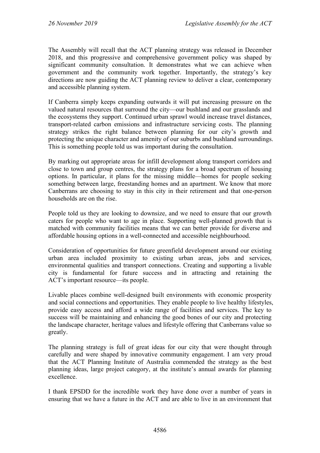The Assembly will recall that the ACT planning strategy was released in December 2018, and this progressive and comprehensive government policy was shaped by significant community consultation. It demonstrates what we can achieve when government and the community work together. Importantly, the strategy's key directions are now guiding the ACT planning review to deliver a clear, contemporary and accessible planning system.

If Canberra simply keeps expanding outwards it will put increasing pressure on the valued natural resources that surround the city—our bushland and our grasslands and the ecosystems they support. Continued urban sprawl would increase travel distances, transport-related carbon emissions and infrastructure servicing costs. The planning strategy strikes the right balance between planning for our city's growth and protecting the unique character and amenity of our suburbs and bushland surroundings. This is something people told us was important during the consultation.

By marking out appropriate areas for infill development along transport corridors and close to town and group centres, the strategy plans for a broad spectrum of housing options. In particular, it plans for the missing middle—homes for people seeking something between large, freestanding homes and an apartment. We know that more Canberrans are choosing to stay in this city in their retirement and that one-person households are on the rise.

People told us they are looking to downsize, and we need to ensure that our growth caters for people who want to age in place. Supporting well-planned growth that is matched with community facilities means that we can better provide for diverse and affordable housing options in a well-connected and accessible neighbourhood.

Consideration of opportunities for future greenfield development around our existing urban area included proximity to existing urban areas, jobs and services, environmental qualities and transport connections. Creating and supporting a livable city is fundamental for future success and in attracting and retaining the ACT's important resource—its people.

Livable places combine well-designed built environments with economic prosperity and social connections and opportunities. They enable people to live healthy lifestyles, provide easy access and afford a wide range of facilities and services. The key to success will be maintaining and enhancing the good bones of our city and protecting the landscape character, heritage values and lifestyle offering that Canberrans value so greatly.

The planning strategy is full of great ideas for our city that were thought through carefully and were shaped by innovative community engagement. I am very proud that the ACT Planning Institute of Australia commended the strategy as the best planning ideas, large project category, at the institute's annual awards for planning excellence.

I thank EPSDD for the incredible work they have done over a number of years in ensuring that we have a future in the ACT and are able to live in an environment that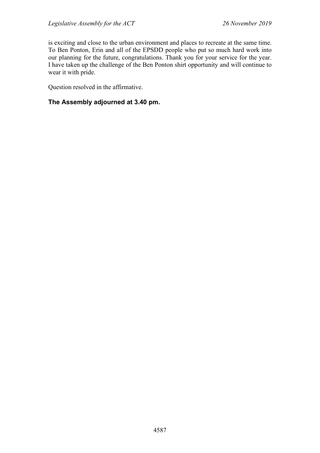is exciting and close to the urban environment and places to recreate at the same time. To Ben Ponton, Erin and all of the EPSDD people who put so much hard work into our planning for the future, congratulations. Thank you for your service for the year. I have taken up the challenge of the Ben Ponton shirt opportunity and will continue to wear it with pride.

Question resolved in the affirmative.

## **The Assembly adjourned at 3.40 pm.**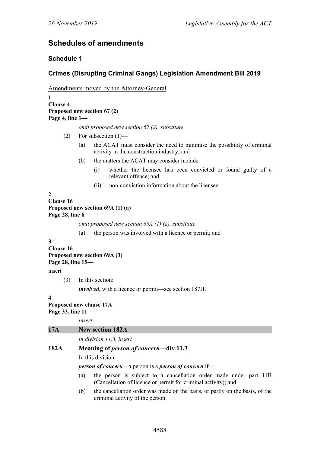# **Schedules of amendments**

# **Schedule 1**

# **Crimes (Disrupting Criminal Gangs) Legislation Amendment Bill 2019**

Amendments moved by the Attorney-General

```
1
Clause 4
Proposed new section 67 (2)
Page 4, line 1—
```
*omit proposed new section 67 (2), substitute*

- (2) For subsection  $(1)$ 
	- (a) the ACAT must consider the need to minimise the possibility of criminal activity in the construction industry; and
	- (b) the matters the ACAT may consider include—
		- (i) whether the licensee has been convicted or found guilty of a relevant offence; and
		- (ii) non-conviction information about the licensee.

**2 Clause 16 Proposed new section 69A (1) (a) Page 28, line 6—**

*omit proposed new section 69A (1) (a), substitute*

(a) the person was involved with a licence or permit; and

#### **3**

**Clause 16 Proposed new section 69A (3) Page 28, line 15—**

#### insert

(3) In this section:

*involved*, with a licence or permit—see section 187H.

#### **4**

#### **Proposed new clause 17A Page 33, line 11—**

*insert* **17A New section 182A** *in division 11.3, insert* **182A Meaning of** *person of concern***—div 11.3** In this division: *person of concern*—a person is a *person of concern* if— (a) the person is subject to a cancellation order made under part 11B (Cancellation of licence or permit for criminal activity); and

(b) the cancellation order was made on the basis, or partly on the basis, of the criminal activity of the person.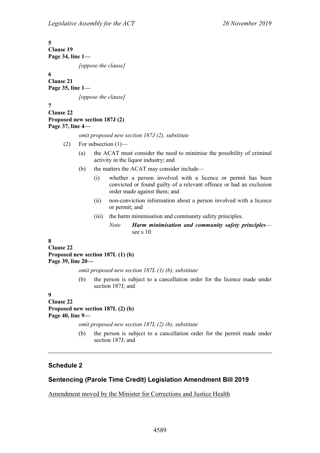| 5                  |                            |                                                                                                                                                                                         |  |
|--------------------|----------------------------|-----------------------------------------------------------------------------------------------------------------------------------------------------------------------------------------|--|
| <b>Clause 19</b>   |                            |                                                                                                                                                                                         |  |
| Page 34, line $1-$ |                            |                                                                                                                                                                                         |  |
|                    |                            | [oppose the clause]                                                                                                                                                                     |  |
| 6                  |                            |                                                                                                                                                                                         |  |
| <b>Clause 21</b>   |                            |                                                                                                                                                                                         |  |
| Page 35, line $1-$ |                            |                                                                                                                                                                                         |  |
|                    | <i>[oppose the clause]</i> |                                                                                                                                                                                         |  |
| 7                  |                            |                                                                                                                                                                                         |  |
| <b>Clause 22</b>   |                            |                                                                                                                                                                                         |  |
|                    |                            | Proposed new section 187J (2)                                                                                                                                                           |  |
| Page 37, line $4-$ |                            |                                                                                                                                                                                         |  |
|                    |                            | omit proposed new section $187J(2)$ , substitute                                                                                                                                        |  |
| (2)                |                            | For subsection $(1)$ —                                                                                                                                                                  |  |
|                    | (a)                        | the ACAT must consider the need to minimise the possibility of criminal<br>activity in the liquor industry; and                                                                         |  |
|                    | (b)                        | the matters the ACAT may consider include—                                                                                                                                              |  |
|                    |                            | whether a person involved with a licence or permit has been<br>$\left( 1\right)$<br>convicted or found guilty of a relevant offence or had an exclusion<br>order made against them; and |  |

- (ii) non-conviction information about a person involved with a licence or permit; and
- (iii) the harm minimisation and community safety principles.
	- *Note Harm minimisation and community safety principles* see s 10.

**8**

**Clause 22 Proposed new section 187L (1) (b) Page 39, line 20—**

*omit proposed new section 187L (1) (b), substitute*

(b) the person is subject to a cancellation order for the licence made under section 187J; and

```
9
Clause 22
```
**Proposed new section 187L (2) (b) Page 40, line 9—**

*omit proposed new section 187L (2) (b), substitute*

(b) the person is subject to a cancellation order for the permit made under section 187J; and

### **Schedule 2**

### **Sentencing (Parole Time Credit) Legislation Amendment Bill 2019**

Amendment moved by the Minister for Corrections and Justice Health